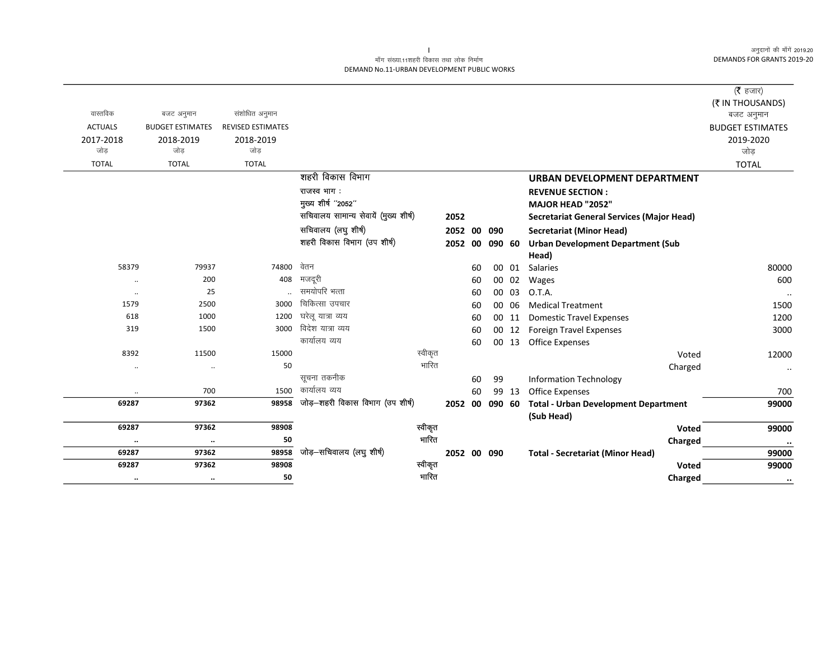#### माँग संख्या.11शहरी विकास तथा लोक निर्माण DEMAND No.11-URBAN DEVELOPMENT PUBLIC WORKS

|                |                         |                          |                                       |         |             |    |        |       |                                                  | ( $\bar{\tau}$ हजार)    |
|----------------|-------------------------|--------------------------|---------------------------------------|---------|-------------|----|--------|-------|--------------------------------------------------|-------------------------|
|                |                         |                          |                                       |         |             |    |        |       |                                                  | (₹ IN THOUSANDS)        |
| वास्तविक       | बजट अनुमान              | संशोधित अनुमान           |                                       |         |             |    |        |       |                                                  | बजट अनुमान              |
| <b>ACTUALS</b> | <b>BUDGET ESTIMATES</b> | <b>REVISED ESTIMATES</b> |                                       |         |             |    |        |       |                                                  | <b>BUDGET ESTIMATES</b> |
| 2017-2018      | 2018-2019               | 2018-2019                |                                       |         |             |    |        |       |                                                  | 2019-2020               |
| जोड            | जोड                     | जोड                      |                                       |         |             |    |        |       |                                                  | जोड़                    |
| <b>TOTAL</b>   | <b>TOTAL</b>            | <b>TOTAL</b>             |                                       |         |             |    |        |       |                                                  | <b>TOTAL</b>            |
|                |                         |                          | शहरी विकास विभाग                      |         |             |    |        |       | URBAN DEVELOPMENT DEPARTMENT                     |                         |
|                |                         |                          | राजस्व भाग:                           |         |             |    |        |       | <b>REVENUE SECTION:</b>                          |                         |
|                |                         |                          | मुख्य शीर्ष "2052"                    |         |             |    |        |       | MAJOR HEAD "2052"                                |                         |
|                |                         |                          | सचिवालय सामान्य सेवायें (मुख्य शीर्ष) |         | 2052        |    |        |       | <b>Secretariat General Services (Major Head)</b> |                         |
|                |                         |                          | सचिवालय (लघु शीर्ष)                   |         | 2052 00     |    | 090    |       | Secretariat (Minor Head)                         |                         |
|                |                         |                          | शहरी विकास विभाग (उप शीर्ष)           |         | 2052        | 00 | 090 60 |       | <b>Urban Development Department (Sub</b>         |                         |
|                |                         |                          |                                       |         |             |    |        |       | Head)                                            |                         |
| 58379          | 79937                   | 74800                    | वेतन                                  |         |             | 60 |        | 00 01 | Salaries                                         | 80000                   |
| $\ddotsc$      | 200                     | 408                      | मजदूरी                                |         |             | 60 |        | 00 02 | Wages                                            | 600                     |
| $\ldots$       | 25                      |                          | समयोपरि भत्ता                         |         |             | 60 |        | 00 03 | O.T.A.                                           | $\ldots$                |
| 1579           | 2500                    | 3000                     | चिकित्सा उपचार                        |         |             | 60 |        | 00 06 | <b>Medical Treatment</b>                         | 1500                    |
| 618            | 1000                    | 1200                     | घरेलू यात्रा व्यय                     |         |             | 60 |        | 00 11 | <b>Domestic Travel Expenses</b>                  | 1200                    |
| 319            | 1500                    | 3000                     | विदेश यात्रा व्यय                     |         |             | 60 | 00     | 12    | <b>Foreign Travel Expenses</b>                   | 3000                    |
|                |                         |                          | कार्यालय व्यय                         |         |             | 60 |        | 00 13 | <b>Office Expenses</b>                           |                         |
| 8392           | 11500                   | 15000                    |                                       | स्वीकृत |             |    |        |       | Voted                                            | 12000                   |
| $\ldots$       | $\ldots$                | 50                       |                                       | भारित   |             |    |        |       | Charged                                          | $\ldots$                |
|                |                         |                          | सूचना तकनीक                           |         |             | 60 | 99     |       | <b>Information Technology</b>                    |                         |
|                | 700                     | 1500                     | कार्यालय व्यय                         |         |             | 60 |        | 99 13 | <b>Office Expenses</b>                           | 700                     |
| 69287          | 97362                   | 98958                    | जोड़-शहरी विकास विभाग (उप शीर्ष)      |         | 2052 00     |    | 090 60 |       | <b>Total - Urban Development Department</b>      | 99000                   |
|                |                         |                          |                                       |         |             |    |        |       | (Sub Head)                                       |                         |
| 69287          | 97362                   | 98908                    |                                       | स्वीकृत |             |    |        |       | Voted                                            | 99000                   |
| $\ddotsc$      | $\ddotsc$               | 50                       |                                       | भारित   |             |    |        |       | Charged                                          | $\cdots$                |
| 69287          | 97362                   | 98958                    | जोड़-सचिवालय (लघु शीर्ष)              |         | 2052 00 090 |    |        |       | <b>Total - Secretariat (Minor Head)</b>          | 99000                   |
| 69287          | 97362                   | 98908                    |                                       | स्वीकृत |             |    |        |       | <b>Voted</b>                                     | 99000                   |
| $\cdots$       | $\cdots$                | 50                       |                                       | भारित   |             |    |        |       | Charged                                          | $\bullet\bullet$        |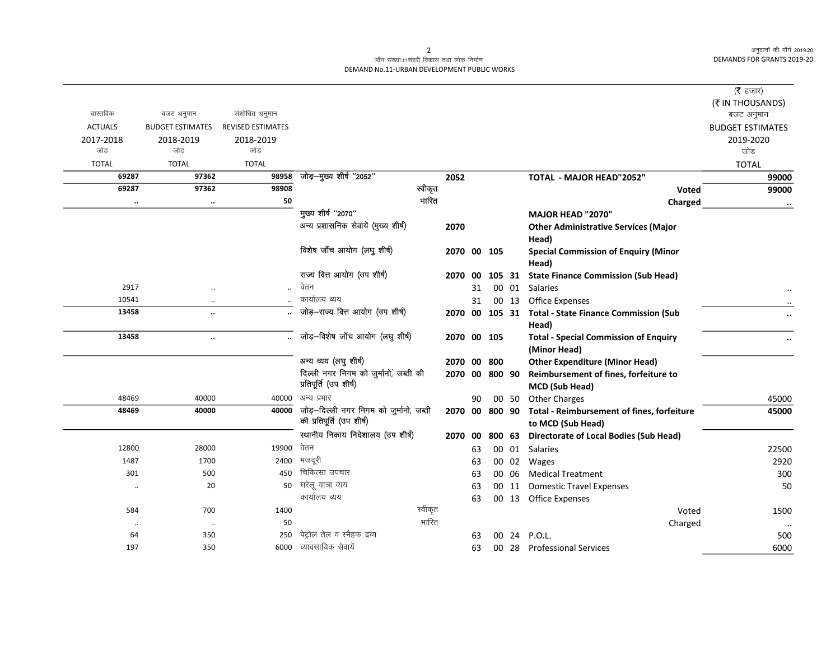### माँग संख्या.11शहरी विकास तथा लोक निर्माण DEMAND No.11-URBAN DEVELOPMENT PUBLIC WORKS

|                      |                         |                          |                                         |         |             |    |                |       |                                                      | ( $\bar{\tau}$ हजार)           |
|----------------------|-------------------------|--------------------------|-----------------------------------------|---------|-------------|----|----------------|-------|------------------------------------------------------|--------------------------------|
| वास्तविक             | बजट अनुमान              | संशोधित अनुमान           |                                         |         |             |    |                |       |                                                      | (₹ IN THOUSANDS)<br>बजट अनुमान |
| <b>ACTUALS</b>       | <b>BUDGET ESTIMATES</b> | <b>REVISED ESTIMATES</b> |                                         |         |             |    |                |       |                                                      | <b>BUDGET ESTIMATES</b>        |
| 2017-2018            | 2018-2019               | 2018-2019                |                                         |         |             |    |                |       |                                                      | 2019-2020                      |
| जोड                  | जोड                     | जोड                      |                                         |         |             |    |                |       |                                                      | जोड                            |
| <b>TOTAL</b>         | <b>TOTAL</b>            | <b>TOTAL</b>             |                                         |         |             |    |                |       |                                                      | <b>TOTAL</b>                   |
| 69287                | 97362                   | 98958                    | जोड़-मुख्य शीर्ष "2052"                 |         | 2052        |    |                |       | <b>TOTAL - MAJOR HEAD"2052"</b>                      | 99000                          |
| 69287                | 97362                   | 98908                    |                                         | स्वीकृत |             |    |                |       | <b>Voted</b>                                         | 99000                          |
| $\ddot{\phantom{a}}$ | $\cdot \cdot$           | 50                       |                                         | भारित   |             |    |                |       | Charged                                              |                                |
|                      |                         |                          | मुख्य शीर्ष "2070"                      |         |             |    |                |       | <b>MAJOR HEAD "2070"</b>                             |                                |
|                      |                         |                          | अन्य प्रशासनिक सेवायें (मुख्य शीर्ष)    |         | 2070        |    |                |       | <b>Other Administrative Services (Major</b>          |                                |
|                      |                         |                          | विशेष जाँच आयोग (लघु शीर्ष)             |         |             |    |                |       | Head)                                                |                                |
|                      |                         |                          |                                         |         | 2070 00     |    | 105            |       | <b>Special Commission of Enquiry (Minor</b><br>Head) |                                |
|                      |                         |                          | राज्य वित्त आयोग (उप शीर्ष)             |         | 2070 00     |    | 105 31         |       | <b>State Finance Commission (Sub Head)</b>           |                                |
| 2917                 | $\ddotsc$               |                          | वेतन                                    |         |             | 31 |                | 00 01 | Salaries                                             |                                |
| 10541                | $\cdot$                 |                          | कार्यालय व्यय                           |         |             | 31 |                | 00 13 | <b>Office Expenses</b>                               |                                |
| 13458                | $\ddot{\phantom{a}}$    |                          | जोड़-राज्य वित्त आयोग (उप शीर्ष)        |         | 2070 00     |    |                |       | 105 31 Total - State Finance Commission (Sub         |                                |
|                      |                         |                          |                                         |         |             |    |                |       | Head)                                                |                                |
| 13458                | $\ddotsc$               |                          | जोड़-विशेष जाँच आयोग (लघु शीर्ष)        |         | 2070 00 105 |    |                |       | <b>Total - Special Commission of Enquiry</b>         |                                |
|                      |                         |                          |                                         |         |             |    |                |       | (Minor Head)                                         |                                |
|                      |                         |                          | अन्य व्यय (लघु शीर्ष)                   |         | 2070 00     |    | 800            |       | <b>Other Expenditure (Minor Head)</b>                |                                |
|                      |                         |                          | दिल्ली नगर निगम को जुर्मानों, जब्ती की  |         | 2070 00     |    | 800 90         |       | Reimbursement of fines, forfeiture to                |                                |
|                      |                         |                          | प्रतिपूर्ति (उप शीर्ष)                  |         |             |    |                |       | MCD (Sub Head)                                       |                                |
| 48469                | 40000                   | 40000                    | अन्य प्रभार                             |         |             | 90 |                | 00 50 | <b>Other Charges</b>                                 | 45000                          |
| 48469                | 40000                   | 40000                    | जोड़-दिल्ली नगर निगम को जुर्मानो, जब्ती |         |             |    | 2070 00 800 90 |       | Total - Reimbursement of fines, forfeiture           | 45000                          |
|                      |                         |                          | की प्रतिपूर्ति (उप शीर्ष)               |         |             |    |                |       | to MCD (Sub Head)                                    |                                |
|                      |                         |                          | स्थानीय निकाय निदेशालय (उप शीर्ष)       |         | 2070        | 00 | 800 63         |       | <b>Directorate of Local Bodies (Sub Head)</b>        |                                |
| 12800                | 28000                   | 19900                    | वेतन                                    |         |             | 63 |                |       | 00 01 Salaries                                       | 22500                          |
| 1487                 | 1700                    | 2400                     | मजदूरी                                  |         |             | 63 |                | 00 02 | Wages                                                | 2920                           |
| 301                  | 500                     | 450                      | चिकित्सा उपचार                          |         |             | 63 |                | 00 06 | <b>Medical Treatment</b>                             | 300                            |
| $\ddot{\phantom{0}}$ | 20                      | 50                       | घरेलू यात्रा व्यय                       |         |             | 63 |                | 00 11 | <b>Domestic Travel Expenses</b>                      | 50                             |
|                      |                         |                          | कार्यालय व्यय                           |         |             | 63 |                | 00 13 | <b>Office Expenses</b>                               |                                |
| 584                  | 700                     | 1400                     |                                         | स्वीकृत |             |    |                |       | Voted                                                | 1500                           |
| $\ddotsc$            | $\ldots$                | 50                       |                                         | भारित   |             |    |                |       | Charged                                              |                                |
| 64                   | 350                     | 250                      | पेट्रोल तेल व स्नैहक द्रव्य             |         |             | 63 | 00             | -24   | P.O.L.                                               | 500                            |
| 197                  | 350                     | 6000                     | व्यावसायिक सेवायें                      |         |             | 63 |                |       | 00 28 Professional Services                          | 6000                           |

 $\overline{2}$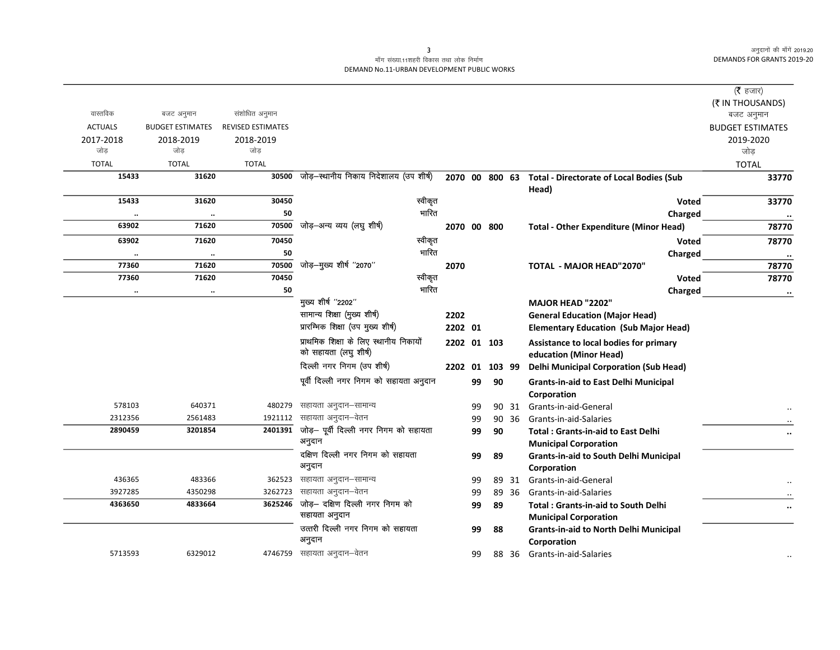#### माँग संख्या.11शहरी विकास तथा लोक निर्माण DEMAND No.11-URBAN DEVELOPMENT PUBLIC WORKS

|                |                         |                          |                                         |             |    |        |       |                                                                  | ( <b>रै</b> हजार)       |
|----------------|-------------------------|--------------------------|-----------------------------------------|-------------|----|--------|-------|------------------------------------------------------------------|-------------------------|
|                |                         |                          |                                         |             |    |        |       |                                                                  | (₹ IN THOUSANDS)        |
| वास्तविक       | बजट अनुमान              | संशोधित अनुमान           |                                         |             |    |        |       |                                                                  | बजट अनुमान              |
| <b>ACTUALS</b> | <b>BUDGET ESTIMATES</b> | <b>REVISED ESTIMATES</b> |                                         |             |    |        |       |                                                                  | <b>BUDGET ESTIMATES</b> |
| 2017-2018      | 2018-2019               | 2018-2019                |                                         |             |    |        |       |                                                                  | 2019-2020               |
| जोड            | जोड                     | जोड                      |                                         |             |    |        |       |                                                                  | जोड़                    |
| <b>TOTAL</b>   | <b>TOTAL</b>            | <b>TOTAL</b>             |                                         |             |    |        |       |                                                                  | <b>TOTAL</b>            |
| 15433          | 31620                   | 30500                    | जोड़–स्थानीय निकाय निदेशालय (उप शीर्ष)  |             |    |        |       | 2070 00 800 63 Total - Directorate of Local Bodies (Sub<br>Head) | 33770                   |
| 15433          | 31620                   | 30450                    | स्वीकृत                                 |             |    |        |       | <b>Voted</b>                                                     | 33770                   |
| $\ddotsc$      | $\ddotsc$               | 50                       | भारित                                   |             |    |        |       | Charged                                                          | $\cdot\cdot$            |
| 63902          | 71620                   | 70500                    | जोड़–अन्य व्यय (लघु शीर्ष)              | 2070 00 800 |    |        |       | <b>Total - Other Expenditure (Minor Head)</b>                    | 78770                   |
| 63902          | 71620                   | 70450                    | स्वीकृत                                 |             |    |        |       | <b>Voted</b>                                                     | 78770                   |
| $\ddotsc$      | $\ddotsc$               | 50                       | भारित                                   |             |    |        |       | Charged                                                          | $\ddotsc$               |
| 77360          | 71620                   | 70500                    | जोड़-मुख्य शीर्ष "2070"                 | 2070        |    |        |       | <b>TOTAL - MAJOR HEAD"2070"</b>                                  | 78770                   |
| 77360          | 71620                   | 70450                    | स्वीकृत                                 |             |    |        |       | Voted                                                            | 78770                   |
| $\ldots$       | $\ddotsc$               | 50                       | भारित                                   |             |    |        |       | Charged                                                          | $\ddotsc$               |
|                |                         |                          | मुख्य शीर्ष "2202"                      |             |    |        |       | <b>MAJOR HEAD "2202"</b>                                         |                         |
|                |                         |                          | सामान्य शिक्षा (मुख्य शीर्ष)            | 2202        |    |        |       | <b>General Education (Major Head)</b>                            |                         |
|                |                         |                          | प्रारम्भिक शिक्षा (उप मुख्य शीर्ष)      | 2202 01     |    |        |       | <b>Elementary Education (Sub Major Head)</b>                     |                         |
|                |                         |                          | प्राथमिक शिक्षा के लिए स्थानीय निकायों  | 2202 01 103 |    |        |       | Assistance to local bodies for primary                           |                         |
|                |                         |                          | को सहायता (लघु शीर्ष)                   |             |    |        |       | education (Minor Head)                                           |                         |
|                |                         |                          | दिल्ली नगर निगम (उप शीर्ष)              | 2202 01     |    | 103 99 |       | <b>Delhi Municipal Corporation (Sub Head)</b>                    |                         |
|                |                         |                          | पूर्वी दिल्ली नगर निगम को सहायता अनुदान |             | 99 | 90     |       | <b>Grants-in-aid to East Delhi Municipal</b>                     |                         |
|                |                         |                          |                                         |             |    |        |       | Corporation                                                      |                         |
| 578103         | 640371                  | 480279                   | सहायता अनुदान–सामान्य                   |             | 99 |        | 90 31 | Grants-in-aid-General                                            |                         |
| 2312356        | 2561483                 | 1921112                  | सहायता अनुदान–वेतन                      |             | 99 |        | 90 36 | Grants-in-aid-Salaries                                           |                         |
| 2890459        | 3201854                 | 2401391                  | जोड़- पूर्वी दिल्ली नगर निगम को सहायता  |             | 99 | 90     |       | <b>Total: Grants-in-aid to East Delhi</b>                        |                         |
|                |                         |                          | अनुदान                                  |             |    |        |       | <b>Municipal Corporation</b>                                     |                         |
|                |                         |                          | दक्षिण दिल्ली नगर निगम को सहायता        |             | 99 | 89     |       | <b>Grants-in-aid to South Delhi Municipal</b>                    |                         |
|                |                         |                          | अनुदान                                  |             |    |        |       | Corporation                                                      |                         |
| 436365         | 483366                  | 362523                   | सहायता अनुदान–सामान्य                   |             | 99 |        | 89 31 | Grants-in-aid-General                                            |                         |
| 3927285        | 4350298                 | 3262723                  | सहायता अनुदान–वेतन                      |             | 99 |        | 89 36 | Grants-in-aid-Salaries                                           |                         |
| 4363650        | 4833664                 | 3625246                  | जोड़- दक्षिण दिल्ली नगर निगम को         |             | 99 | 89     |       | <b>Total: Grants-in-aid to South Delhi</b>                       | $\ddotsc$               |
|                |                         |                          | सहायता अनुदान                           |             |    |        |       | <b>Municipal Corporation</b>                                     |                         |
|                |                         |                          | उत्तरी दिल्ली नगर निगम को सहायता        |             | 99 | 88     |       | <b>Grants-in-aid to North Delhi Municipal</b>                    |                         |
|                |                         |                          | अनुदान                                  |             |    |        |       | Corporation                                                      |                         |
| 5713593        | 6329012                 |                          | 4746759 सहायता अनुदान–वेतन              |             | 99 |        | 88 36 | Grants-in-aid-Salaries                                           |                         |
|                |                         |                          |                                         |             |    |        |       |                                                                  |                         |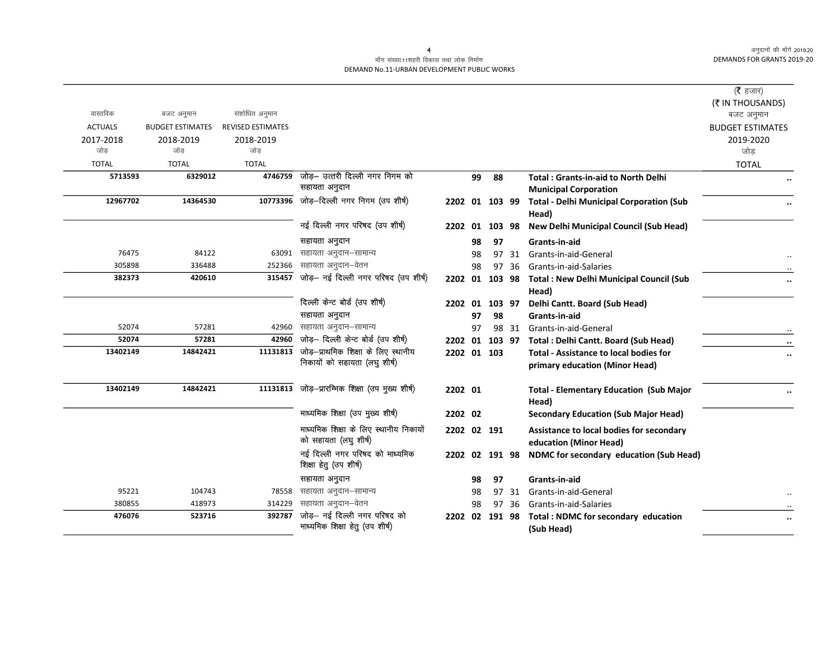$\overline{\phantom{0}}$ 

#### माँग संख्या.11शहरी विकास तथा लोक निर्माण DEMAND No.11-URBAN DEVELOPMENT PUBLIC WORKS

|                |                         |                          |                                                                 |                |    |           |       |                                                                            | ( $\bar{\tau}$ हजार)    |
|----------------|-------------------------|--------------------------|-----------------------------------------------------------------|----------------|----|-----------|-------|----------------------------------------------------------------------------|-------------------------|
|                |                         |                          |                                                                 |                |    |           |       |                                                                            | (₹ IN THOUSANDS)        |
| वास्तविक       | बजट अनुमान              | संशोधित अनुमान           |                                                                 |                |    |           |       |                                                                            | बजट अनुमान              |
| <b>ACTUALS</b> | <b>BUDGET ESTIMATES</b> | <b>REVISED ESTIMATES</b> |                                                                 |                |    |           |       |                                                                            | <b>BUDGET ESTIMATES</b> |
| 2017-2018      | 2018-2019               | 2018-2019                |                                                                 |                |    |           |       |                                                                            | 2019-2020               |
| जोड            | जोड                     | जोड                      |                                                                 |                |    |           |       |                                                                            | जोड                     |
| <b>TOTAL</b>   | <b>TOTAL</b>            | <b>TOTAL</b>             |                                                                 |                |    |           |       |                                                                            | <b>TOTAL</b>            |
| 5713593        | 6329012                 | 4746759                  | जोड़– उत्तरी दिल्ली नगर निगम को<br>सहायता अनुदान                |                | 99 | 88        |       | <b>Total: Grants-in-aid to North Delhi</b><br><b>Municipal Corporation</b> |                         |
| 12967702       | 14364530                | 10773396                 | जोड़-दिल्ली नगर निगम (उप शीर्ष)                                 | 2202 01 103 99 |    |           |       | <b>Total - Delhi Municipal Corporation (Sub</b><br>Head)                   |                         |
|                |                         |                          | नई दिल्ली नगर परिषद (उप शीर्ष)                                  | 2202           | 01 | 103 98    |       | <b>New Delhi Municipal Council (Sub Head)</b>                              |                         |
|                |                         |                          | सहायता अनुदान                                                   |                | 98 | 97        |       | <b>Grants-in-aid</b>                                                       |                         |
| 76475          | 84122                   | 63091                    | सहायता अनुदान–सामान्य                                           |                | 98 |           | 97 31 | Grants-in-aid-General                                                      |                         |
| 305898         | 336488                  | 252366                   | सहायता अनुदान–वेतन                                              |                | 98 |           | 97 36 | Grants-in-aid-Salaries                                                     |                         |
| 382373         | 420610                  | 315457                   | जोड़- नई दिल्ली नगर परिषद (उप शीर्ष)                            |                |    |           |       | 2202 01 103 98 Total : New Delhi Municipal Council (Sub<br>Head)           |                         |
|                |                         |                          | दिल्ली केन्ट बोर्ड (उप शीर्ष)                                   | 2202 01 103 97 |    |           |       | Delhi Cantt. Board (Sub Head)                                              |                         |
|                |                         |                          | सहायता अनुदान                                                   |                | 97 | 98        |       | Grants-in-aid                                                              |                         |
| 52074          | 57281                   | 42960                    | सहायता अनुदान-सामान्य                                           |                | 97 |           | 98 31 | Grants-in-aid-General                                                      |                         |
| 52074          | 57281                   | 42960                    | जोड़- दिल्ली केन्ट बोर्ड (उप शीर्ष)                             | 2202 01 103 97 |    |           |       | Total: Delhi Cantt. Board (Sub Head)                                       | $\ddot{\phantom{0}}$    |
| 13402149       | 14842421                | 11131813                 | जोड़-प्राथमिक शिक्षा के लिए स्थानीय                             | 2202 01 103    |    |           |       | <b>Total - Assistance to local bodies for</b>                              |                         |
|                |                         |                          | निकायों को सहायता (लघु शीर्ष)                                   |                |    |           |       | primary education (Minor Head)                                             |                         |
| 13402149       | 14842421                |                          | 11131813 जोड़-प्रारम्भिक शिक्षा (उप मुख्य शीर्ष)                | 2202 01        |    |           |       | <b>Total - Elementary Education (Sub Major</b><br>Head)                    |                         |
|                |                         |                          | माध्यमिक शिक्षा (उप मुख्य शीर्ष)                                | 2202 02        |    |           |       | <b>Secondary Education (Sub Major Head)</b>                                |                         |
|                |                         |                          | माध्यमिक शिक्षा के लिए स्थानीय निकायों<br>को सहायता (लघु शीर्ष) | 2202 02 191    |    |           |       | Assistance to local bodies for secondary<br>education (Minor Head)         |                         |
|                |                         |                          | नई दिल्ली नगर परिषद को माध्यमिक<br>शिक्षा हेतु (उप शीर्ष)       | 2202 02 191 98 |    |           |       | NDMC for secondary education (Sub Head)                                    |                         |
|                |                         |                          | सहायता अनुदान                                                   |                | 98 | 97        |       | Grants-in-aid                                                              |                         |
| 95221          | 104743                  | 78558                    | सहायता अनुदान–सामान्य                                           |                | 98 | 97        | 31    | Grants-in-aid-General                                                      |                         |
| 380855         | 418973                  | 314229                   | सहायता अनुदान–वेतन                                              |                | 98 | 97        | -36   | Grants-in-aid-Salaries                                                     |                         |
| 476076         | 523716                  | 392787                   | जोड़- नई दिल्ली नगर परिषद को                                    | 2202           |    | 02 191 98 |       | Total : NDMC for secondary education                                       | $\cdots$                |
|                |                         |                          | माध्यमिक शिक्षा हेतु (उप शीर्ष)                                 |                |    |           |       | (Sub Head)                                                                 |                         |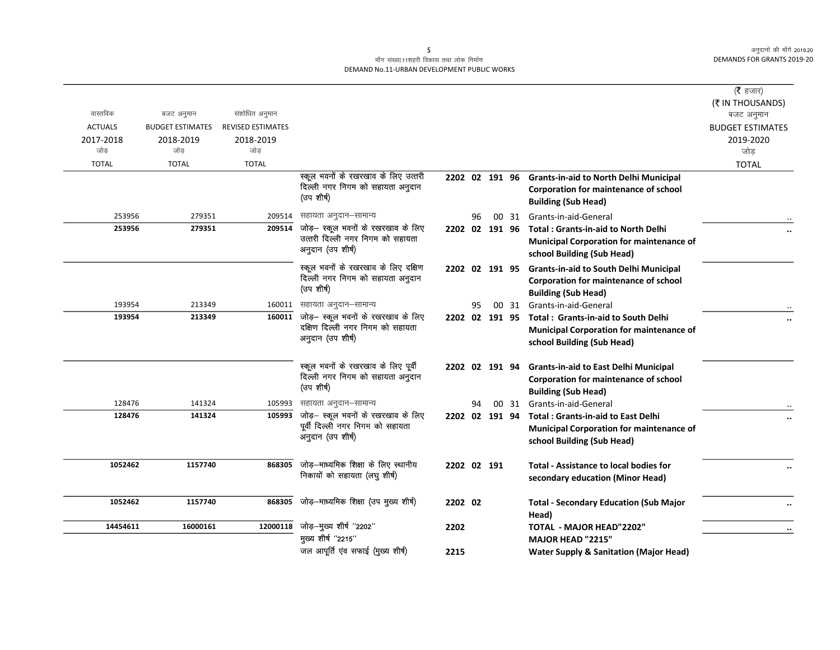### माँग संख्या.11शहरी विकास तथा लोक निर्माण DEMAND No.11-URBAN DEVELOPMENT PUBLIC WORKS

|                |                         |                          |                                                                                       |                |    |       |                                                                                                                              | ( $\bar{\tau}$ हजार)<br>(₹ IN THOUSANDS) |
|----------------|-------------------------|--------------------------|---------------------------------------------------------------------------------------|----------------|----|-------|------------------------------------------------------------------------------------------------------------------------------|------------------------------------------|
| वास्तविक       | बजट अनुमान              | संशोधित अनुमान           |                                                                                       |                |    |       |                                                                                                                              | बजट अनुमान                               |
| <b>ACTUALS</b> | <b>BUDGET ESTIMATES</b> | <b>REVISED ESTIMATES</b> |                                                                                       |                |    |       |                                                                                                                              | <b>BUDGET ESTIMATES</b>                  |
| 2017-2018      | 2018-2019               | 2018-2019                |                                                                                       |                |    |       |                                                                                                                              | 2019-2020                                |
| जोड            | जोड                     | जोड                      |                                                                                       |                |    |       |                                                                                                                              | जोड                                      |
| <b>TOTAL</b>   | <b>TOTAL</b>            | <b>TOTAL</b>             |                                                                                       |                |    |       |                                                                                                                              | <b>TOTAL</b>                             |
|                |                         |                          | स्कूल भवनों के रखरखाव के लिए उत्तरी<br>दिल्ली नगर निगम को सहायता अनुदान<br>(उप शीर्ष) |                |    |       | 2202 02 191 96 Grants-in-aid to North Delhi Municipal<br>Corporation for maintenance of school<br><b>Building (Sub Head)</b> |                                          |
| 253956         | 279351                  | 209514                   | सहायता अनुदान–सामान्य                                                                 |                | 96 |       | 00 31 Grants-in-aid-General                                                                                                  |                                          |
| 253956         | 279351                  | 209514                   | जोड़— स्कूल भवनों के रखरखाव के लिए                                                    |                |    |       | 2202 02 191 96 Total: Grants-in-aid to North Delhi                                                                           |                                          |
|                |                         |                          | उत्तरी दिल्ली नगर निगम को सहायता                                                      |                |    |       | <b>Municipal Corporation for maintenance of</b>                                                                              |                                          |
|                |                         |                          | अनुदान (उप शीर्ष)                                                                     |                |    |       | school Building (Sub Head)                                                                                                   |                                          |
|                |                         |                          | स्कूल भवनों के रखरखाव के लिए दक्षिण                                                   | 2202 02 191 95 |    |       | <b>Grants-in-aid to South Delhi Municipal</b>                                                                                |                                          |
|                |                         |                          | दिल्ली नगर निगम को सहायता अनुदान<br>(उप शीर्ष)                                        |                |    |       | <b>Corporation for maintenance of school</b>                                                                                 |                                          |
|                |                         |                          |                                                                                       |                |    |       | <b>Building (Sub Head)</b>                                                                                                   |                                          |
| 193954         | 213349                  |                          | 160011 सहायता अनुदान-सामान्य                                                          |                | 95 |       | 00 31 Grants-in-aid-General                                                                                                  |                                          |
| 193954         | 213349                  | 160011                   | जोड़— स्कूल भवनों के रखरखाव के लिए                                                    |                |    |       | 2202 02 191 95 Total: Grants-in-aid to South Delhi                                                                           |                                          |
|                |                         |                          | दक्षिण दिल्ली नगर निगम को सहायता<br>अनुदान (उप शीर्ष)                                 |                |    |       | <b>Municipal Corporation for maintenance of</b>                                                                              |                                          |
|                |                         |                          |                                                                                       |                |    |       | school Building (Sub Head)                                                                                                   |                                          |
|                |                         |                          | स्कूल भवनों के रखरखाव के लिए पूर्वी                                                   | 2202 02 191 94 |    |       | <b>Grants-in-aid to East Delhi Municipal</b>                                                                                 |                                          |
|                |                         |                          | दिल्ली नगर निगम को सहायता अनुदान                                                      |                |    |       | Corporation for maintenance of school                                                                                        |                                          |
|                |                         |                          | (उप शीर्ष)                                                                            |                |    |       | <b>Building (Sub Head)</b>                                                                                                   |                                          |
| 128476         | 141324                  | 105993                   | सहायता अनुदान–सामान्य                                                                 |                | 94 | 00 31 | Grants-in-aid-General                                                                                                        |                                          |
| 128476         | 141324                  | 105993                   | जोड़— स्कूल भवनों के रखरखाव के लिए                                                    | 2202 02 191 94 |    |       | <b>Total: Grants-in-aid to East Delhi</b>                                                                                    | $\ldots$                                 |
|                |                         |                          | पूर्वी दिल्ली नगर निगम को सहायता                                                      |                |    |       | <b>Municipal Corporation for maintenance of</b>                                                                              |                                          |
|                |                         |                          | अनुदान (उप शीर्ष)                                                                     |                |    |       | school Building (Sub Head)                                                                                                   |                                          |
| 1052462        | 1157740                 | 868305                   | जोड़-माध्यमिक शिक्षा के लिए स्थानीय                                                   |                |    |       |                                                                                                                              |                                          |
|                |                         |                          | निकायों को सहायता (लघु शीर्ष)                                                         | 2202 02 191    |    |       | <b>Total - Assistance to local bodies for</b>                                                                                | $\ldots$                                 |
|                |                         |                          |                                                                                       |                |    |       | secondary education (Minor Head)                                                                                             |                                          |
| 1052462        | 1157740                 | 868305                   | जोड़-माध्यमिक शिक्षा (उप मुख्य शीर्ष)                                                 | 2202 02        |    |       | <b>Total - Secondary Education (Sub Major</b>                                                                                |                                          |
|                |                         |                          |                                                                                       |                |    |       | Head)                                                                                                                        |                                          |
| 14454611       | 16000161                | 12000118                 | जोड़-मुख्य शीर्ष "2202"                                                               | 2202           |    |       | <b>TOTAL - MAJOR HEAD"2202"</b>                                                                                              | $\ddot{\phantom{0}}$                     |
|                |                         |                          | मुख्य शीर्ष "2215"                                                                    |                |    |       | <b>MAJOR HEAD "2215"</b>                                                                                                     |                                          |
|                |                         |                          | जल आपूर्ति एव सफाई (मुख्य शीर्ष)                                                      | 2215           |    |       | <b>Water Supply &amp; Sanitation (Major Head)</b>                                                                            |                                          |
|                |                         |                          |                                                                                       |                |    |       |                                                                                                                              |                                          |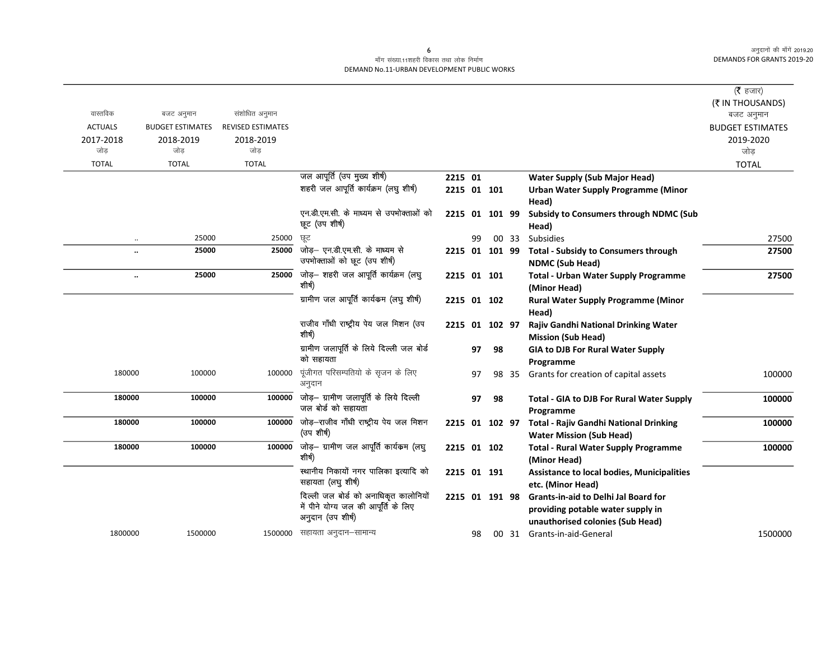### माँग संख्या.11शहरी विकास तथा लोक निर्माण DEMAND No.11-URBAN DEVELOPMENT PUBLIC WORKS

|                      |                         |                          |                                                             |                |    |        |       |                                                                        | ( $\bar{\tau}$ हजार)<br>(₹ IN THOUSANDS) |
|----------------------|-------------------------|--------------------------|-------------------------------------------------------------|----------------|----|--------|-------|------------------------------------------------------------------------|------------------------------------------|
| वास्तविक             | बजट अनुमान              | संशोधित अनुमान           |                                                             |                |    |        |       |                                                                        | बजट अनुमान                               |
| <b>ACTUALS</b>       | <b>BUDGET ESTIMATES</b> | <b>REVISED ESTIMATES</b> |                                                             |                |    |        |       |                                                                        | <b>BUDGET ESTIMATES</b>                  |
| 2017-2018<br>जोड     | 2018-2019<br>जोड        | 2018-2019<br>जोड         |                                                             |                |    |        |       |                                                                        | 2019-2020<br>जोड                         |
| <b>TOTAL</b>         | <b>TOTAL</b>            | <b>TOTAL</b>             |                                                             |                |    |        |       |                                                                        | <b>TOTAL</b>                             |
|                      |                         |                          | जल आपूर्ति (उप मुख्य शीर्ष)                                 | 2215 01        |    |        |       | <b>Water Supply (Sub Major Head)</b>                                   |                                          |
|                      |                         |                          | शहरी जल आपूर्ति कार्यक्रम (लघु शीर्ष)                       | 2215 01 101    |    |        |       | Urban Water Supply Programme (Minor                                    |                                          |
|                      |                         |                          |                                                             |                |    |        |       | Head)                                                                  |                                          |
|                      |                         |                          | एन.डी.एम.सी. के माध्यम से उपभोक्ताओं को                     | 2215 01 101 99 |    |        |       | <b>Subsidy to Consumers through NDMC (Sub</b>                          |                                          |
|                      |                         |                          | छूट (उप शीर्ष)                                              |                |    |        |       | Head)                                                                  |                                          |
| $\cdot\cdot$         | 25000                   | 25000                    | ਲ੍ਰਟ                                                        |                | 99 |        | 00 33 | Subsidies                                                              | 27500                                    |
| $\ddot{\phantom{a}}$ | 25000                   | 25000                    | जोड़- एन.डी.एम.सी. के माध्यम से                             | 2215 01 101 99 |    |        |       | <b>Total - Subsidy to Consumers through</b>                            | 27500                                    |
|                      |                         |                          | उपभोक्ताओं को छूट (उप शीर्ष)                                |                |    |        |       | <b>NDMC (Sub Head)</b>                                                 |                                          |
| $\ddotsc$            | 25000                   |                          | $25000$ जोड़- शहरी जल आपूर्ति कार्यक्रम (लघु                | 2215 01 101    |    |        |       | <b>Total - Urban Water Supply Programme</b>                            | 27500                                    |
|                      |                         |                          | शीर्ष)                                                      |                |    |        |       | (Minor Head)                                                           |                                          |
|                      |                         |                          | ग्रामीण जल आपूर्ति कार्यकम (लघु शीर्ष)                      | 2215 01 102    |    |        |       | <b>Rural Water Supply Programme (Minor</b>                             |                                          |
|                      |                         |                          |                                                             |                |    |        |       | Head)                                                                  |                                          |
|                      |                         |                          | राजीव गाँधी राष्ट्रीय पेय जल मिशन (उप<br>शीर्ष)             | 2215 01        |    | 102 97 |       | Rajiv Gandhi National Drinking Water                                   |                                          |
|                      |                         |                          | ग्रामीण जलापूर्ति के लिये दिल्ली जल बोर्ड                   |                |    |        |       | <b>Mission (Sub Head)</b>                                              |                                          |
|                      |                         |                          | को सहायता                                                   |                | 97 | 98     |       | <b>GIA to DJB For Rural Water Supply</b>                               |                                          |
| 180000               | 100000                  | 100000                   | पूंजीगत परिसम्पतियो के सृजन के लिए                          |                | 97 |        | 98 35 | Programme<br>Grants for creation of capital assets                     | 100000                                   |
|                      |                         |                          | अनुदान                                                      |                |    |        |       |                                                                        |                                          |
| 180000               | 100000                  | 100000                   | जोड़— ग्रामीण जलापूर्ति के लिये दिल्ली                      |                | 97 | 98     |       | Total - GIA to DJB For Rural Water Supply                              | 100000                                   |
|                      |                         |                          | जल बोर्ड को सहायता                                          |                |    |        |       | Programme                                                              |                                          |
| 180000               | 100000                  | 100000                   | जोड़–राजीव गाँधी राष्ट्रीय पेय जल मिशन                      | 2215 01 102 97 |    |        |       | <b>Total - Rajiv Gandhi National Drinking</b>                          | 100000                                   |
|                      |                         |                          | (उप शीर्ष)                                                  |                |    |        |       | <b>Water Mission (Sub Head)</b>                                        |                                          |
| 180000               | 100000                  | 100000                   | जोड़— ग्रामीण जल आपूर्ति कार्यकम (लघु                       | 2215 01 102    |    |        |       | <b>Total - Rural Water Supply Programme</b>                            | 100000                                   |
|                      |                         |                          | शीर्ष)                                                      |                |    |        |       | (Minor Head)                                                           |                                          |
|                      |                         |                          | स्थानीय निकायों नगर पालिका इत्यादि को<br>सहायता (लघु शीर्ष) | 2215 01 191    |    |        |       | <b>Assistance to local bodies, Municipalities</b><br>etc. (Minor Head) |                                          |
|                      |                         |                          | दिल्ली जल बोर्ड को अनाधिकृत कालोनियों                       | 2215 01 191 98 |    |        |       | <b>Grants-in-aid to Delhi Jal Board for</b>                            |                                          |
|                      |                         |                          | में पीने योग्य जल की आपूर्ति के लिए                         |                |    |        |       | providing potable water supply in                                      |                                          |
|                      |                         |                          | अनुदान (उप शीर्ष)                                           |                |    |        |       | unauthorised colonies (Sub Head)                                       |                                          |
| 1800000              | 1500000                 |                          | 1500000 सहायता अनुदान-सामान्य                               |                | 98 |        |       | 00 31 Grants-in-aid-General                                            | 1500000                                  |

 $\epsilon$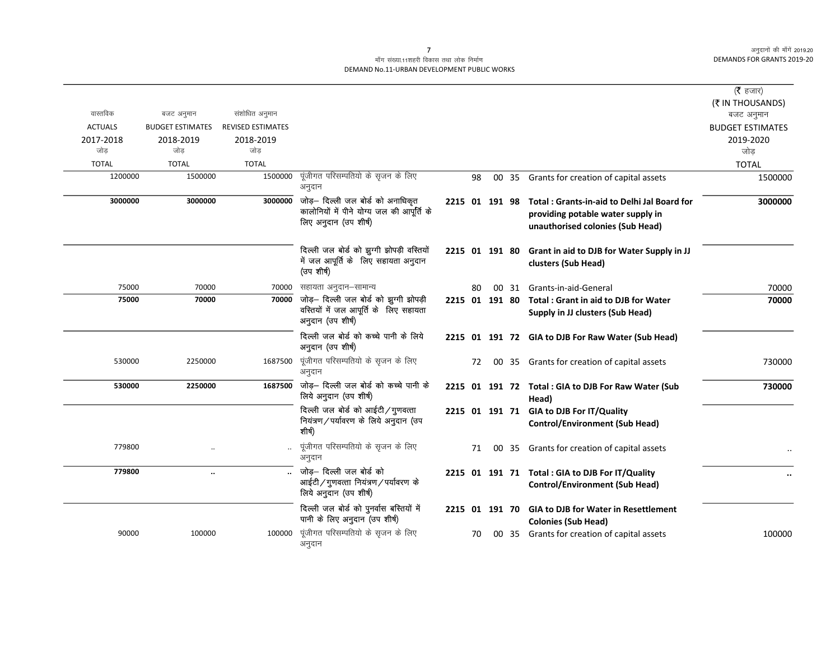#### माँग संख्या.11शहरी विकास तथा लोक निर्माण DEMAND No.11-URBAN DEVELOPMENT PUBLIC WORKS

| वास्तविक<br><b>ACTUALS</b><br>2017-2018<br>जोड़<br><b>TOTAL</b><br>1200000 | बजट अनुमान<br><b>BUDGET ESTIMATES</b><br>2018-2019<br>जोड<br><b>TOTAL</b><br>1500000 | संशोधित अनुमान<br><b>REVISED ESTIMATES</b><br>2018-2019<br>जोड<br><b>TOTAL</b><br>1500000 | पूंजीगत परिसम्पतियो के सृजन के लिए<br>अनुदान                                                            |                | 98 | 00 35 | Grants for creation of capital assets                                                                                | (रै हजार)<br>(₹ IN THOUSANDS)<br>बजट अनुमान<br><b>BUDGET ESTIMATES</b><br>2019-2020<br>जोड<br><b>TOTAL</b><br>1500000 |
|----------------------------------------------------------------------------|--------------------------------------------------------------------------------------|-------------------------------------------------------------------------------------------|---------------------------------------------------------------------------------------------------------|----------------|----|-------|----------------------------------------------------------------------------------------------------------------------|-----------------------------------------------------------------------------------------------------------------------|
| 3000000                                                                    | 3000000                                                                              | 3000000                                                                                   | जोड़— दिल्ली जल बोर्ड को अनाधिकृत<br>कालोनियों में पीने योग्य जल की आपूर्ति के<br>लिए अनुदान (उप शीर्ष) | 2215 01 191 98 |    |       | Total: Grants-in-aid to Delhi Jal Board for<br>providing potable water supply in<br>unauthorised colonies (Sub Head) | 3000000                                                                                                               |
|                                                                            |                                                                                      |                                                                                           | दिल्ली जल बोर्ड को झुग्गी झोपड़ी वस्तियों<br>में जल आपूर्ति के लिए सहायता अनुदान<br>(उप शीर्ष)          | 2215 01 191 80 |    |       | Grant in aid to DJB for Water Supply in JJ<br>clusters (Sub Head)                                                    |                                                                                                                       |
| 75000                                                                      | 70000                                                                                | 70000                                                                                     | सहायता अनुदान–सामान्य                                                                                   |                | 80 | 00 31 | Grants-in-aid-General                                                                                                | 70000                                                                                                                 |
| 75000                                                                      | 70000                                                                                | 70000                                                                                     | जोड़- दिल्ली जल बोर्ड को झुग्गी झोपड़ी<br>वस्तियों में जल आपूर्ति के लिए सहायता<br>अनुदान (उप शीर्ष)    | 2215 01 191 80 |    |       | Total: Grant in aid to DJB for Water<br>Supply in JJ clusters (Sub Head)                                             | 70000                                                                                                                 |
|                                                                            |                                                                                      |                                                                                           | दिल्ली जल बोर्ड को कच्चे पानी के लिये<br>अनुदान (उप शीर्ष)                                              |                |    |       | 2215 01 191 72 GIA to DJB For Raw Water (Sub Head)                                                                   |                                                                                                                       |
| 530000                                                                     | 2250000                                                                              | 1687500                                                                                   | पूंजीगत परिसम्पतियो के सृजन के लिए<br>अनुदान                                                            |                | 72 |       | 00 35 Grants for creation of capital assets                                                                          | 730000                                                                                                                |
| 530000                                                                     | 2250000                                                                              | 1687500                                                                                   | जोड़- दिल्ली जल बोर्ड को कच्चे पानी के<br>लिये अनुदान (उप शीर्ष)                                        |                |    |       | 2215 01 191 72 Total : GIA to DJB For Raw Water (Sub<br>Head)                                                        | 730000                                                                                                                |
|                                                                            |                                                                                      |                                                                                           | दिल्ली जल बोर्ड को आईटी/गुणवत्ता<br>नियंत्रण/पर्यावरण के लिये अनुदान (उप<br>शीर्ष)                      |                |    |       | 2215 01 191 71 GIA to DJB For IT/Quality<br><b>Control/Environment (Sub Head)</b>                                    |                                                                                                                       |
| 779800                                                                     |                                                                                      |                                                                                           | पूंजीगत परिसम्पतियो के सृजन के लिए<br>अनुदान                                                            |                | 71 | 00 35 | Grants for creation of capital assets                                                                                |                                                                                                                       |
| 779800                                                                     | $\ddotsc$                                                                            |                                                                                           | जोड़— दिल्ली जल बोर्ड को<br>आईटी/गुणवत्ता नियंत्रण/पर्यावरण के<br>लिये अनुदान (उप शीर्ष)                |                |    |       | 2215 01 191 71 Total : GIA to DJB For IT/Quality<br><b>Control/Environment (Sub Head)</b>                            |                                                                                                                       |
|                                                                            |                                                                                      |                                                                                           | दिल्ली जल बोर्ड को पुनर्वास बस्तियों में<br>पानी के लिए अनुदान (उप शीर्ष)                               | 2215 01 191 70 |    |       | <b>GIA to DJB for Water in Resettlement</b><br><b>Colonies (Sub Head)</b>                                            |                                                                                                                       |
| 90000                                                                      | 100000                                                                               | 100000                                                                                    | पूंजीगत परिसम्पतियो के सृजन के लिए<br>अनुदान                                                            |                | 70 |       | 00 35 Grants for creation of capital assets                                                                          | 100000                                                                                                                |

 $\overline{7}$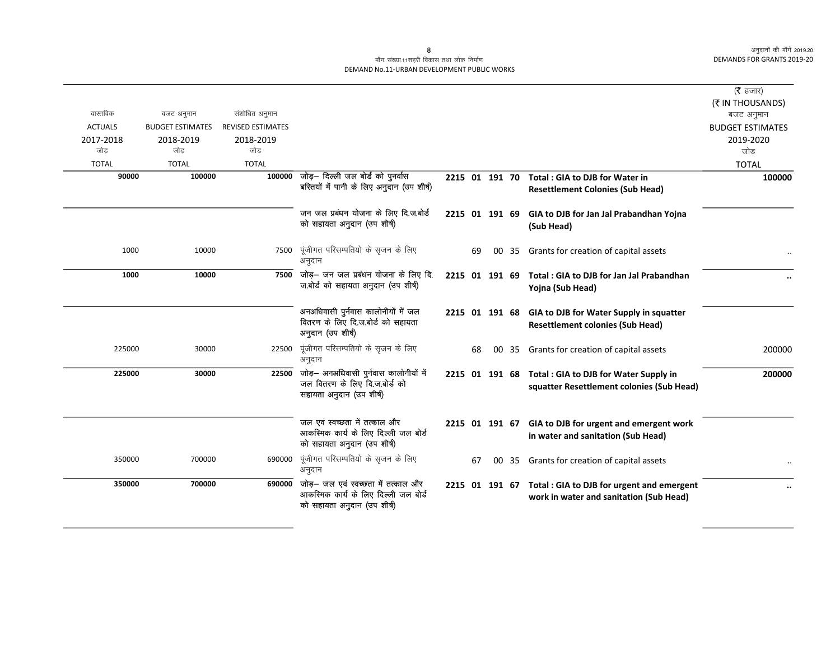### माँग संख्या.11शहरी विकास तथा लोक निर्माण DEMAND No.11-URBAN DEVELOPMENT PUBLIC WORKS

|                |                         |                          |                                                                                                                                |                |    |    |       |                                                                                                     | ( <b>रै</b> हजार)              |
|----------------|-------------------------|--------------------------|--------------------------------------------------------------------------------------------------------------------------------|----------------|----|----|-------|-----------------------------------------------------------------------------------------------------|--------------------------------|
| वास्तविक       | बजट अनुमान              | संशोधित अनुमान           |                                                                                                                                |                |    |    |       |                                                                                                     | (₹ IN THOUSANDS)<br>बजट अनुमान |
| <b>ACTUALS</b> | <b>BUDGET ESTIMATES</b> | <b>REVISED ESTIMATES</b> |                                                                                                                                |                |    |    |       |                                                                                                     | <b>BUDGET ESTIMATES</b>        |
| 2017-2018      | 2018-2019               | 2018-2019                |                                                                                                                                |                |    |    |       |                                                                                                     | 2019-2020                      |
| जोड            | जोड                     | जोड                      |                                                                                                                                |                |    |    |       |                                                                                                     | जोड                            |
| <b>TOTAL</b>   | <b>TOTAL</b>            | <b>TOTAL</b>             |                                                                                                                                |                |    |    |       |                                                                                                     | <b>TOTAL</b>                   |
| 90000          | 100000                  |                          | 100000 जोड़- दिल्ली जल बोर्ड को पुनर्वास<br>बस्तियों में पानी के लिए अनुदान (उप शीर्ष)                                         | 2215 01 191 70 |    |    |       | Total: GIA to DJB for Water in<br><b>Resettlement Colonies (Sub Head)</b>                           | 100000                         |
|                |                         |                          | जन जल प्रबंधन योजना के लिए दि.ज.बोर्ड<br>को सहायता अनुदान (उप शीर्ष)                                                           | 2215 01 191 69 |    |    |       | GIA to DJB for Jan Jal Prabandhan Yojna<br>(Sub Head)                                               |                                |
| 1000           | 10000                   | 7500                     | पूंजीगत परिसम्पतियो के सृजन के लिए<br>अनुदान                                                                                   |                | 69 | 00 | 35    | Grants for creation of capital assets                                                               |                                |
| 1000           | 10000                   | 7500                     | जोड़— जन जल प्रबंधन योजना के लिए दि.<br>ज.बोर्ड को सहायता अनुदान (उप शीर्ष)                                                    | 2215 01 191 69 |    |    |       | Total: GIA to DJB for Jan Jal Prabandhan<br>Yojna (Sub Head)                                        |                                |
|                |                         |                          | अनअधिवासी पुर्नवास कालोनीयों में जल<br>वितरण के लिए दि.ज.बोर्ड को सहायता<br>अनुदान (उप शीर्ष)                                  |                |    |    |       | 2215 01 191 68 GIA to DJB for Water Supply in squatter<br><b>Resettlement colonies (Sub Head)</b>   |                                |
| 225000         | 30000                   | 22500                    | पूंजीगत परिसम्पतियो के सृजन के लिए<br>अनुदान                                                                                   |                | 68 | 00 | 35    | Grants for creation of capital assets                                                               | 200000                         |
| 225000         | 30000                   | 22500                    | जोड़— अनअधिवासी पुर्नवास कालोनीयों में<br>जल वितरण के लिए दि.ज.बोर्ड को<br>सहायता अनुदान (उप शीर्ष)                            |                |    |    |       | 2215 01 191 68 Total : GIA to DJB for Water Supply in<br>squatter Resettlement colonies (Sub Head)  | 200000                         |
|                |                         |                          | जल एवं स्वच्छता में तत्काल और<br>आकस्मिक कार्य के लिए दिल्ली जल बोर्ड<br>को सहायता अनुदान (उप शीर्ष)                           |                |    |    |       | 2215 01 191 67 GIA to DJB for urgent and emergent work<br>in water and sanitation (Sub Head)        |                                |
| 350000         | 700000                  | 690000                   | पूंजीगत परिसम्पतियो के सृजन के लिए<br>अनुदान                                                                                   |                | 67 |    | 00 35 | Grants for creation of capital assets                                                               |                                |
| 350000         | 700000                  |                          | $\overline{690000}$ जोड़- जल एवं स्वच्छता में तत्काल और<br>आकस्मिक कार्य के लिए दिल्ली जल बोर्ड<br>को सहायता अनुदान (उप शीर्ष) |                |    |    |       | 2215 01 191 67 Total: GIA to DJB for urgent and emergent<br>work in water and sanitation (Sub Head) |                                |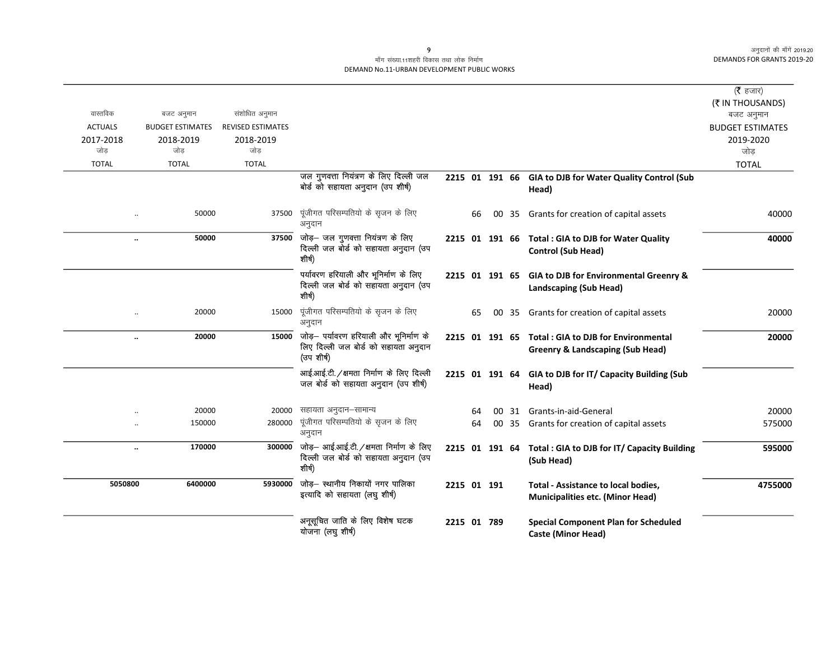### माँग संख्या.11शहरी विकास तथा लोक निर्माण DEMAND No.11-URBAN DEVELOPMENT PUBLIC WORKS

|                |                               |                          |                                                                                                    |             |    |                 |       |                                                                                                   | (रै हजार)               |
|----------------|-------------------------------|--------------------------|----------------------------------------------------------------------------------------------------|-------------|----|-----------------|-------|---------------------------------------------------------------------------------------------------|-------------------------|
|                |                               |                          |                                                                                                    |             |    |                 |       |                                                                                                   | (₹ IN THOUSANDS)        |
| वास्तविक       | बजट अनुमान                    | संशोधित अनुमान           |                                                                                                    |             |    |                 |       |                                                                                                   | बजट अनुमान              |
| <b>ACTUALS</b> | <b>BUDGET ESTIMATES</b>       | <b>REVISED ESTIMATES</b> |                                                                                                    |             |    |                 |       |                                                                                                   | <b>BUDGET ESTIMATES</b> |
| 2017-2018      | 2018-2019                     | 2018-2019                |                                                                                                    |             |    |                 |       |                                                                                                   | 2019-2020               |
| जोड            | जोड                           | जोड                      |                                                                                                    |             |    |                 |       |                                                                                                   | जोड                     |
| <b>TOTAL</b>   | <b>TOTAL</b>                  | <b>TOTAL</b>             |                                                                                                    |             |    |                 |       |                                                                                                   | <b>TOTAL</b>            |
|                |                               |                          | जल गुणवत्ता नियंत्रण के लिए दिल्ली जल<br>बोर्ड को सहायता अनुदान (उप शीर्ष)                         |             |    |                 |       | 2215 01 191 66 GIA to DJB for Water Quality Control (Sub<br>Head)                                 |                         |
|                | 50000                         | 37500                    | पूंजीगत परिसम्पतियो के सृजन के लिए<br>अनुदान                                                       |             | 66 |                 | 00 35 | Grants for creation of capital assets                                                             | 40000                   |
|                | 50000<br>$\ddot{\phantom{0}}$ |                          | 37500 जोड़- जल गुणवत्ता नियंत्रण के लिए<br>दिल्ली जल बोर्ड को सहायता अनुदान (उप<br>शीर्ष)          |             |    |                 |       | 2215 01 191 66 Total : GIA to DJB for Water Quality<br><b>Control (Sub Head)</b>                  | 40000                   |
|                |                               |                          | पर्यावरण हरियाली और भूनिर्माण के लिए<br>दिल्ली जल बोर्ड को सहायता अनुदान (उप<br>शीर्ष)             |             |    |                 |       | 2215 01 191 65 GIA to DJB for Environmental Greenry &<br>Landscaping (Sub Head)                   |                         |
|                | 20000                         | 15000                    | पूंजीगत परिसम्पतियो के सृजन के लिए<br>अनुदान                                                       |             | 65 |                 | 00 35 | Grants for creation of capital assets                                                             | 20000                   |
|                | 20000<br>$\ddot{\phantom{0}}$ |                          | 15000 जोड़- पर्यावरण हरियाली और भूनिर्माण के<br>लिए दिल्ली जल बोर्ड को सहायता अनुदान<br>(उप शीर्ष) |             |    |                 |       | 2215 01 191 65 Total: GIA to DJB for Environmental<br><b>Greenry &amp; Landscaping (Sub Head)</b> | 20000                   |
|                |                               |                          | आई.आई.टी. /क्षमता निर्माण के लिए दिल्ली<br>जल बोर्ड को सहायता अनुदान (उप शीर्ष)                    |             |    |                 |       | 2215 01 191 64 GIA to DJB for IT/ Capacity Building (Sub<br>Head)                                 |                         |
|                | 20000                         | 20000                    | सहायता अनुदान–सामान्य                                                                              |             | 64 | 00 <sup>1</sup> | 31    | Grants-in-aid-General                                                                             | 20000                   |
|                | 150000                        | 280000                   | पूंजीगत परिसम्पतियो के सृजन के लिए<br>अनुदान                                                       |             | 64 | 00              | 35    | Grants for creation of capital assets                                                             | 575000                  |
|                | 170000<br>                    |                          | 300000 जोड़- आई.आई.टी. / क्षमता निर्माण के लिए<br>दिल्ली जल बोर्ड को सहायता अनुदान (उप<br>शीर्ष)   |             |    |                 |       | 2215 01 191 64 Total : GIA to DJB for IT/ Capacity Building<br>(Sub Head)                         | 595000                  |
| 5050800        | 6400000                       | 5930000                  | जोड़- स्थानीय निकायों नगर पालिका<br>इत्यादि को सहायता (लघु शीर्ष)                                  | 2215 01 191 |    |                 |       | <b>Total - Assistance to local bodies,</b><br><b>Municipalities etc. (Minor Head)</b>             | 4755000                 |
|                |                               |                          | अनूसूचित जाति के लिए विशेष घटक<br>योजना (लघु शीर्ष)                                                | 2215 01 789 |    |                 |       | <b>Special Component Plan for Scheduled</b><br><b>Caste (Minor Head)</b>                          |                         |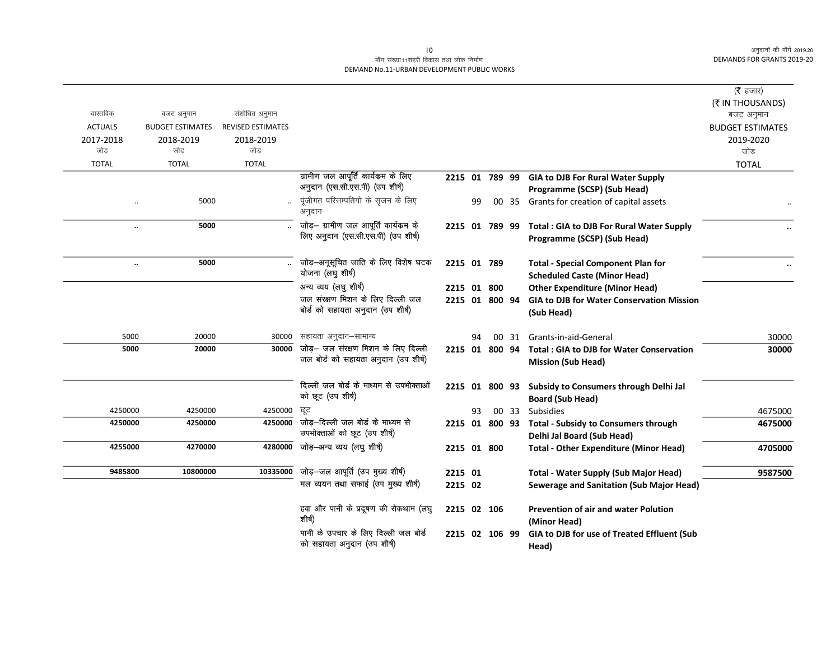### माँग संख्या.11शहरी विकास तथा लोक निर्माण DEMAND No.11-URBAN DEVELOPMENT PUBLIC WORKS

|                      |                         |                          |                                         |                |    |       |                                                                           | (रै हजार)<br>(₹ IN THOUSANDS) |
|----------------------|-------------------------|--------------------------|-----------------------------------------|----------------|----|-------|---------------------------------------------------------------------------|-------------------------------|
| वास्तविक             | बजट अनुमान              | संशोधित अनुमान           |                                         |                |    |       |                                                                           | बजट अनुमान                    |
| <b>ACTUALS</b>       | <b>BUDGET ESTIMATES</b> | <b>REVISED ESTIMATES</b> |                                         |                |    |       |                                                                           | <b>BUDGET ESTIMATES</b>       |
| 2017-2018<br>जोड     | 2018-2019<br>जोड        | 2018-2019<br>जोड         |                                         |                |    |       |                                                                           | 2019-2020<br>जोड़             |
| <b>TOTAL</b>         | <b>TOTAL</b>            | <b>TOTAL</b>             |                                         |                |    |       |                                                                           |                               |
|                      |                         |                          | ग्रामीण जल आपूर्ति कार्यकम के लिए       |                |    |       |                                                                           | <b>TOTAL</b>                  |
|                      |                         |                          | अनुदान (एस.सी.एस.पी) (उप शीर्ष)         | 2215 01 789 99 |    |       | <b>GIA to DJB For Rural Water Supply</b><br>Programme (SCSP) (Sub Head)   |                               |
| $\ddot{\phantom{a}}$ | 5000                    |                          | पूंजीगत परिसम्पतियो के सृजन के लिए      |                | 99 |       | 00 35 Grants for creation of capital assets                               |                               |
|                      |                         |                          | अनुदान                                  |                |    |       |                                                                           |                               |
| $\ddot{\phantom{0}}$ | 5000                    |                          | जोड़— ग्रामीण जल आपूर्ति कार्यकम के     | 2215 01 789 99 |    |       | Total: GIA to DJB For Rural Water Supply                                  |                               |
|                      |                         |                          | लिए अनुदान (एस.सी.एस.पी) (उप शीर्ष)     |                |    |       | Programme (SCSP) (Sub Head)                                               |                               |
|                      |                         |                          |                                         |                |    |       |                                                                           |                               |
|                      | 5000                    |                          | जोड़-अनूसूचित जाति के लिए विशेष घटक     | 2215 01 789    |    |       | <b>Total - Special Component Plan for</b>                                 | $\ddot{\phantom{0}}$          |
|                      |                         |                          | योजना (लघु शीर्ष)                       |                |    |       | <b>Scheduled Caste (Minor Head)</b>                                       |                               |
|                      |                         |                          | अन्य व्यय (लघु शीर्ष)                   | 2215 01 800    |    |       | <b>Other Expenditure (Minor Head)</b>                                     |                               |
|                      |                         |                          | जल संरक्षण मिशन के लिए दिल्ली जल        | 2215 01 800 94 |    |       | <b>GIA to DJB for Water Conservation Mission</b>                          |                               |
|                      |                         |                          | बोर्ड को सहायता अनुदान (उप शीर्ष)       |                |    |       | (Sub Head)                                                                |                               |
|                      |                         |                          |                                         |                |    |       |                                                                           |                               |
| 5000                 | 20000                   | 30000                    | सहायता अनुदान–सामान्य                   |                | 94 | 00 31 | Grants-in-aid-General                                                     | 30000                         |
| 5000                 | 20000                   | 30000                    | जोड़— जल संरक्षण मिशन के लिए दिल्ली     | 2215 01 800 94 |    |       | <b>Total: GIA to DJB for Water Conservation</b>                           | 30000                         |
|                      |                         |                          | जल बोर्ड को सहायता अनुदान (उप शीर्ष)    |                |    |       | <b>Mission (Sub Head)</b>                                                 |                               |
|                      |                         |                          | दिल्ली जल बोर्ड के माध्यम से उपभोक्ताओं |                |    |       |                                                                           |                               |
|                      |                         |                          | को छूट (उप शीर्ष)                       | 2215 01 800 93 |    |       | Subsidy to Consumers through Delhi Jal                                    |                               |
| 4250000              | 4250000                 | 4250000                  | छूट                                     |                |    | 00 33 | <b>Board (Sub Head)</b><br>Subsidies                                      | 4675000                       |
| 4250000              | 4250000                 | 4250000                  | जोड़—दिल्ली जल बोर्ड के माध्यम से       |                | 93 |       |                                                                           |                               |
|                      |                         |                          | उपभोक्ताओं को छूट (उप शीर्ष)            | 2215 01 800 93 |    |       | <b>Total - Subsidy to Consumers through</b><br>Delhi Jal Board (Sub Head) | 4675000                       |
| 4255000              | 4270000                 | 4280000                  | जोड़–अन्य व्यय (लघु शीर्ष)              | 2215 01 800    |    |       | <b>Total - Other Expenditure (Minor Head)</b>                             | 4705000                       |
|                      |                         |                          |                                         |                |    |       |                                                                           |                               |
| 9485800              | 10800000                | 10335000                 | जोड़-जल आपूर्ति (उप मुख्य शीर्ष)        | 2215 01        |    |       | <b>Total - Water Supply (Sub Major Head)</b>                              | 9587500                       |
|                      |                         |                          | मल व्ययन तथा सफाई (उप मुख्य शीर्ष)      | 2215 02        |    |       | Sewerage and Sanitation (Sub Major Head)                                  |                               |
|                      |                         |                          |                                         |                |    |       |                                                                           |                               |
|                      |                         |                          | हवा और पानी के प्रदूषण की रोकथाम (लघु   | 2215 02 106    |    |       | <b>Prevention of air and water Polution</b>                               |                               |
|                      |                         |                          | शीर्ष)                                  |                |    |       | (Minor Head)                                                              |                               |
|                      |                         |                          | पानी के उपचार के लिए दिल्ली जल बोर्ड    | 2215 02 106 99 |    |       | GIA to DJB for use of Treated Effluent (Sub                               |                               |
|                      |                         |                          | को सहायता अनुदान (उप शीर्ष)             |                |    |       | Head)                                                                     |                               |

 $\overline{10}$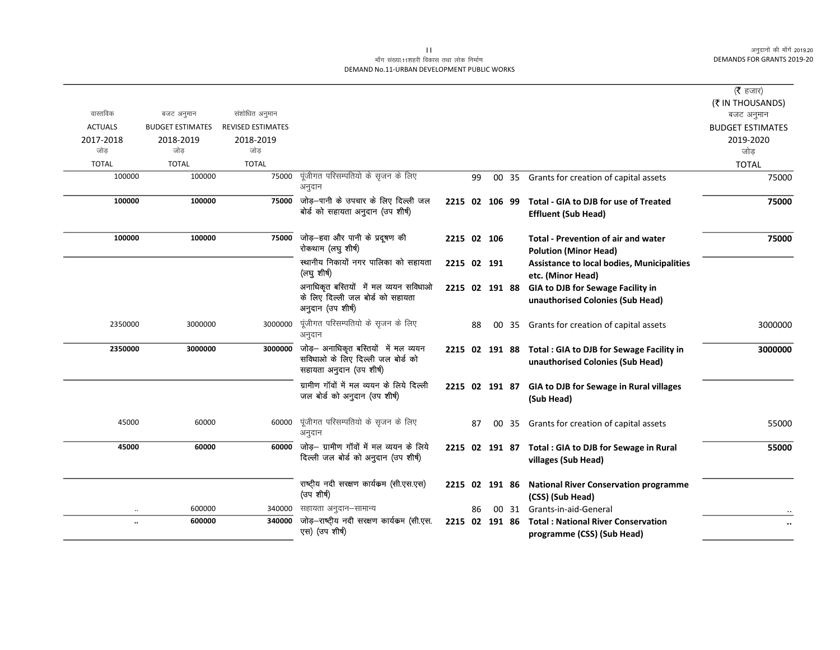### माँग संख्या.11शहरी विकास तथा लोक निर्माण DEMAND No.11-URBAN DEVELOPMENT PUBLIC WORKS

|                |                         |                          |                                                                                                       |                |    |    |       |                                                                               | ( $\bar{\tau}$ हजार)    |
|----------------|-------------------------|--------------------------|-------------------------------------------------------------------------------------------------------|----------------|----|----|-------|-------------------------------------------------------------------------------|-------------------------|
|                |                         |                          |                                                                                                       |                |    |    |       |                                                                               | (₹ IN THOUSANDS)        |
| वास्तविक       | बजट अनुमान              | संशोधित अनुमान           |                                                                                                       |                |    |    |       |                                                                               | बजट अनुमान              |
| <b>ACTUALS</b> | <b>BUDGET ESTIMATES</b> | <b>REVISED ESTIMATES</b> |                                                                                                       |                |    |    |       |                                                                               | <b>BUDGET ESTIMATES</b> |
| 2017-2018      | 2018-2019               | 2018-2019                |                                                                                                       |                |    |    |       |                                                                               | 2019-2020               |
| जोड            | जोड                     | जोड                      |                                                                                                       |                |    |    |       |                                                                               | जोड                     |
| <b>TOTAL</b>   | <b>TOTAL</b>            | <b>TOTAL</b>             |                                                                                                       |                |    |    |       |                                                                               | <b>TOTAL</b>            |
| 100000         | 100000                  | 75000                    | पूंजीगत परिसम्पतियो के सृजन के लिए                                                                    |                | 99 |    | 00 35 | Grants for creation of capital assets                                         | 75000                   |
|                |                         |                          | अनुदान                                                                                                |                |    |    |       |                                                                               |                         |
| 100000         | 100000                  | 75000                    | जोड़—पानी के उपचार के लिए दिल्ली जल<br>बोर्ड को सहायता अनुदान (उप शीर्ष)                              | 2215 02 106 99 |    |    |       | Total - GIA to DJB for use of Treated<br><b>Effluent (Sub Head)</b>           | 75000                   |
| 100000         | 100000                  | 75000                    | जोड़—हवा और पानी के प्रदूषण की<br>रोकथाम (लघु शीर्ष)                                                  | 2215 02 106    |    |    |       | <b>Total - Prevention of air and water</b><br><b>Polution (Minor Head)</b>    | 75000                   |
|                |                         |                          | स्थानीय निकायों नगर पालिका को सहायता<br>(लघु शीर्ष)                                                   | 2215 02 191    |    |    |       | <b>Assistance to local bodies, Municipalities</b><br>etc. (Minor Head)        |                         |
|                |                         |                          | अनाधिकृत बस्तियों में मल व्ययन सविधाओ<br>के लिए दिल्ली जल बोर्ड को सहायता<br>अनुदान (उप शीर्ष)        | 2215 02 191 88 |    |    |       | GIA to DJB for Sewage Facility in<br>unauthorised Colonies (Sub Head)         |                         |
| 2350000        | 3000000                 | 3000000                  | पूंजीगत परिसम्पतियो के सृजन के लिए<br>अनुदान                                                          |                | 88 |    | 00 35 | Grants for creation of capital assets                                         | 3000000                 |
| 2350000        | 3000000                 | 3000000                  | जोड़- अनाधिकृत बस्तियों में मल व्ययन<br>सविधाओं के लिए दिल्ली जल बोर्ड को<br>सहायता अनुदान (उप शीर्ष) | 2215 02 191 88 |    |    |       | Total : GIA to DJB for Sewage Facility in<br>unauthorised Colonies (Sub Head) | 3000000                 |
|                |                         |                          | ग्रामीण गॉवों में मल व्ययन के लिये दिल्ली<br>जल बोर्ड को अनुदान (उप शीर्ष)                            | 2215 02 191 87 |    |    |       | GIA to DJB for Sewage in Rural villages<br>(Sub Head)                         |                         |
| 45000          | 60000                   | 60000                    | पूंजीगत परिसम्पतियो के सृजन के लिए<br>अनुदान                                                          |                | 87 | 00 | 35    | Grants for creation of capital assets                                         | 55000                   |
| 45000          | 60000                   | 60000                    | जोड़- ग्रामीण गॉवों में मल व्ययन के लिये<br>दिल्ली जल बोर्ड को अनुदान (उप शीर्ष)                      | 2215 02 191 87 |    |    |       | Total : GIA to DJB for Sewage in Rural<br>villages (Sub Head)                 | 55000                   |
|                |                         |                          | राष्ट्रीय नदी सरक्षण कार्यकम (सी.एस.एस)<br>(उप शीर्ष)                                                 | 2215 02 191 86 |    |    |       | <b>National River Conservation programme</b><br>(CSS) (Sub Head)              |                         |
|                | 600000                  | 340000                   | सहायता अनुदान–सामान्य                                                                                 |                | 86 |    | 00 31 | Grants-in-aid-General                                                         |                         |
|                | 600000                  | 340000                   | जोड़-राष्ट्रीय नदी सरक्षण कार्यकम (सी.एस.<br>एस) (उप शीर्ष)                                           | 2215 02 191 86 |    |    |       | <b>Total: National River Conservation</b><br>programme (CSS) (Sub Head)       |                         |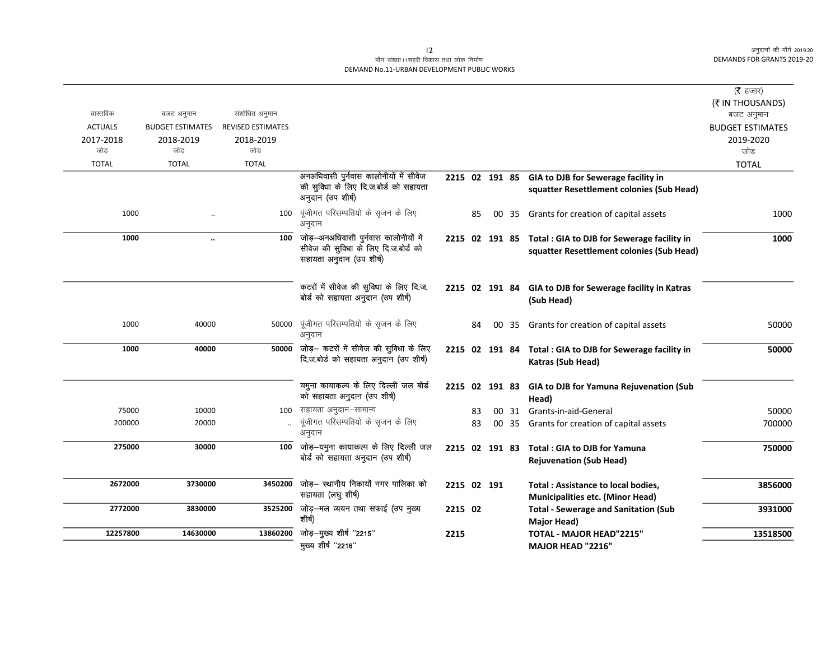### माँग संख्या.11शहरी विकास तथा लोक निर्माण DEMAND No.11-URBAN DEVELOPMENT PUBLIC WORKS

|                |                         |                          |                                                                                                           |                |    |       |                                                                                                        | (रै हजार)                      |
|----------------|-------------------------|--------------------------|-----------------------------------------------------------------------------------------------------------|----------------|----|-------|--------------------------------------------------------------------------------------------------------|--------------------------------|
| वास्तविक       | बजट अनुमान              | संशोधित अनुमान           |                                                                                                           |                |    |       |                                                                                                        | (₹ IN THOUSANDS)<br>बजट अनुमान |
| <b>ACTUALS</b> | <b>BUDGET ESTIMATES</b> | <b>REVISED ESTIMATES</b> |                                                                                                           |                |    |       |                                                                                                        | <b>BUDGET ESTIMATES</b>        |
| 2017-2018      | 2018-2019               | 2018-2019                |                                                                                                           |                |    |       |                                                                                                        | 2019-2020                      |
| जोड            | जोड                     | जोड                      |                                                                                                           |                |    |       |                                                                                                        | जोड़                           |
| <b>TOTAL</b>   | <b>TOTAL</b>            | <b>TOTAL</b>             |                                                                                                           |                |    |       |                                                                                                        | <b>TOTAL</b>                   |
|                |                         |                          | अनअधिवासी पुर्नवास कालोनीयों में सीवेज                                                                    | 2215 02 191 85 |    |       | GIA to DJB for Sewerage facility in                                                                    |                                |
|                |                         |                          | की सुविधा के लिए दि.ज.बोर्ड को सहायता<br>अनुदान (उप शीर्ष)                                                |                |    |       | squatter Resettlement colonies (Sub Head)                                                              |                                |
| 1000           |                         | 100                      | पूंजीगत परिसम्पतियो के सृजन के लिए<br>अनुदान                                                              |                | 85 | 00 35 | Grants for creation of capital assets                                                                  | 1000                           |
| 1000           | $\ddot{\phantom{a}}$    | 100                      | जोड़-अनअधिवासी पुर्नवास कालोनीयों में<br>सीवेज की सुविधा के लिए दि.ज.बोर्ड को<br>सहायता अनुदान (उप शीर्ष) |                |    |       | 2215 02 191 85 Total: GIA to DJB for Sewerage facility in<br>squatter Resettlement colonies (Sub Head) | 1000                           |
|                |                         |                          | कटरों में सीवेज की सुविधा के लिए दि.ज.<br>बोर्ड को सहायता अनुदान (उप शीर्ष)                               |                |    |       | 2215 02 191 84 GIA to DJB for Sewerage facility in Katras<br>(Sub Head)                                |                                |
| 1000           | 40000                   | 50000                    | पूंजीगत परिसम्पतियो के सृजन के लिए<br>अनुदान                                                              |                | 84 | 00 35 | Grants for creation of capital assets                                                                  | 50000                          |
| 1000           | 40000                   | 50000                    | जोड़- कटरों में सीवेज की सुविधा के लिए<br>दि.ज.बोर्ड को सहायता अनुदान (उप शीर्ष)                          |                |    |       | 2215 02 191 84 Total : GIA to DJB for Sewerage facility in<br>Katras (Sub Head)                        | 50000                          |
|                |                         |                          | यमुना कायाकल्प के लिए दिल्ली जल बोर्ड<br>को सहायता अनुदान (उप शीर्ष)                                      |                |    |       | 2215 02 191 83 GIA to DJB for Yamuna Rejuvenation (Sub<br>Head)                                        |                                |
| 75000          | 10000                   | 100                      | सहायता अनुदान–सामान्य                                                                                     |                | 83 |       | 00 31 Grants-in-aid-General                                                                            | 50000                          |
| 200000         | 20000                   |                          | पूंजीगत परिसम्पतियो के सृजन के लिए<br>अनुदान                                                              |                | 83 |       | 00 35 Grants for creation of capital assets                                                            | 700000                         |
| 275000         | 30000                   | 100                      | जोड़—यमुना कायाकल्प के लिए दिल्ली जल<br>बोर्ड को सहायता अनुदान (उप शीर्ष)                                 | 2215 02 191 83 |    |       | Total: GIA to DJB for Yamuna<br><b>Rejuvenation (Sub Head)</b>                                         | 750000                         |
| 2672000        | 3730000                 | 3450200                  | जोड़- स्थानीय निकायों नगर पालिका को<br>सहायता (लघु शीर्ष)                                                 | 2215 02 191    |    |       | <b>Total: Assistance to local bodies,</b><br><b>Municipalities etc. (Minor Head)</b>                   | 3856000                        |
| 2772000        | 3830000                 | 3525200                  | जोड़-मल व्ययन तथा सफाई (उप मुख्य<br>शीर्ष)                                                                | 2215 02        |    |       | <b>Total - Sewerage and Sanitation (Sub</b><br>Major Head)                                             | 3931000                        |
| 12257800       | 14630000                | 13860200                 | जोड़-मुख्य शीर्ष "2215"                                                                                   | 2215           |    |       | <b>TOTAL - MAJOR HEAD"2215"</b>                                                                        | 13518500                       |
|                |                         |                          | मुख्य शीर्ष "2216"                                                                                        |                |    |       | MAJOR HEAD "2216"                                                                                      |                                |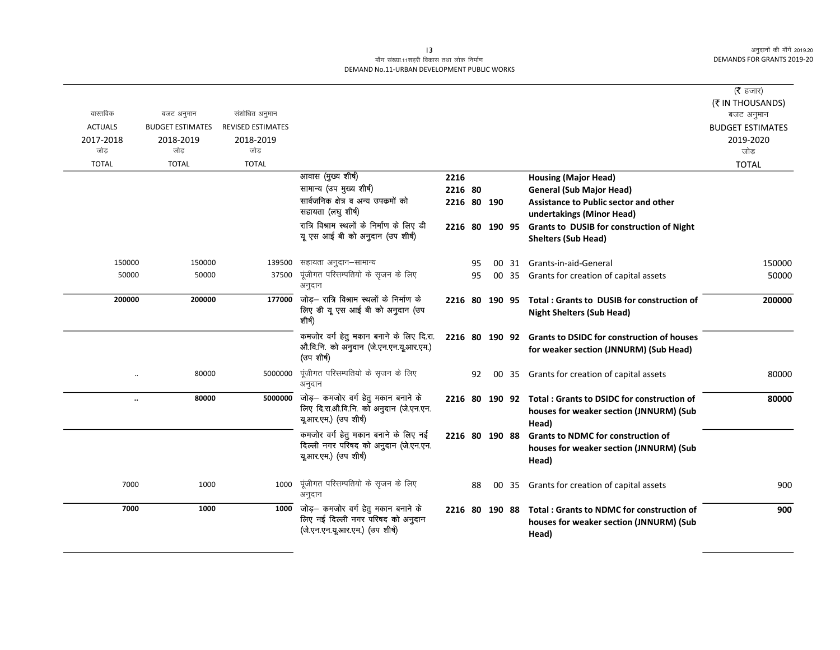### माँग संख्या.11शहरी विकास तथा लोक निर्माण DEMAND No.11-URBAN DEVELOPMENT PUBLIC WORKS

| वास्तविक       | बजट अनुमान              | संशोधित अनुमान           |                                                                                                             |                |    |       |                                                                                                     | ( $\bar{\tau}$ हजार)<br>(₹ IN THOUSANDS) |
|----------------|-------------------------|--------------------------|-------------------------------------------------------------------------------------------------------------|----------------|----|-------|-----------------------------------------------------------------------------------------------------|------------------------------------------|
| <b>ACTUALS</b> | <b>BUDGET ESTIMATES</b> | <b>REVISED ESTIMATES</b> |                                                                                                             |                |    |       |                                                                                                     | बजट अनुमान<br><b>BUDGET ESTIMATES</b>    |
| 2017-2018      | 2018-2019               | 2018-2019                |                                                                                                             |                |    |       |                                                                                                     | 2019-2020                                |
| जोड            | जोड                     | जोड                      |                                                                                                             |                |    |       |                                                                                                     | जोड                                      |
| <b>TOTAL</b>   | <b>TOTAL</b>            | <b>TOTAL</b>             |                                                                                                             |                |    |       |                                                                                                     | <b>TOTAL</b>                             |
|                |                         |                          | आवास (मुख्य शीर्ष)                                                                                          | 2216           |    |       | <b>Housing (Major Head)</b>                                                                         |                                          |
|                |                         |                          | सामान्य (उप मुख्य शीर्ष)                                                                                    | 2216 80        |    |       | <b>General (Sub Major Head)</b>                                                                     |                                          |
|                |                         |                          | सार्वजनिक क्षेत्र व अन्य उपक्रमों को<br>सहायता (लघु शीर्ष)                                                  | 2216 80 190    |    |       | <b>Assistance to Public sector and other</b><br>undertakings (Minor Head)                           |                                          |
|                |                         |                          | रात्रि विश्राम स्थलों के निर्माण के लिए डी                                                                  | 2216 80 190 95 |    |       | Grants to DUSIB for construction of Night                                                           |                                          |
|                |                         |                          | यू एस आई बी को अनुदान (उप शीर्ष)                                                                            |                |    |       | <b>Shelters (Sub Head)</b>                                                                          |                                          |
| 150000         | 150000                  | 139500                   | सहायता अनुदान–सामान्य                                                                                       |                | 95 |       | 00 31 Grants-in-aid-General                                                                         | 150000                                   |
| 50000          | 50000                   | 37500                    | पूंजीगत परिसम्पतियो के सृजन के लिए<br>अनुदान                                                                |                | 95 | 00 35 | Grants for creation of capital assets                                                               | 50000                                    |
| 200000         | 200000                  | 177000                   | जोड़— रात्रि विश्राम स्थलों के निर्माण के<br>लिए डी यू एस आई बी को अनुदान (उप<br>शीर्ष)                     | 2216 80 190 95 |    |       | Total: Grants to DUSIB for construction of<br><b>Night Shelters (Sub Head)</b>                      | 200000                                   |
|                |                         |                          | कमजोर वर्ग हेतु मकान बनाने के लिए दि.रा.<br>औ.वि.नि. को अनुदान (जे.एन.एन.यू.आर.एम.)<br>(उपशीर्ष)            |                |    |       | 2216 80 190 92 Grants to DSIDC for construction of houses<br>for weaker section (JNNURM) (Sub Head) |                                          |
|                | 80000                   | 5000000                  | पूंजीगत परिसम्पतियो के सृजन के लिए<br>अनुदान                                                                |                | 92 | 00 35 | Grants for creation of capital assets                                                               | 80000                                    |
| $\ldots$       | 80000                   | 5000000                  | जोड़— कमजोर वर्ग हेतु मकान बनाने के<br>लिए दि.रा.औ.वि.नि. को अनुदान (जे.एन.एन.<br>यू.आर.एम.) (उप शीर्ष)     | 2216 80 190 92 |    |       | Total: Grants to DSIDC for construction of<br>houses for weaker section (JNNURM) (Sub<br>Head)      | 80000                                    |
|                |                         |                          | कमजोर वर्ग हेतु मकान बनाने के लिए नई<br>दिल्ली नगर परिषद को अनुदान (जे.एन.एन.<br>यू.आर.एम.) (उप शीर्ष)      | 2216 80 190 88 |    |       | <b>Grants to NDMC for construction of</b><br>houses for weaker section (JNNURM) (Sub<br>Head)       |                                          |
| 7000           | 1000                    | 1000                     | पूंजीगत परिसम्पतियो के सृजन के लिए<br>अनुदान                                                                |                | 88 | 00 35 | Grants for creation of capital assets                                                               | 900                                      |
| 7000           | 1000                    | 1000                     | जोड़— कमजोर वर्ग हेतु मकान बनाने के<br>लिए नई दिल्ली नगर परिषद को अनुदान<br>(जे.एन.एन.यू.आर.एम.) (उप शीर्ष) | 2216 80 190 88 |    |       | Total: Grants to NDMC for construction of<br>houses for weaker section (JNNURM) (Sub<br>Head)       | 900                                      |

 $\overline{13}$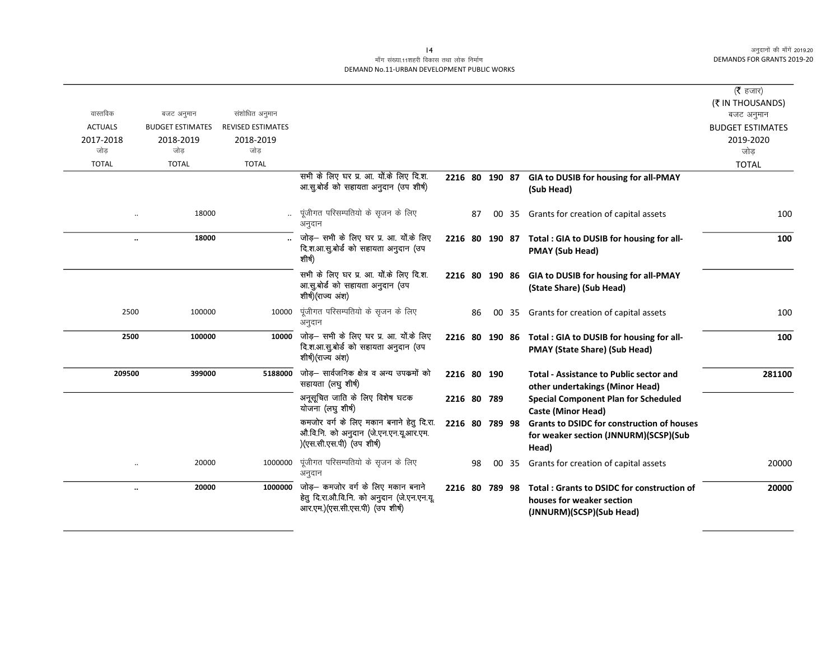### माँग संख्या.11शहरी विकास तथा लोक निर्माण DEMAND No.11-URBAN DEVELOPMENT PUBLIC WORKS

|                      |                         |                          |                                                                                                                      |                |    |       |                                                                                                     | ( $\bar{\tau}$ हजार)<br>(₹ IN THOUSANDS) |
|----------------------|-------------------------|--------------------------|----------------------------------------------------------------------------------------------------------------------|----------------|----|-------|-----------------------------------------------------------------------------------------------------|------------------------------------------|
| वास्तविक             | बजट अनुमान              | संशोधित अनुमान           |                                                                                                                      |                |    |       |                                                                                                     | बजट अनुमान                               |
| <b>ACTUALS</b>       | <b>BUDGET ESTIMATES</b> | <b>REVISED ESTIMATES</b> |                                                                                                                      |                |    |       |                                                                                                     | <b>BUDGET ESTIMATES</b>                  |
| 2017-2018            | 2018-2019               | 2018-2019                |                                                                                                                      |                |    |       |                                                                                                     | 2019-2020                                |
| जोड                  | जोड                     | जोड                      |                                                                                                                      |                |    |       |                                                                                                     | जोड                                      |
| <b>TOTAL</b>         | <b>TOTAL</b>            | <b>TOTAL</b>             |                                                                                                                      |                |    |       |                                                                                                     | <b>TOTAL</b>                             |
|                      |                         |                          | सभी के लिए घर प्र. आ. यों.के लिए दि.श.<br>आ.सू.बोर्ड को सहायता अनुदान (उप शीर्ष)                                     |                |    |       | 2216 80 190 87 GIA to DUSIB for housing for all-PMAY<br>(Sub Head)                                  |                                          |
|                      | 18000                   |                          | पूंजीगत परिसम्पतियो के सृजन के लिए<br>अनुदान                                                                         |                | 87 | 00 35 | Grants for creation of capital assets                                                               | 100                                      |
| $\ddot{\phantom{a}}$ | 18000                   |                          | जोड़- सभी के लिए घर प्र. आ. यों.के लिए<br>दि.श.आ.सू.बोर्ड को सहायता अनुदान (उप<br>शीर्ष)                             | 2216 80 190 87 |    |       | Total: GIA to DUSIB for housing for all-<br><b>PMAY (Sub Head)</b>                                  | 100                                      |
|                      |                         |                          | सभी के लिए घर प्र. आ. यों.के लिए दि.श.<br>आ.सु.बोर्ड को सहायता अनुदान (उप<br>शीर्ष)(राज्य अंश)                       |                |    |       | 2216 80 190 86 GIA to DUSIB for housing for all-PMAY<br>(State Share) (Sub Head)                    |                                          |
| 2500                 | 100000                  | 10000                    | पूंजीगत परिसम्पतियो के सृजन के लिए<br>अनुदान                                                                         |                | 86 | 00 35 | Grants for creation of capital assets                                                               | 100                                      |
| 2500                 | 100000                  | 10000                    | जोड़– सभी के लिए घर प्र. आ. यों.के लिए<br>दि.श.आ.सु.बोर्ड को सहायता अनुदान (उप<br>शीर्ष)(राज्य अंश)                  |                |    |       | 2216 80 190 86 Total: GIA to DUSIB for housing for all-<br><b>PMAY (State Share) (Sub Head)</b>     | 100                                      |
| 209500               | 399000                  | 5188000                  | जोड़– सार्वजनिक क्षेत्र व अन्य उपकर्मो को<br>सहायता (लघु शीर्ष)                                                      | 2216 80 190    |    |       | <b>Total - Assistance to Public sector and</b><br>other undertakings (Minor Head)                   | 281100                                   |
|                      |                         |                          | अनूसूचित जाति के लिए विशेष घटक<br>योजना (लघु शीर्ष)                                                                  | 2216 80 789    |    |       | <b>Special Component Plan for Scheduled</b><br><b>Caste (Minor Head)</b>                            |                                          |
|                      |                         |                          | कमजोर वर्ग के लिए मकान बनाने हेतु दि.रा.<br>औ.वि.नि. को अनुदान (जे.एन.एन.यू.आर.एम.<br>)(एस.सी.एस.पी) (उप शीर्ष)      | 2216 80 789 98 |    |       | <b>Grants to DSIDC for construction of houses</b><br>for weaker section (JNNURM)(SCSP)(Sub<br>Head) |                                          |
|                      | 20000                   | 1000000                  | पूंजीगत परिसम्पतियो के सृजन के लिए<br>अनुदान                                                                         |                | 98 | 00 35 | Grants for creation of capital assets                                                               | 20000                                    |
| $\ldots$             | 20000                   | 1000000                  | जोड़— कमजोर वर्ग के लिए मकान बनाने<br>हेतु दि.रा.औ.वि.नि. को अनुदान (जे.एन.एन.यू.<br>आर.एम.)(एस.सी.एस.पी) (उप शीर्ष) | 2216 80 789 98 |    |       | Total: Grants to DSIDC for construction of<br>houses for weaker section<br>(JNNURM)(SCSP)(Sub Head) | 20000                                    |

 $|4$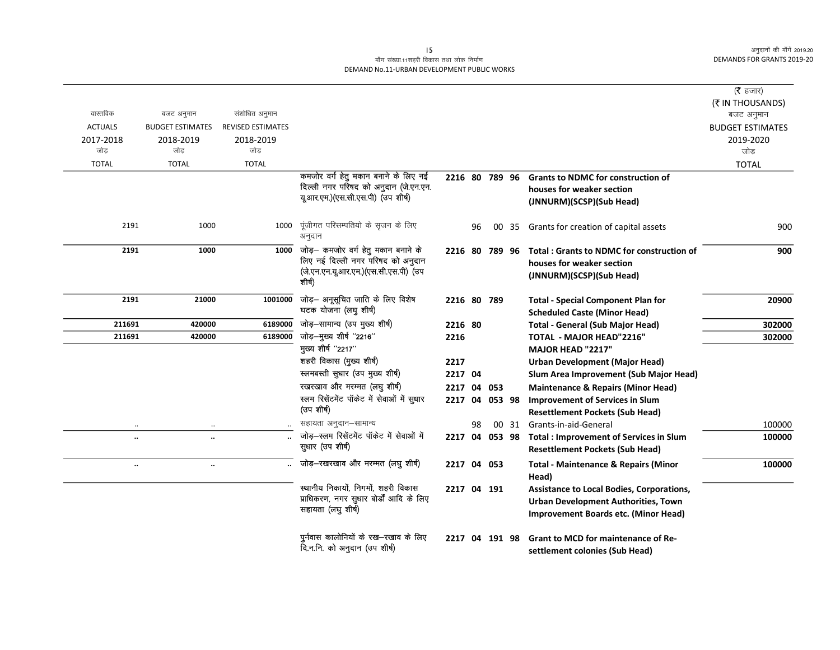## माँग संख्या.11शहरी विकास तथा लोक निर्माण DEMAND No.11-URBAN DEVELOPMENT PUBLIC WORKS

|                      |                         |                          |                                                               |             |    |                |       |                                                                        | ( $\bar{\tau}$ हजार)<br>(₹ IN THOUSANDS) |
|----------------------|-------------------------|--------------------------|---------------------------------------------------------------|-------------|----|----------------|-------|------------------------------------------------------------------------|------------------------------------------|
| वास्तविक             | बजट अनुमान              | संशोधित अनुमान           |                                                               |             |    |                |       |                                                                        | बजट अनुमान                               |
| <b>ACTUALS</b>       | <b>BUDGET ESTIMATES</b> | <b>REVISED ESTIMATES</b> |                                                               |             |    |                |       |                                                                        | <b>BUDGET ESTIMATES</b>                  |
| 2017-2018<br>जोड     | 2018-2019<br>जोड        | 2018-2019<br>जोड         |                                                               |             |    |                |       |                                                                        | 2019-2020                                |
|                      | <b>TOTAL</b>            | <b>TOTAL</b>             |                                                               |             |    |                |       |                                                                        | जोड़                                     |
| <b>TOTAL</b>         |                         |                          | कमजोर वर्ग हेतु मकान बनाने के लिए नई                          |             |    | 2216 80 789 96 |       |                                                                        | <b>TOTAL</b>                             |
|                      |                         |                          | दिल्ली नगर परिषद को अनुदान (जे.एन.एन.                         |             |    |                |       | <b>Grants to NDMC for construction of</b><br>houses for weaker section |                                          |
|                      |                         |                          | यूआर.एम.)(एस.सी.एस.पी) (उप शीर्ष)                             |             |    |                |       |                                                                        |                                          |
|                      |                         |                          |                                                               |             |    |                |       | (JNNURM)(SCSP)(Sub Head)                                               |                                          |
| 2191                 | 1000                    | 1000                     | पूंजीगत परिसम्पतियो के सृजन के लिए<br>अनुदान                  |             | 96 |                | 00 35 | Grants for creation of capital assets                                  | 900                                      |
| 2191                 | 1000                    | 1000                     | जोड़— कमजोर वर्ग हेतु मकान बनाने के                           |             |    | 2216 80 789 96 |       | <b>Total: Grants to NDMC for construction of</b>                       | 900                                      |
|                      |                         |                          | लिए नई दिल्ली नगर परिषद को अनुदान                             |             |    |                |       | houses for weaker section                                              |                                          |
|                      |                         |                          | (जे.एन.एन.यू.आर.एम.)(एस.सी.एस.पी) (उप                         |             |    |                |       | (JNNURM)(SCSP)(Sub Head)                                               |                                          |
|                      |                         |                          | शीर्ष)                                                        |             |    |                |       |                                                                        |                                          |
| 2191                 | 21000                   | 1001000                  | जोड़- अनूसूचित जाति के लिए विशेष                              | 2216 80 789 |    |                |       | <b>Total - Special Component Plan for</b>                              | 20900                                    |
|                      |                         |                          | घटक योजना (लघु शीर्ष)                                         |             |    |                |       | <b>Scheduled Caste (Minor Head)</b>                                    |                                          |
| 211691               | 420000                  | 6189000                  | जोड़-सामान्य (उप मुख्य शीर्ष)                                 | 2216 80     |    |                |       | <b>Total - General (Sub Major Head)</b>                                | 302000                                   |
| 211691               | 420000                  | 6189000                  | जोड़-मुख्य शीर्ष "2216"                                       | 2216        |    |                |       | <b>TOTAL - MAJOR HEAD"2216"</b>                                        | 302000                                   |
|                      |                         |                          | मुख्य शीर्ष "2217"                                            |             |    |                |       | <b>MAJOR HEAD "2217"</b>                                               |                                          |
|                      |                         |                          | शहरी विकास (मुख्य शीर्ष)                                      | 2217        |    |                |       | <b>Urban Development (Major Head)</b>                                  |                                          |
|                      |                         |                          | स्लमबस्ती सुधार (उप मुख्य शीर्ष)                              | 2217 04     |    |                |       | Slum Area Improvement (Sub Major Head)                                 |                                          |
|                      |                         |                          | रखरखाव और मरम्मत (लघु शीर्ष)                                  | 2217        |    | 04 053         |       | <b>Maintenance &amp; Repairs (Minor Head)</b>                          |                                          |
|                      |                         |                          | स्लम रिसेंटमेंट पॉकेट में सेवाओं में सुधार                    |             |    | 2217 04 053 98 |       | <b>Improvement of Services in Slum</b>                                 |                                          |
|                      |                         |                          | (उप शीर्ष)                                                    |             |    |                |       | <b>Resettlement Pockets (Sub Head)</b>                                 |                                          |
|                      |                         |                          | सहायता अनुदान-सामान्य                                         |             | 98 |                | 00 31 | Grants-in-aid-General                                                  | 100000                                   |
| $\ddot{\phantom{a}}$ | $\ldots$                |                          | जोड़–स्लम रिसेंटमेंट पॉकेट में सेवाओं में<br>सुधार (उप शीर्ष) |             |    | 2217 04 053 98 |       | <b>Total: Improvement of Services in Slum</b>                          | 100000                                   |
|                      |                         |                          |                                                               |             |    |                |       | <b>Resettlement Pockets (Sub Head)</b>                                 |                                          |
| $\ddot{\phantom{0}}$ | $\ldots$                |                          | जोड़-रखरखाव और मरम्मत (लघु शीर्ष)                             | 2217 04 053 |    |                |       | <b>Total - Maintenance &amp; Repairs (Minor</b><br>Head)               | 100000                                   |
|                      |                         |                          | स्थानीय निकायों, निगमों, शहरी विकास                           |             |    | 2217 04 191    |       | Assistance to Local Bodies, Corporations,                              |                                          |
|                      |                         |                          | प्राधिकरण, नगर सुधार बोर्डों आदि के लिए                       |             |    |                |       | <b>Urban Development Authorities, Town</b>                             |                                          |
|                      |                         |                          | सहायता (लघु शीर्ष)                                            |             |    |                |       | Improvement Boards etc. (Minor Head)                                   |                                          |
|                      |                         |                          |                                                               |             |    |                |       |                                                                        |                                          |
|                      |                         |                          | पुर्नवास कालोनियों के रख—रखाव के लिए                          |             |    | 2217 04 191 98 |       | <b>Grant to MCD for maintenance of Re-</b>                             |                                          |
|                      |                         |                          | दि.न.नि. को अनुदान (उप शीर्ष)                                 |             |    |                |       | settlement colonies (Sub Head)                                         |                                          |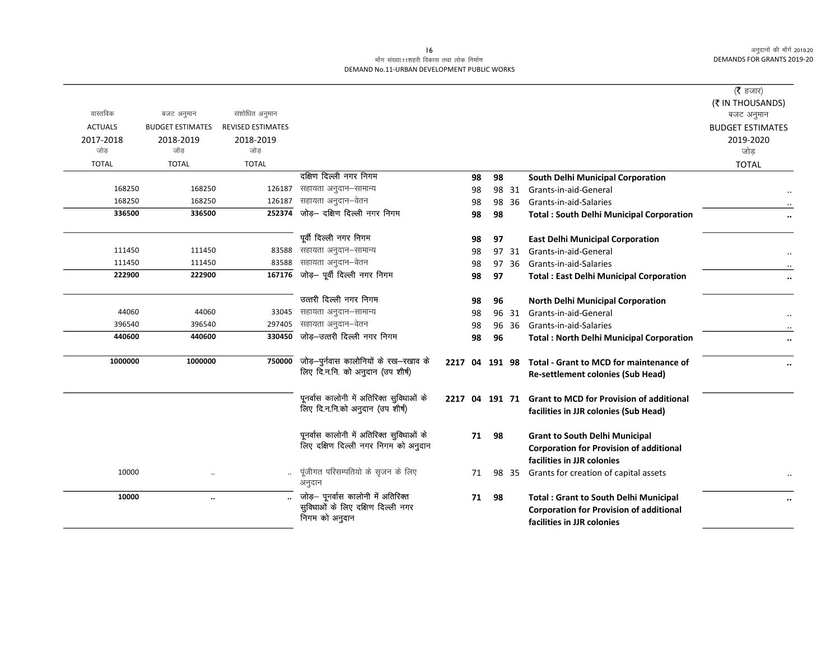### माँग संख्या.11शहरी विकास तथा लोक निर्माण DEMAND No.11-URBAN DEVELOPMENT PUBLIC WORKS

| वास्तविक         |                         |                          |                                                                                           |                |    |    |       |                                                                                                                              | (रै हजार)<br>(₹ IN THOUSANDS)                           |
|------------------|-------------------------|--------------------------|-------------------------------------------------------------------------------------------|----------------|----|----|-------|------------------------------------------------------------------------------------------------------------------------------|---------------------------------------------------------|
|                  | बजट अनुमान              | संशोधित अनुमान           |                                                                                           |                |    |    |       |                                                                                                                              | बजट अनुमान                                              |
| <b>ACTUALS</b>   | <b>BUDGET ESTIMATES</b> | <b>REVISED ESTIMATES</b> |                                                                                           |                |    |    |       |                                                                                                                              | <b>BUDGET ESTIMATES</b>                                 |
| 2017-2018<br>जोड | 2018-2019<br>जोड        | 2018-2019<br>जोड         |                                                                                           |                |    |    |       |                                                                                                                              | 2019-2020                                               |
|                  |                         |                          |                                                                                           |                |    |    |       |                                                                                                                              | जोड                                                     |
| <b>TOTAL</b>     | <b>TOTAL</b>            | <b>TOTAL</b>             |                                                                                           |                |    |    |       |                                                                                                                              | <b>TOTAL</b>                                            |
|                  |                         |                          | दक्षिण दिल्ली नगर निगम                                                                    |                | 98 | 98 |       | South Delhi Municipal Corporation                                                                                            |                                                         |
| 168250           | 168250                  | 126187                   | सहायता अनुदान–सामान्य                                                                     |                | 98 |    | 98 31 | Grants-in-aid-General                                                                                                        |                                                         |
| 168250           | 168250                  | 126187                   | सहायता अनुदान–वेतन                                                                        |                | 98 | 98 | 36    | Grants-in-aid-Salaries                                                                                                       |                                                         |
| 336500           | 336500                  | 252374                   | जोड़- दक्षिण दिल्ली नगर निगम                                                              |                | 98 | 98 |       | <b>Total: South Delhi Municipal Corporation</b>                                                                              |                                                         |
|                  |                         |                          | पूर्वी दिल्ली नगर निगम                                                                    |                | 98 | 97 |       | <b>East Delhi Municipal Corporation</b>                                                                                      |                                                         |
| 111450           | 111450                  |                          | 83588 सहायता अनुदान-सामान्य                                                               |                | 98 | 97 | 31    | Grants-in-aid-General                                                                                                        |                                                         |
| 111450           | 111450                  | 83588                    | सहायता अनुदान–वेतन                                                                        |                | 98 | 97 | 36    | Grants-in-aid-Salaries                                                                                                       |                                                         |
| 222900           | 222900                  | 167176                   | जोड़- पूर्वी दिल्ली नगर निगम                                                              |                | 98 | 97 |       | <b>Total: East Delhi Municipal Corporation</b>                                                                               | $\ddot{\phantom{a}}$                                    |
|                  |                         |                          | उत्तरी दिल्ली नगर निगम                                                                    |                | 98 | 96 |       | <b>North Delhi Municipal Corporation</b>                                                                                     |                                                         |
| 44060            | 44060                   | 33045                    | सहायता अनुदान–सामान्य                                                                     |                | 98 |    | 96 31 | Grants-in-aid-General                                                                                                        |                                                         |
| 396540           | 396540                  | 297405                   | सहायता अनुदान–वेतन                                                                        |                | 98 |    | 96 36 | Grants-in-aid-Salaries                                                                                                       |                                                         |
| 440600           | 440600                  | 330450                   | जोड़-उत्तरी दिल्ली नगर निगम                                                               |                | 98 | 96 |       | <b>Total: North Delhi Municipal Corporation</b>                                                                              | $\ddot{\phantom{0}}\phantom{0}\bullet\dot{\phantom{0}}$ |
| 1000000          | 1000000                 | 750000                   | जोड़–पुर्नवास कालोनियों के रख–रखाव के<br>लिए दि.न.नि. को अनुदान (उप शीर्ष)                |                |    |    |       | 2217 04 191 98 Total - Grant to MCD for maintenance of<br><b>Re-settlement colonies (Sub Head)</b>                           |                                                         |
|                  |                         |                          | पूनर्वास कालोनी में अतिरिक्त सुविधाओं के<br>लिए दि.न.नि.को अनुदान (उप शीर्ष)              | 2217 04 191 71 |    |    |       | <b>Grant to MCD for Provision of additional</b><br>facilities in JJR colonies (Sub Head)                                     |                                                         |
|                  |                         |                          | पूनर्वास कालोनी में अतिरिक्त सुविधाओं के<br>लिए दक्षिण दिल्ली नगर निगम को अनुदान          |                | 71 | 98 |       | <b>Grant to South Delhi Municipal</b><br><b>Corporation for Provision of additional</b><br>facilities in JJR colonies        |                                                         |
| 10000            | $\cdot$                 | $\ddotsc$                | पूंजीगत परिसम्पतियो के सृजन के लिए<br>अनुदान                                              |                | 71 |    | 98 35 | Grants for creation of capital assets                                                                                        |                                                         |
| 10000            | $\ddotsc$               |                          | जोड़– पूनर्वास कालोनी में अतिरिक्त<br>सुविधाओं के लिए दक्षिण दिल्ली नगर<br>निगम को अनुदान |                | 71 | 98 |       | <b>Total: Grant to South Delhi Municipal</b><br><b>Corporation for Provision of additional</b><br>facilities in JJR colonies | $\ddot{\phantom{0}}$                                    |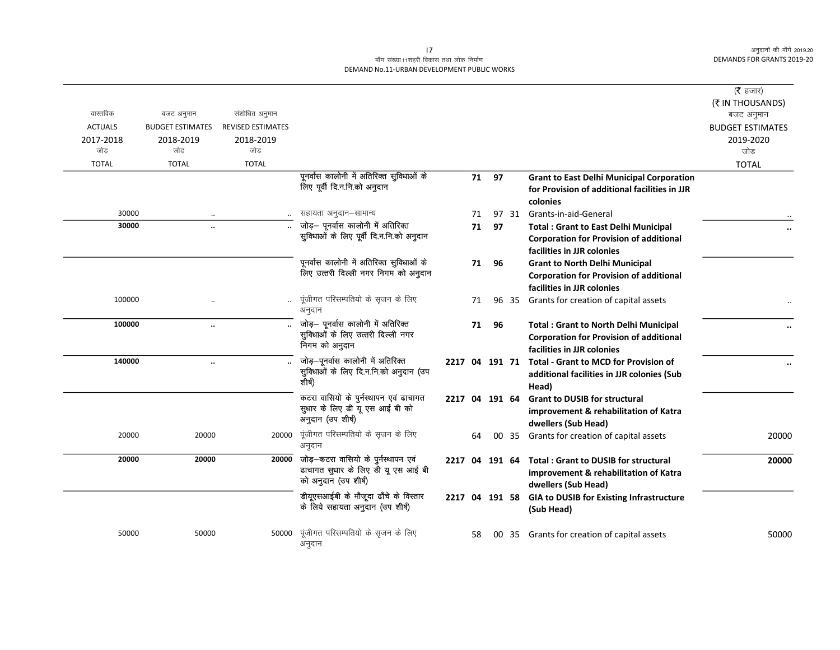## माँग संख्या.11शहरी विकास तथा लोक निर्माण DEMAND No.11-URBAN DEVELOPMENT PUBLIC WORKS

| वास्तविक       | बजट अनुमान              | संशोधित अनुमान           |                                                                           |                |    |    |       |                                                         | ( $\bar{\tau}$ हजार)<br>(₹ IN THOUSANDS)<br>बजट अनुमान |
|----------------|-------------------------|--------------------------|---------------------------------------------------------------------------|----------------|----|----|-------|---------------------------------------------------------|--------------------------------------------------------|
| <b>ACTUALS</b> | <b>BUDGET ESTIMATES</b> | <b>REVISED ESTIMATES</b> |                                                                           |                |    |    |       |                                                         | <b>BUDGET ESTIMATES</b>                                |
| 2017-2018      | 2018-2019               | 2018-2019                |                                                                           |                |    |    |       |                                                         | 2019-2020                                              |
| जोड            | जोड                     | जोड                      |                                                                           |                |    |    |       |                                                         | जोड                                                    |
| <b>TOTAL</b>   | <b>TOTAL</b>            | <b>TOTAL</b>             |                                                                           |                |    |    |       |                                                         | <b>TOTAL</b>                                           |
|                |                         |                          | पूनर्वास कालोनी में अतिरिक्त सुविधाओं के                                  |                | 71 | 97 |       | <b>Grant to East Delhi Municipal Corporation</b>        |                                                        |
|                |                         |                          | लिए पूर्वी दि.न.नि.को अनुदान                                              |                |    |    |       | for Provision of additional facilities in JJR           |                                                        |
|                |                         |                          |                                                                           |                |    |    |       | colonies                                                |                                                        |
| 30000          |                         |                          | सहायता अनुदान–सामान्य                                                     |                | 71 |    |       | 97 31 Grants-in-aid-General                             |                                                        |
| 30000          |                         |                          | जोड़- पूनर्वास कालोनी में अतिरिक्त                                        |                | 71 | 97 |       | <b>Total: Grant to East Delhi Municipal</b>             |                                                        |
|                |                         |                          | सुविधाओं के लिए पूर्वी दि.न.नि.को अनुदान                                  |                |    |    |       | <b>Corporation for Provision of additional</b>          |                                                        |
|                |                         |                          |                                                                           |                |    |    |       | facilities in JJR colonies                              |                                                        |
|                |                         |                          | पूनर्वास कालोनी में अतिरिक्त सुविधाओं के                                  |                | 71 | 96 |       | <b>Grant to North Delhi Municipal</b>                   |                                                        |
|                |                         |                          | लिए उत्तरी दिल्ली नगर निगम को अनुदान                                      |                |    |    |       | <b>Corporation for Provision of additional</b>          |                                                        |
|                |                         |                          |                                                                           |                |    |    |       | facilities in JJR colonies                              |                                                        |
| 100000         |                         |                          | पूंजीगत परिसम्पतियो के सृजन के लिए<br>अनुदान                              |                | 71 |    |       | 96 35 Grants for creation of capital assets             |                                                        |
| 100000         | $\ddotsc$               |                          | जोड़— पूनर्वास कालोनी में अतिरिक्त                                        |                | 71 | 96 |       | <b>Total: Grant to North Delhi Municipal</b>            |                                                        |
|                |                         |                          | सुविधाओं के लिए उत्तरी दिल्ली नगर                                         |                |    |    |       | <b>Corporation for Provision of additional</b>          |                                                        |
|                |                         |                          | निगम को अनुदान                                                            |                |    |    |       | facilities in JJR colonies                              |                                                        |
| 140000         | $\ddot{\phantom{a}}$    |                          | जोड़-पूनर्वास कालोनी में अतिरिक्त                                         |                |    |    |       | 2217 04 191 71 Total - Grant to MCD for Provision of    |                                                        |
|                |                         |                          | सुविधाओं के लिए दि.न.नि.को अनुदान (उप                                     |                |    |    |       | additional facilities in JJR colonies (Sub              |                                                        |
|                |                         |                          | शीर्ष)                                                                    |                |    |    |       | Head)                                                   |                                                        |
|                |                         |                          | कटरा वासियो के पुर्नस्थापन एवं ढाचागत                                     | 2217 04 191 64 |    |    |       | <b>Grant to DUSIB for structural</b>                    |                                                        |
|                |                         |                          | सुधार के लिए डी यू एस आई बी को                                            |                |    |    |       | improvement & rehabilitation of Katra                   |                                                        |
|                |                         |                          | अनुदान (उप शीर्ष)                                                         |                |    |    |       | dwellers (Sub Head)                                     |                                                        |
| 20000          | 20000                   | 20000                    | पूंजीगत परिसम्पतियो के सृजन के लिए                                        |                | 64 |    | 00 35 | Grants for creation of capital assets                   | 20000                                                  |
|                |                         |                          | अनुदान                                                                    |                |    |    |       |                                                         |                                                        |
| 20000          | 20000                   |                          | 20000 जोड़-कटरा वासियो के पुर्नस्थापन एवं                                 |                |    |    |       | 2217 04 191 64 Total: Grant to DUSIB for structural     | 20000                                                  |
|                |                         |                          | ढाचागत सुधार के लिए डी यू एस आई बी<br>को अनुदान (उप शीर्ष)                |                |    |    |       | improvement & rehabilitation of Katra                   |                                                        |
|                |                         |                          |                                                                           |                |    |    |       | dwellers (Sub Head)                                     |                                                        |
|                |                         |                          | डीयूएसआईबी के मौजूदा ढाँचे के विस्तार<br>के लिये सहायता अनुदान (उप शीर्ष) |                |    |    |       | 2217 04 191 58 GIA to DUSIB for Existing Infrastructure |                                                        |
|                |                         |                          |                                                                           |                |    |    |       | (Sub Head)                                              |                                                        |
|                |                         |                          |                                                                           |                |    |    |       |                                                         |                                                        |
| 50000          | 50000                   | 50000                    | पूंजीगत परिसम्पतियो के सृजन के लिए                                        |                | 58 |    | 00 35 | Grants for creation of capital assets                   | 50000                                                  |
|                |                         |                          | अनुदान                                                                    |                |    |    |       |                                                         |                                                        |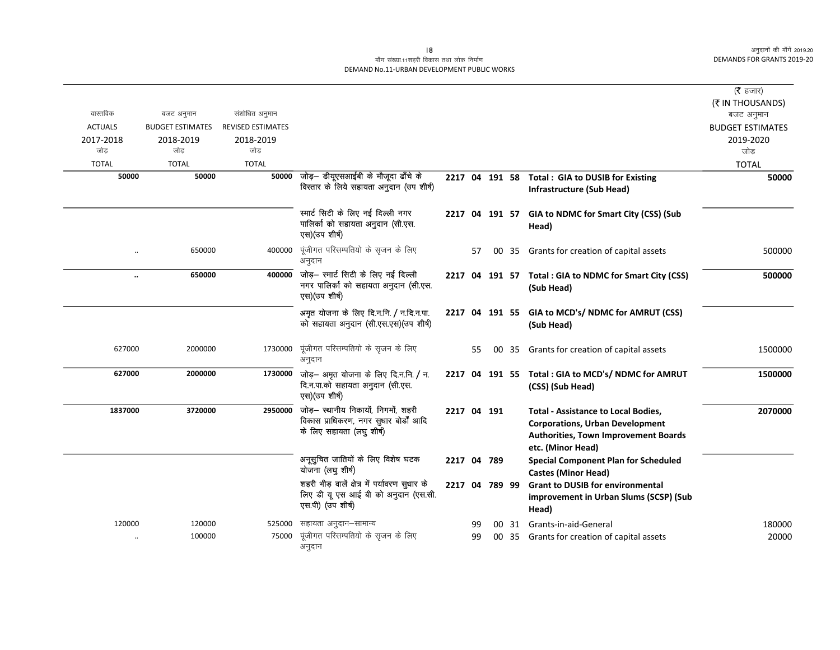### माँग संख्या.11शहरी विकास तथा लोक निर्माण DEMAND No.11-URBAN DEVELOPMENT PUBLIC WORKS

|                |                         |                          |                                                                                                            |                |    |    |    |                                                                                                                                                   | ( $\bar{\tau}$ हजार)<br>(₹ IN THOUSANDS) |
|----------------|-------------------------|--------------------------|------------------------------------------------------------------------------------------------------------|----------------|----|----|----|---------------------------------------------------------------------------------------------------------------------------------------------------|------------------------------------------|
| वास्तविक       | बजट अनुमान              | संशोधित अनुमान           |                                                                                                            |                |    |    |    |                                                                                                                                                   | बजट अनुमान                               |
| <b>ACTUALS</b> | <b>BUDGET ESTIMATES</b> | <b>REVISED ESTIMATES</b> |                                                                                                            |                |    |    |    |                                                                                                                                                   | <b>BUDGET ESTIMATES</b>                  |
| 2017-2018      | 2018-2019               | 2018-2019                |                                                                                                            |                |    |    |    |                                                                                                                                                   | 2019-2020                                |
| जोड            | जोड                     | जोड                      |                                                                                                            |                |    |    |    |                                                                                                                                                   | जोड़                                     |
| <b>TOTAL</b>   | <b>TOTAL</b>            | <b>TOTAL</b>             |                                                                                                            |                |    |    |    |                                                                                                                                                   | <b>TOTAL</b>                             |
| 50000          | 50000                   |                          | 50000 जोड़- डीयूएसआईबी के मौजूदा ढाँचे के                                                                  |                |    |    |    | 2217 04 191 58 Total: GIA to DUSIB for Existing                                                                                                   | 50000                                    |
|                |                         |                          | विस्तार के लिये सहायता अनुदान (उप शीर्ष)                                                                   |                |    |    |    | Infrastructure (Sub Head)                                                                                                                         |                                          |
|                |                         |                          | स्मार्ट सिटी के लिए नई दिल्ली नगर<br>पालिका को सहायता अनुदान (सी.एस.<br>एस) (उप शीर्ष)                     |                |    |    |    | 2217 04 191 57 GIA to NDMC for Smart City (CSS) (Sub<br>Head)                                                                                     |                                          |
|                | 650000                  | 400000                   | पूंजीगत परिसम्पतियो के सृजन के लिए<br>अनुदान                                                               |                | 57 | 00 | 35 | Grants for creation of capital assets                                                                                                             | 500000                                   |
|                | 650000                  | 400000                   | जोड़– स्मार्ट सिटी के लिए नई दिल्ली<br>नगर पालिको को सहायता अनुदान (सी.एस.<br>एस) (उप शीर्ष)               |                |    |    |    | 2217 04 191 57 Total: GIA to NDMC for Smart City (CSS)<br>(Sub Head)                                                                              | 500000                                   |
|                |                         |                          | अमृत योजना के लिए दि.न.नि. / न.दि.न.पा.<br>को सहायता अनुदान (सी.एस.एस) (उप शीर्ष)                          |                |    |    |    | 2217 04 191 55 GIA to MCD's/ NDMC for AMRUT (CSS)<br>(Sub Head)                                                                                   |                                          |
| 627000         | 2000000                 | 1730000                  | पूंजीगत परिसम्पतियो के सृजन के लिए<br>अनुदान                                                               |                | 55 | 00 | 35 | Grants for creation of capital assets                                                                                                             | 1500000                                  |
| 627000         | 2000000                 | 1730000                  | जोड़– अमृत योजना के लिए दि.न.नि. / न.<br>दि.न.पा.को सहायता अनुदान (सी.एस.<br>एस)(उप शीर्ष)                 |                |    |    |    | 2217 04 191 55 Total : GIA to MCD's/ NDMC for AMRUT<br>(CSS) (Sub Head)                                                                           | 1500000                                  |
| 1837000        | 3720000                 | 2950000                  | जोड़– स्थानीय निकायों, निगमों, शहरी<br>विकास प्राधिकरण, नगर सुधार बोर्डों आदि<br>के लिए सहायता (लघु शीर्ष) | 2217 04 191    |    |    |    | <b>Total - Assistance to Local Bodies,</b><br><b>Corporations, Urban Development</b><br>Authorities, Town Improvement Boards<br>etc. (Minor Head) | 2070000                                  |
|                |                         |                          | अनूसुचित जातियों के लिए विशेष घटक<br>योजना (लघु शीर्ष)                                                     | 2217 04 789    |    |    |    | <b>Special Component Plan for Scheduled</b><br><b>Castes (Minor Head)</b>                                                                         |                                          |
|                |                         |                          | शहरी भीड़ वालें क्षेत्र में पर्यावरण सुधार के<br>लिए डी यू एस आई बी को अनुदान (एस.सी.<br>एस.पी) (उप शीर्ष) | 2217 04 789 99 |    |    |    | <b>Grant to DUSIB for environmental</b><br>improvement in Urban Slums (SCSP) (Sub<br>Head)                                                        |                                          |
| 120000         | 120000                  | 525000                   | सहायता अनुदान–सामान्य                                                                                      |                | 99 |    |    | 00 31 Grants-in-aid-General                                                                                                                       | 180000                                   |
|                | 100000                  | 75000                    | पूंजीगत परिसम्पतियो के सृजन के लिए<br>अनुदान                                                               |                | 99 |    |    | 00 35 Grants for creation of capital assets                                                                                                       | 20000                                    |

 $|8$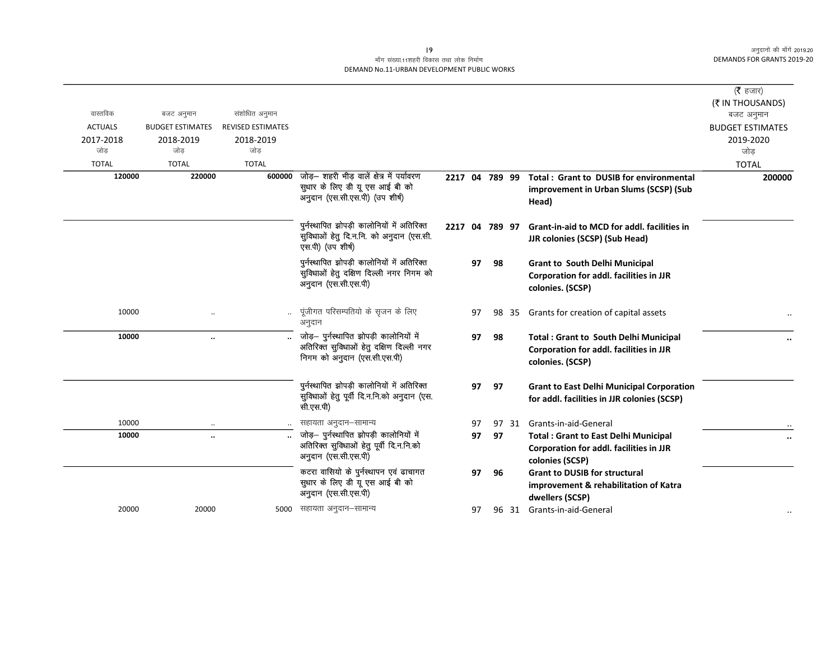### माँग संख्या.11शहरी विकास तथा लोक निर्माण DEMAND No.11-URBAN DEVELOPMENT PUBLIC WORKS

|                |                                       |                                            |                                                                                                                     |                |    |    |       |                                                                                                                    | ( $\bar{\tau}$ हजार)                 |
|----------------|---------------------------------------|--------------------------------------------|---------------------------------------------------------------------------------------------------------------------|----------------|----|----|-------|--------------------------------------------------------------------------------------------------------------------|--------------------------------------|
| वास्तविक       |                                       |                                            |                                                                                                                     |                |    |    |       |                                                                                                                    | (₹ IN THOUSANDS)                     |
| <b>ACTUALS</b> | बजट अनुमान<br><b>BUDGET ESTIMATES</b> | संशोधित अनुमान<br><b>REVISED ESTIMATES</b> |                                                                                                                     |                |    |    |       |                                                                                                                    | बजट अनुमान                           |
| 2017-2018      | 2018-2019                             | 2018-2019                                  |                                                                                                                     |                |    |    |       |                                                                                                                    | <b>BUDGET ESTIMATES</b><br>2019-2020 |
| जोड            | जोड                                   | जोड                                        |                                                                                                                     |                |    |    |       |                                                                                                                    | जोड                                  |
| <b>TOTAL</b>   | <b>TOTAL</b>                          | <b>TOTAL</b>                               |                                                                                                                     |                |    |    |       |                                                                                                                    | <b>TOTAL</b>                         |
| 120000         | 220000                                | 600000                                     | जोड़– शहरी भीड़ वालें क्षेत्र में पर्यावरण<br>सुधार के लिए डी यू एस आई बी को<br>अनुदान (एस.सी.एस.पी) (उप शीर्ष)     | 2217 04 789 99 |    |    |       | Total: Grant to DUSIB for environmental<br>improvement in Urban Slums (SCSP) (Sub<br>Head)                         | 200000                               |
|                |                                       |                                            | पुर्नस्थापित झोपड़ी कालोनियों में अतिरिक्त<br>सुविधाओं हेतु दि.न.नि. को अनुदान (एस.सी.<br>एस.पी) (उप शीर्ष)         |                |    |    |       | 2217 04 789 97 Grant-in-aid to MCD for addl, facilities in<br><b>JJR colonies (SCSP) (Sub Head)</b>                |                                      |
|                |                                       |                                            | पुर्नस्थापित झोपड़ी कालोनियों में अतिरिक्त<br>सुविधाओं हेतु दक्षिण दिल्ली नगर निगम को<br>अनुदान (एस.सी.एस.पी)       |                | 97 | 98 |       | <b>Grant to South Delhi Municipal</b><br><b>Corporation for addl. facilities in JJR</b><br>colonies. (SCSP)        |                                      |
| 10000          |                                       |                                            | पूंजीगत परिसम्पतियो के सृजन के लिए<br>अनुदान                                                                        |                | 97 | 98 | -35   | Grants for creation of capital assets                                                                              |                                      |
| 10000          | $\ldots$                              |                                            | जोड़— पुर्नस्थापित झोपड़ी कालोनियों में<br>अतिरिक्त सुविधाओं हेतु दक्षिण दिल्ली नगर<br>निगम को अनुदान (एस.सी.एस.पी) |                | 97 | 98 |       | <b>Total: Grant to South Delhi Municipal</b><br><b>Corporation for addl. facilities in JJR</b><br>colonies. (SCSP) |                                      |
|                |                                       |                                            | पुर्नस्थापित झोपड़ी कालोनियों में अतिरिक्त<br>सुविधाओं हेतु पूर्वी दि.न.नि.को अनुदान (एस.<br>सी.एस.पी)              |                | 97 | 97 |       | <b>Grant to East Delhi Municipal Corporation</b><br>for addl. facilities in JJR colonies (SCSP)                    |                                      |
| 10000          |                                       |                                            | सहायता अनुदान–सामान्य                                                                                               |                | 97 |    |       | 97 31 Grants-in-aid-General                                                                                        |                                      |
| 10000          |                                       |                                            | जोड़- पुर्नस्थापित झोपड़ी कालोनियों में                                                                             |                | 97 | 97 |       | <b>Total: Grant to East Delhi Municipal</b>                                                                        | $\ddot{\phantom{0}}$                 |
|                |                                       |                                            | अतिरिक्त सुविधाओं हेतु पूर्वी दि.न.नि.को<br>अनुदान (एस.सी.एस.पी)                                                    |                |    |    |       | Corporation for addl. facilities in JJR<br>colonies (SCSP)                                                         |                                      |
|                |                                       |                                            | कटरा वासियो के पुर्नस्थापन एवं ढाचागत<br>सुधार के लिए डी यू एस आई बी को<br>अनुदान (एस.सी.एस.पी)                     |                | 97 | 96 |       | <b>Grant to DUSIB for structural</b><br>improvement & rehabilitation of Katra<br>dwellers (SCSP)                   |                                      |
| 20000          | 20000                                 |                                            | 5000 सहायता अनुदान–सामान्य                                                                                          |                | 97 |    | 96 31 | Grants-in-aid-General                                                                                              |                                      |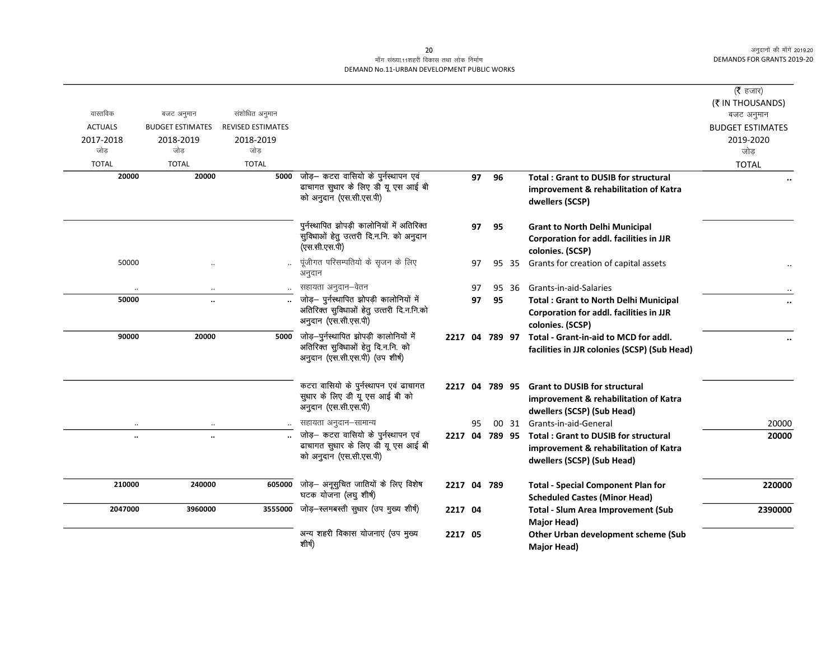## माँग संख्या.11शहरी विकास तथा लोक निर्माण DEMAND No.11-URBAN DEVELOPMENT PUBLIC WORKS

| वास्तविक<br><b>ACTUALS</b><br>2017-2018 | बजट अनुमान<br><b>BUDGET ESTIMATES</b><br>2018-2019 | संशोधित अनुमान<br><b>REVISED ESTIMATES</b><br>2018-2019 |                                                                                                                      |             |    |    |       |                                                                                                                            | ( $\bar{\tau}$ हजार)<br>(₹ IN THOUSANDS)<br>बजट अनुमान<br><b>BUDGET ESTIMATES</b><br>2019-2020 |
|-----------------------------------------|----------------------------------------------------|---------------------------------------------------------|----------------------------------------------------------------------------------------------------------------------|-------------|----|----|-------|----------------------------------------------------------------------------------------------------------------------------|------------------------------------------------------------------------------------------------|
| जोड                                     | जोड                                                | जोड                                                     |                                                                                                                      |             |    |    |       |                                                                                                                            | जोड                                                                                            |
| <b>TOTAL</b>                            | <b>TOTAL</b>                                       | <b>TOTAL</b>                                            |                                                                                                                      |             |    |    |       |                                                                                                                            | <b>TOTAL</b>                                                                                   |
| 20000                                   | 20000                                              | 5000                                                    | जोड़— कटरा वासियो के पुर्नस्थापन एवं<br>ढाचागत सुधार के लिए डी यू एस आई बी<br>को अनुदान (एस.सी.एस.पी)                |             | 97 | 96 |       | <b>Total: Grant to DUSIB for structural</b><br>improvement & rehabilitation of Katra<br>dwellers (SCSP)                    |                                                                                                |
|                                         |                                                    |                                                         | पुर्नस्थापित झोपड़ी कालोनियों में अतिरिक्त<br>सुविधाओं हेतु उत्तरी दि.न.नि. को अनुदान<br>(एस.सी.एस.पी)               |             | 97 | 95 |       | <b>Grant to North Delhi Municipal</b><br><b>Corporation for addl. facilities in JJR</b><br>colonies. (SCSP)                |                                                                                                |
| 50000                                   |                                                    |                                                         | पूंजीगत परिसम्पतियो के सृजन के लिए<br>अनुदान                                                                         |             | 97 |    |       | 95 35 Grants for creation of capital assets                                                                                |                                                                                                |
|                                         | $\cdot \cdot$                                      | $\ddotsc$                                               | सहायता अनुदान–वेतन                                                                                                   |             | 97 |    | 95 36 | Grants-in-aid-Salaries                                                                                                     |                                                                                                |
| 50000                                   |                                                    |                                                         | जोड़- पुर्नस्थापित झोपड़ी कालोनियों में<br>अतिरिक्त सुविधाओं हेतु उत्तरी दि.न.नि.को<br>अनुदान (एस.सी.एस.पी)          |             | 97 | 95 |       | <b>Total: Grant to North Delhi Municipal</b><br><b>Corporation for addl. facilities in JJR</b><br>colonies. (SCSP)         |                                                                                                |
| 90000                                   | 20000                                              |                                                         | 5000 जोड़-पुर्नस्थापित झोपड़ी कालोनियों में<br>अतिरिक्त सुविधाओं हेतु दि.न.नि. को<br>अनुदान (एस.सी.एस.पी) (उप शीर्ष) |             |    |    |       | 2217 04 789 97 Total - Grant-in-aid to MCD for addl.<br>facilities in JJR colonies (SCSP) (Sub Head)                       |                                                                                                |
|                                         |                                                    |                                                         | कटरा वासियो के पुर्नस्थापन एवं ढाचागत<br>सुधार के लिए डी यू एस आई बी को<br>अनुदान (एस.सी.एस.पी)                      |             |    |    |       | 2217 04 789 95 Grant to DUSIB for structural<br>improvement & rehabilitation of Katra<br>dwellers (SCSP) (Sub Head)        |                                                                                                |
|                                         |                                                    |                                                         | सहायता अनुदान-सामान्य                                                                                                |             | 95 |    |       | 00 31 Grants-in-aid-General                                                                                                | 20000                                                                                          |
| $\ddot{\phantom{a}}$                    | $\ddot{\phantom{a}}$                               |                                                         | जोड़– कटरा वासियो के पुर्नस्थापन एवं<br>ढाचागत सुधार के लिए डी यू एस आई बी<br>को अनुदान (एस.सी.एस.पी)                |             |    |    |       | 2217 04 789 95 Total: Grant to DUSIB for structural<br>improvement & rehabilitation of Katra<br>dwellers (SCSP) (Sub Head) | 20000                                                                                          |
| 210000                                  | 240000                                             | 605000                                                  | जोड़— अनूसुचित जातियों के लिए विशेष<br>घटक योजना (लघु शीर्ष)                                                         | 2217 04 789 |    |    |       | <b>Total - Special Component Plan for</b><br><b>Scheduled Castes (Minor Head)</b>                                          | 220000                                                                                         |
| 2047000                                 | 3960000                                            |                                                         | 3555000 जोड़-स्लमबस्ती सुधार (उप मुख्य शीर्ष)                                                                        | 2217 04     |    |    |       | <b>Total - Slum Area Improvement (Sub</b><br><b>Major Head)</b>                                                            | 2390000                                                                                        |
|                                         |                                                    |                                                         | अन्य शहरी विकास योजनाएं (उप मुख्य<br>शीर्ष)                                                                          | 2217 05     |    |    |       | Other Urban development scheme (Sub<br>Major Head)                                                                         |                                                                                                |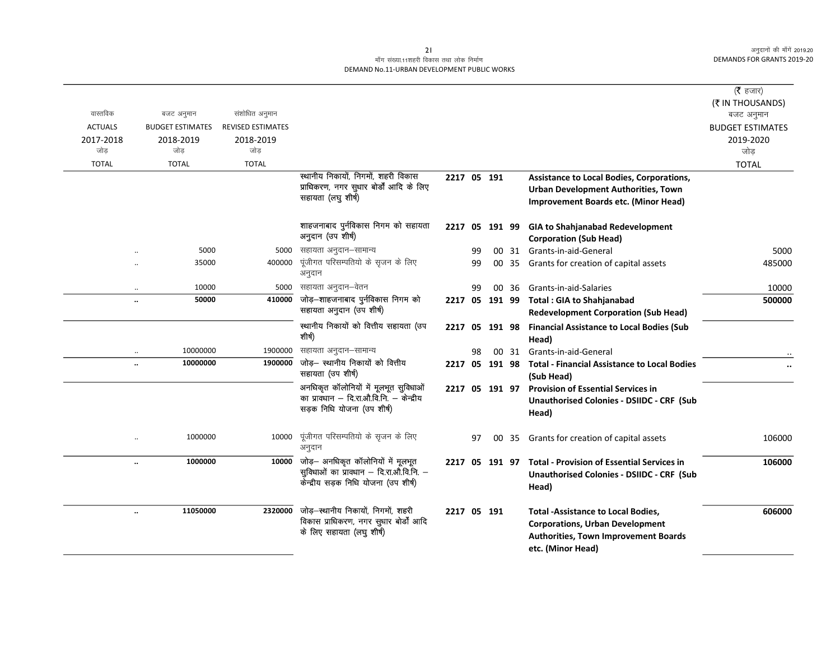# माँग संख्या.11शहरी विकास तथा लोक निर्माण DEMAND No.11-URBAN DEVELOPMENT PUBLIC WORKS

|                |                                  |                          |                                                                                |             |    |                |       |                                                                           | (रै हजार)<br>(₹ IN THOUSANDS) |
|----------------|----------------------------------|--------------------------|--------------------------------------------------------------------------------|-------------|----|----------------|-------|---------------------------------------------------------------------------|-------------------------------|
| वास्तविक       | बजट अनुमान                       | संशोधित अनुमान           |                                                                                |             |    |                |       |                                                                           | बजट अनुमान                    |
| <b>ACTUALS</b> | <b>BUDGET ESTIMATES</b>          | <b>REVISED ESTIMATES</b> |                                                                                |             |    |                |       |                                                                           | <b>BUDGET ESTIMATES</b>       |
| 2017-2018      | 2018-2019                        | 2018-2019                |                                                                                |             |    |                |       |                                                                           | 2019-2020                     |
| जोड            | जोड                              | जोड                      |                                                                                |             |    |                |       |                                                                           | जोड                           |
| <b>TOTAL</b>   | <b>TOTAL</b>                     | <b>TOTAL</b>             |                                                                                |             |    |                |       |                                                                           | <b>TOTAL</b>                  |
|                |                                  |                          | स्थानीय निकायों, निगमों, शहरी विकास<br>प्राधिकरण, नगर सुधार बोर्डों आदि के लिए | 2217 05 191 |    |                |       | Assistance to Local Bodies, Corporations,                                 |                               |
|                |                                  |                          | सहायता (लघु शीर्ष)                                                             |             |    |                |       | Urban Development Authorities, Town                                       |                               |
|                |                                  |                          |                                                                                |             |    |                |       | <b>Improvement Boards etc. (Minor Head)</b>                               |                               |
|                |                                  |                          | शाहजनाबाद पुर्नविकास निगम को सहायता                                            |             |    |                |       | 2217 05 191 99 GIA to Shahjanabad Redevelopment                           |                               |
|                |                                  |                          | अनुदान (उप शीर्ष)                                                              |             |    |                |       | <b>Corporation (Sub Head)</b>                                             |                               |
|                | 5000                             | 5000                     | सहायता अनुदान-सामान्य                                                          |             | 99 |                |       | 00 31 Grants-in-aid-General                                               | 5000                          |
|                | 35000                            | 400000                   | पूंजीगत परिसम्पतियो के सृजन के लिए                                             |             | 99 |                |       | 00 35 Grants for creation of capital assets                               | 485000                        |
|                |                                  |                          | अनुदान                                                                         |             |    |                |       |                                                                           |                               |
|                | 10000<br>$\ddotsc$               | 5000                     | सहायता अनुदान–वेतन                                                             |             | 99 |                | 00 36 | Grants-in-aid-Salaries                                                    | 10000                         |
|                | 50000<br>$\ddot{\phantom{a}}$    | 410000                   | जोड़–शाहजनाबाद पुर्नविकास निगम को                                              |             |    |                |       | 2217 05 191 99 Total: GIA to Shahjanabad                                  | 500000                        |
|                |                                  |                          | सहायता अनुदान (उप शीर्ष)                                                       |             |    |                |       | <b>Redevelopment Corporation (Sub Head)</b>                               |                               |
|                |                                  |                          | स्थानीय निकायों को वित्तीय सहायता (उप<br>शीर्ष)                                |             |    |                |       | 2217 05 191 98 Financial Assistance to Local Bodies (Sub<br>Head)         |                               |
|                | 10000000<br>$\ddotsc$            | 1900000                  | सहायता अनुदान-सामान्य                                                          |             | 98 |                |       | 00 31 Grants-in-aid-General                                               |                               |
|                | 10000000<br>$\ddot{\phantom{a}}$ | 1900000                  | जोड़— स्थानीय निकायों को वित्तीय<br>सहायता (उप शीर्ष)                          |             |    |                |       | 2217 05 191 98 Total - Financial Assistance to Local Bodies<br>(Sub Head) |                               |
|                |                                  |                          | अनधिकृत कॉलोनियों में मूलभूत सुविधाओं                                          |             |    | 2217 05 191 97 |       | <b>Provision of Essential Services in</b>                                 |                               |
|                |                                  |                          | का प्राक्धान – दि.रा.औ.वि.नि. – केन्द्रीय                                      |             |    |                |       | <b>Unauthorised Colonies - DSIIDC - CRF (Sub</b>                          |                               |
|                |                                  |                          | सड़क निधि योजना (उप शीर्ष)                                                     |             |    |                |       | Head)                                                                     |                               |
|                | 1000000                          | 10000                    | पूंजीगत परिसम्पतियो के सृजन के लिए<br>अनुदान                                   |             | 97 | 00             | -35   | Grants for creation of capital assets                                     | 106000                        |
|                | 1000000<br>$\ddot{\phantom{a}}$  | 10000                    | जोड़- अनधिकृत कॉलोनियों में मूलभूत                                             | 2217        |    |                |       | 05 191 97 Total - Provision of Essential Services in                      | 106000                        |
|                |                                  |                          | सुविधाओं का प्रावधान – दि.रा.औ.वि.नि. –                                        |             |    |                |       | <b>Unauthorised Colonies - DSIIDC - CRF (Sub</b>                          |                               |
|                |                                  |                          | केन्द्रीय सड़क निधि योजना (उप शीर्ष)                                           |             |    |                |       | Head)                                                                     |                               |
|                | 11050000<br>$\ddot{\phantom{0}}$ | 2320000                  | जोड़-स्थानीय निकायों, निगमों, शहरी                                             | 2217 05 191 |    |                |       | <b>Total -Assistance to Local Bodies,</b>                                 | 606000                        |
|                |                                  |                          | विकास प्राधिकरण, नगर सुधार बोर्डों आदि                                         |             |    |                |       | <b>Corporations, Urban Development</b>                                    |                               |
|                |                                  |                          | के लिए सहायता (लघु शीर्ष)                                                      |             |    |                |       | Authorities, Town Improvement Boards                                      |                               |
|                |                                  |                          |                                                                                |             |    |                |       | etc. (Minor Head)                                                         |                               |
|                |                                  |                          |                                                                                |             |    |                |       |                                                                           |                               |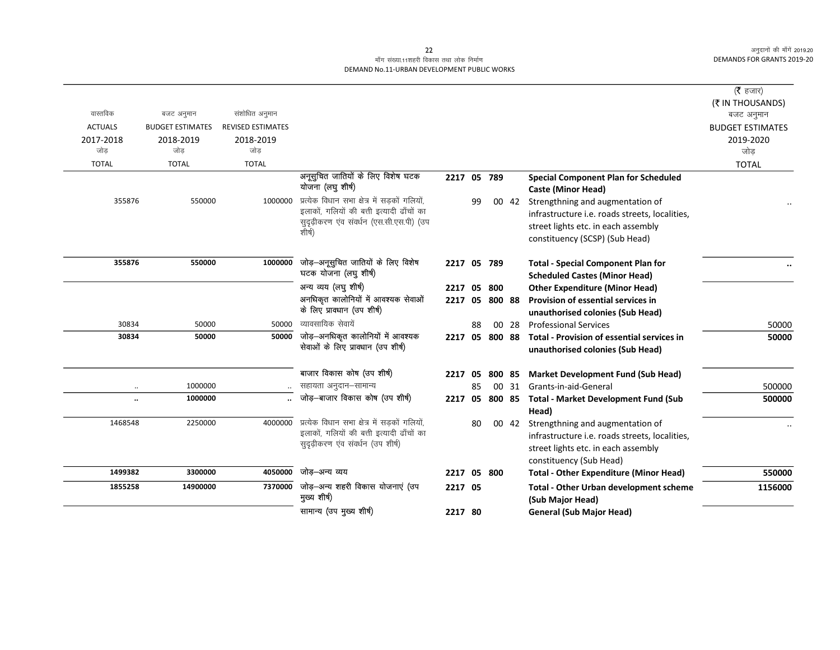## माँग संख्या.11शहरी विकास तथा लोक निर्माण DEMAND No.11-URBAN DEVELOPMENT PUBLIC WORKS

|                      |                         |                          |                                                        |             |    |           |       |                                                                          | ( $\bar{\tau}$ हजार)    |
|----------------------|-------------------------|--------------------------|--------------------------------------------------------|-------------|----|-----------|-------|--------------------------------------------------------------------------|-------------------------|
|                      |                         |                          |                                                        |             |    |           |       |                                                                          | (₹ IN THOUSANDS)        |
| वास्तविक             | बजट अनुमान              | संशोधित अनुमान           |                                                        |             |    |           |       |                                                                          | बजट अनुमान              |
| <b>ACTUALS</b>       | <b>BUDGET ESTIMATES</b> | <b>REVISED ESTIMATES</b> |                                                        |             |    |           |       |                                                                          | <b>BUDGET ESTIMATES</b> |
| 2017-2018            | 2018-2019               | 2018-2019                |                                                        |             |    |           |       |                                                                          | 2019-2020               |
| जोड                  | जोड                     | जोड                      |                                                        |             |    |           |       |                                                                          | जोड                     |
| <b>TOTAL</b>         | <b>TOTAL</b>            | <b>TOTAL</b>             |                                                        |             |    |           |       |                                                                          | <b>TOTAL</b>            |
|                      |                         |                          | अनूसूचित जातियों के लिए विशेष घटक<br>योजना (लघु शीर्ष) | 2217 05 789 |    |           |       | <b>Special Component Plan for Scheduled</b><br><b>Caste (Minor Head)</b> |                         |
| 355876               | 550000                  | 1000000                  | प्रत्येक विधान सभा क्षेत्र में सड़कों गलियों,          |             | 99 |           | 00 42 | Strengthning and augmentation of                                         |                         |
|                      |                         |                          | इलाकों, गलियों की बत्ती इत्यादी ढाँचों का              |             |    |           |       | infrastructure i.e. roads streets, localities,                           |                         |
|                      |                         |                          | सुदृढ़ीकरण एव संवर्धन (एस.सी.एस.पी) (उप<br>शीर्ष)      |             |    |           |       | street lights etc. in each assembly                                      |                         |
|                      |                         |                          |                                                        |             |    |           |       | constituency (SCSP) (Sub Head)                                           |                         |
| 355876               | 550000                  | 1000000                  | जोड़—अनूसूचित जातियों के लिए विशेष                     | 2217 05 789 |    |           |       | <b>Total - Special Component Plan for</b>                                |                         |
|                      |                         |                          | घटक योजना (लघु शीर्ष)                                  |             |    |           |       | <b>Scheduled Castes (Minor Head)</b>                                     |                         |
|                      |                         |                          | अन्य व्यय (लघु शीर्ष)                                  | 2217        |    | 05 800    |       | <b>Other Expenditure (Minor Head)</b>                                    |                         |
|                      |                         |                          | अनधिकृत कालोनियों में आवश्यक सेवाओं                    | 2217        |    | 05 800 88 |       | <b>Provision of essential services in</b>                                |                         |
|                      |                         |                          | के लिए प्रावधान (उप शीर्ष)                             |             |    |           |       | unauthorised colonies (Sub Head)                                         |                         |
| 30834                | 50000                   | 50000                    | व्यावसायिक सेवायें                                     |             | 88 |           | 00 28 | <b>Professional Services</b>                                             | 50000                   |
| 30834                | 50000                   | 50000                    | जोड़-अनधिकृत कालोनियों में आवश्यक                      | 2217        |    | 05 800 88 |       | Total - Provision of essential services in                               | 50000                   |
|                      |                         |                          | सेवाओं के लिए प्रावधान (उप शीर्ष)                      |             |    |           |       | unauthorised colonies (Sub Head)                                         |                         |
|                      |                         |                          | बाजार विकास कोष (उप शीर्ष)                             | 2217        | 05 | 800 85    |       | <b>Market Development Fund (Sub Head)</b>                                |                         |
| $\ldots$             | 1000000                 |                          | सहायता अनुदान–सामान्य                                  |             | 85 |           | 00 31 | Grants-in-aid-General                                                    | 500000                  |
| $\ddot{\phantom{a}}$ | 1000000                 |                          | जोड़–बाजार विकास कोष (उप शीर्ष)                        | 2217        |    |           |       | 05 800 85 Total - Market Development Fund (Sub                           | 500000                  |
|                      |                         |                          |                                                        |             |    |           |       | Head)                                                                    |                         |
| 1468548              | 2250000                 | 4000000                  | प्रत्येक विधान सभा क्षेत्र में सड़कों गलियों,          |             | 80 |           | 00 42 | Strengthning and augmentation of                                         |                         |
|                      |                         |                          | इलाकों, गलियों की बत्ती इत्यादी ढाँचों का              |             |    |           |       | infrastructure i.e. roads streets, localities,                           |                         |
|                      |                         |                          | सुदृढ़ीकरण एंव संवर्धन (उप शीर्ष)                      |             |    |           |       | street lights etc. in each assembly                                      |                         |
|                      |                         |                          |                                                        |             |    |           |       | constituency (Sub Head)                                                  |                         |
| 1499382              | 3300000                 | 4050000                  | जोड़–अन्य व्यय                                         | 2217 05 800 |    |           |       | <b>Total - Other Expenditure (Minor Head)</b>                            | 550000                  |
| 1855258              | 14900000                | 7370000                  | जोड़-अन्य शहरी विकास योजनाएं (उप                       | 2217 05     |    |           |       | <b>Total - Other Urban development scheme</b>                            | 1156000                 |
|                      |                         |                          | मुख्य शीर्ष)                                           |             |    |           |       | (Sub Major Head)                                                         |                         |
|                      |                         |                          | सामान्य (उप मुख्य शीर्ष)                               | 2217 80     |    |           |       | <b>General (Sub Major Head)</b>                                          |                         |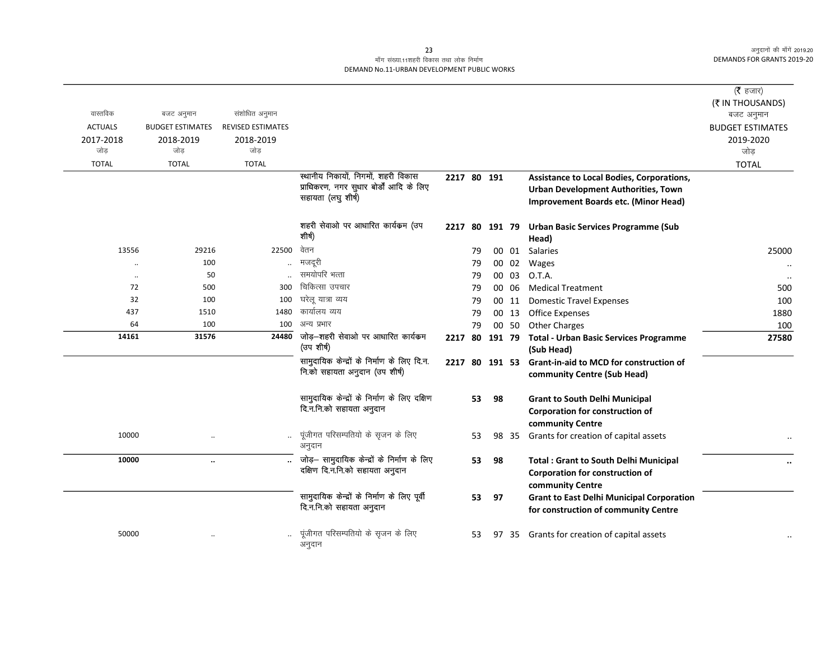# माँग संख्या.11शहरी विकास तथा लोक निर्माण DEMAND No.11-URBAN DEVELOPMENT PUBLIC WORKS

| वास्तविक<br><b>ACTUALS</b><br>2017-2018<br>जोड़ | बजट अनुमान<br><b>BUDGET ESTIMATES</b><br>2018-2019<br>जोड़ | संशोधित अनुमान<br><b>REVISED ESTIMATES</b><br>2018-2019<br>जोड़ |                                                                                                      |                |    |        |       |                                                                                                                          | ( $\bar{\tau}$ हजार)<br>(₹ IN THOUSANDS)<br>बजट अनुमान<br><b>BUDGET ESTIMATES</b><br>2019-2020<br>जोड़ |
|-------------------------------------------------|------------------------------------------------------------|-----------------------------------------------------------------|------------------------------------------------------------------------------------------------------|----------------|----|--------|-------|--------------------------------------------------------------------------------------------------------------------------|--------------------------------------------------------------------------------------------------------|
| <b>TOTAL</b>                                    | <b>TOTAL</b>                                               | <b>TOTAL</b>                                                    |                                                                                                      |                |    |        |       |                                                                                                                          | <b>TOTAL</b>                                                                                           |
|                                                 |                                                            |                                                                 | स्थानीय निकायों, निगमों, शहरी विकास<br>प्राधिकरण, नगर सुधार बोर्डों आदि के लिए<br>सहायता (लघु शीर्ष) | 2217 80 191    |    |        |       | Assistance to Local Bodies, Corporations,<br>Urban Development Authorities, Town<br>Improvement Boards etc. (Minor Head) |                                                                                                        |
|                                                 |                                                            |                                                                 | शहरी सेवाओ पर आधारित कार्यक्रम (उप<br>शीर्ष)                                                         | 2217 80 191 79 |    |        |       | <b>Urban Basic Services Programme (Sub</b><br>Head)                                                                      |                                                                                                        |
| 13556                                           | 29216                                                      | 22500                                                           | वेतन                                                                                                 |                | 79 |        | 00 01 | <b>Salaries</b>                                                                                                          | 25000                                                                                                  |
| $\ddot{\phantom{a}}$                            | 100                                                        |                                                                 | मजदूरी                                                                                               |                | 79 |        | 00 02 | Wages                                                                                                                    |                                                                                                        |
| $\ddot{\phantom{a}}$                            | 50                                                         |                                                                 | समयोपरि भत्ता                                                                                        |                | 79 |        | 00 03 | O.T.A.                                                                                                                   |                                                                                                        |
| 72                                              | 500                                                        | 300                                                             | चिकित्सा उपचार                                                                                       |                | 79 |        | 00 06 | <b>Medical Treatment</b>                                                                                                 | 500                                                                                                    |
| 32                                              | 100                                                        | 100                                                             | घरेलू यात्रा व्यय                                                                                    |                | 79 |        | 00 11 | <b>Domestic Travel Expenses</b>                                                                                          | 100                                                                                                    |
| 437                                             | 1510                                                       | 1480                                                            | कार्यालय व्यय                                                                                        |                | 79 |        | 00 13 | Office Expenses                                                                                                          | 1880                                                                                                   |
| 64                                              | 100                                                        | 100                                                             | अन्य प्रभार                                                                                          |                | 79 |        | 00 50 | <b>Other Charges</b>                                                                                                     | 100                                                                                                    |
| 14161                                           | 31576                                                      | 24480                                                           | जोड़–शहरी सेवाओ पर आधारित कार्यक्रम<br>(उप शीर्ष)                                                    | 2217           | 80 | 191 79 |       | <b>Total - Urban Basic Services Programme</b><br>(Sub Head)                                                              | 27580                                                                                                  |
|                                                 |                                                            |                                                                 | सामुदायिक केन्द्रों के निर्माण के लिए दि.न.<br>नि.को सहायता अनुदान (उप शीर्ष)                        | 2217 80 191 53 |    |        |       | <b>Grant-in-aid to MCD for construction of</b><br>community Centre (Sub Head)                                            |                                                                                                        |
|                                                 |                                                            |                                                                 | सामुदायिक केन्द्रों के निर्माण के लिए दक्षिण<br>दि.न.नि.को सहायता अनुदान                             |                | 53 | 98     |       | <b>Grant to South Delhi Municipal</b><br>Corporation for construction of<br>community Centre                             |                                                                                                        |
| 10000                                           |                                                            |                                                                 | पूंजीगत परिसम्पतियो के सृजन के लिए<br>अनुदान                                                         |                | 53 |        | 98 35 | Grants for creation of capital assets                                                                                    |                                                                                                        |
| 10000                                           | $\ddotsc$                                                  |                                                                 | जोड़- सामुदायिक केन्द्रों के निर्माण के लिए<br>दक्षिण दि.न.नि.को सहायता अनुदान                       |                | 53 | 98     |       | <b>Total: Grant to South Delhi Municipal</b><br>Corporation for construction of<br>community Centre                      |                                                                                                        |
|                                                 |                                                            |                                                                 | सामुदायिक केन्द्रों के निर्माण के लिए पूर्वी<br>दि.न.नि.को सहायता अनुदान                             |                | 53 | 97     |       | <b>Grant to East Delhi Municipal Corporation</b><br>for construction of community Centre                                 |                                                                                                        |
| 50000                                           |                                                            |                                                                 | पूंजीगत परिसम्पतियो के सृजन के लिए<br>अनुदान                                                         |                | 53 |        | 97 35 | Grants for creation of capital assets                                                                                    |                                                                                                        |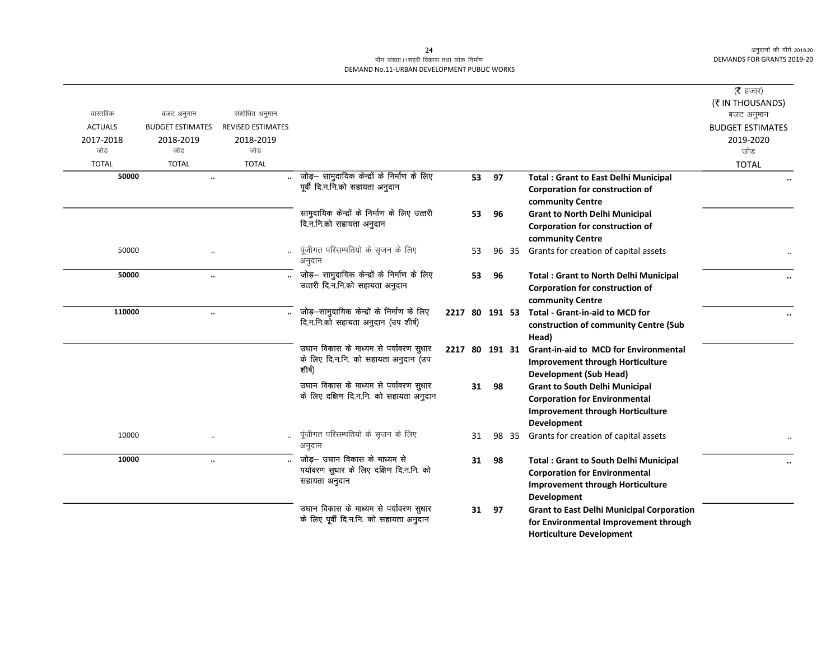## माँग संख्या.11शहरी विकास तथा लोक निर्माण DEMAND No.11-URBAN DEVELOPMENT PUBLIC WORKS

| वास्तविक         |                                       | संशोधित अनुमान    |                                                                                            |                |    |    |       |                                                                                                                                                | ( $\bar{\tau}$ हजार)<br>(₹ IN THOUSANDS)     |
|------------------|---------------------------------------|-------------------|--------------------------------------------------------------------------------------------|----------------|----|----|-------|------------------------------------------------------------------------------------------------------------------------------------------------|----------------------------------------------|
| <b>ACTUALS</b>   | बजट अनुमान<br><b>BUDGET ESTIMATES</b> | REVISED ESTIMATES |                                                                                            |                |    |    |       |                                                                                                                                                | बजट अनुमान                                   |
| 2017-2018<br>जोड | 2018-2019<br>जोड                      | 2018-2019<br>जोड  |                                                                                            |                |    |    |       |                                                                                                                                                | <b>BUDGET ESTIMATES</b><br>2019-2020<br>जोड़ |
| <b>TOTAL</b>     | <b>TOTAL</b>                          | <b>TOTAL</b>      |                                                                                            |                |    |    |       |                                                                                                                                                | <b>TOTAL</b>                                 |
| 50000            | $\ddotsc$                             |                   | जोड़– सामुदायिक केन्द्रों के निर्माण के लिए<br>पूर्वी दि.न.नि.को सहायता अनुदान             |                | 53 | 97 |       | <b>Total: Grant to East Delhi Municipal</b><br>Corporation for construction of<br>community Centre                                             |                                              |
|                  |                                       |                   | सामुदायिक केन्द्रों के निर्माण के लिए उत्तरी<br>दि.न.नि.को सहायता अनुदान                   |                | 53 | 96 |       | <b>Grant to North Delhi Municipal</b><br>Corporation for construction of<br>community Centre                                                   |                                              |
| 50000            |                                       |                   | पूंजीगत परिसम्पतियो के सृजन के लिए<br>अनुदान                                               |                | 53 |    | 96 35 | Grants for creation of capital assets                                                                                                          |                                              |
| 50000            | $\ddotsc$                             |                   | जोड़- सामुदायिक केन्द्रों के निर्माण के लिए<br>उत्तरी दि.न.नि.को सहायता अनुदान             |                | 53 | 96 |       | <b>Total: Grant to North Delhi Municipal</b><br>Corporation for construction of<br>community Centre                                            |                                              |
| 110000           | $\ddotsc$                             |                   | जोड़-सामुदायिक केन्द्रों के निर्माण के लिए<br>दि.न.नि.को सहायता अनुदान (उप शीर्ष)          |                |    |    |       | 2217 80 191 53 Total - Grant-in-aid to MCD for<br>construction of community Centre (Sub<br>Head)                                               |                                              |
|                  |                                       |                   | उघान विकास के माध्यम से पर्यावरण सुधार<br>के लिए दि.न.नि. को सहायता अनुदान (उप<br>शीर्ष)   | 2217 80 191 31 |    |    |       | <b>Grant-in-aid to MCD for Environmental</b><br><b>Improvement through Horticulture</b><br>Development (Sub Head)                              |                                              |
|                  |                                       |                   | उघान विकास के माध्यम से पर्यावरण सुधार<br>के लिए दक्षिण दि.न.नि. को सहायता अनुदान          |                | 31 | 98 |       | <b>Grant to South Delhi Municipal</b><br><b>Corporation for Environmental</b><br><b>Improvement through Horticulture</b><br><b>Development</b> |                                              |
| 10000            | $\cdot$                               |                   | पूंजीगत परिसम्पतियो के सृजन के लिए<br>अनुदान                                               |                | 31 |    | 98 35 | Grants for creation of capital assets                                                                                                          |                                              |
| 10000            | $\ddotsc$                             |                   | जोड़— उघान विकास के माध्यम से<br>पर्यावरण सुधार के लिए दक्षिण दि.न.नि. को<br>सहायता अनुदान |                | 31 | 98 |       | <b>Total: Grant to South Delhi Municipal</b><br><b>Corporation for Environmental</b><br><b>Improvement through Horticulture</b><br>Development |                                              |
|                  |                                       |                   | उघान विकास के माध्यम से पर्यावरण सुधार<br>के लिए पूर्वी दि.न.नि. को सहायता अनुदान          |                | 31 | 97 |       | <b>Grant to East Delhi Municipal Corporation</b><br>for Environmental Improvement through<br><b>Horticulture Development</b>                   |                                              |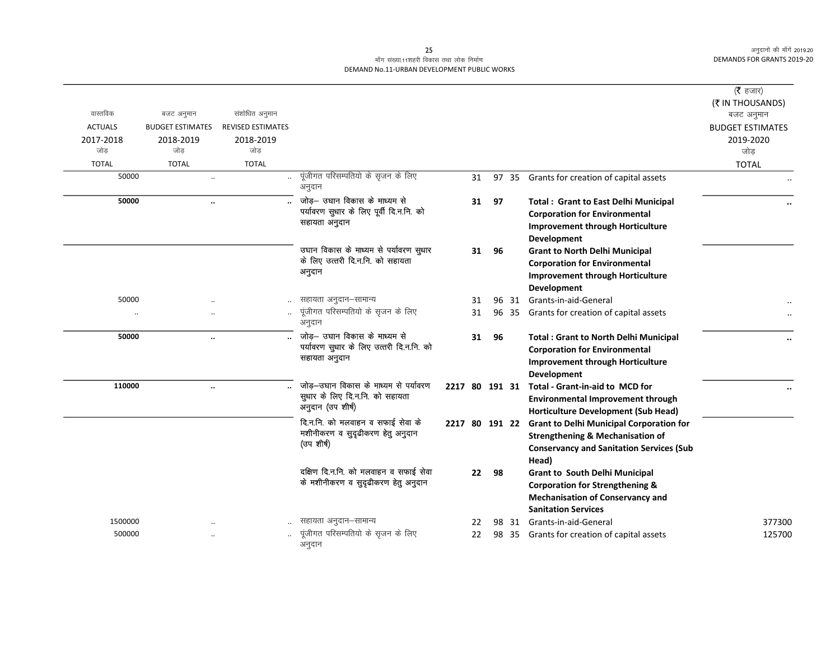## माँग संख्या.11शहरी विकास तथा लोक निर्माण DEMAND No.11-URBAN DEVELOPMENT PUBLIC WORKS

| वास्तविक       | बजट अनुमान              | संशोधित अनुमान           |                                                                                                  |    |    |       |                                                                                                                                                                    | ( $\bar{\tau}$ हजार)<br>(₹ IN THOUSANDS)<br>बजट अनुमान |
|----------------|-------------------------|--------------------------|--------------------------------------------------------------------------------------------------|----|----|-------|--------------------------------------------------------------------------------------------------------------------------------------------------------------------|--------------------------------------------------------|
| <b>ACTUALS</b> | <b>BUDGET ESTIMATES</b> | <b>REVISED ESTIMATES</b> |                                                                                                  |    |    |       |                                                                                                                                                                    | <b>BUDGET ESTIMATES</b>                                |
| 2017-2018      | 2018-2019               | 2018-2019                |                                                                                                  |    |    |       |                                                                                                                                                                    | 2019-2020                                              |
| जोड            | जोड                     | जोड                      |                                                                                                  |    |    |       |                                                                                                                                                                    | जोड़                                                   |
| <b>TOTAL</b>   | <b>TOTAL</b>            | <b>TOTAL</b>             |                                                                                                  |    |    |       |                                                                                                                                                                    | <b>TOTAL</b>                                           |
| 50000          | $\ddotsc$               |                          | पूंजीगत परिसम्पतियो के सृजन के लिए<br>अनुदान                                                     | 31 |    |       | 97 35 Grants for creation of capital assets                                                                                                                        |                                                        |
| 50000          | $\ddotsc$               |                          | जोड़— उघान विकास के माध्यम से<br>पर्यावरण सुधार के लिए पूर्वी दि.न.नि. को<br>सहायता अनुदान       | 31 | 97 |       | <b>Total: Grant to East Delhi Municipal</b><br><b>Corporation for Environmental</b><br><b>Improvement through Horticulture</b><br>Development                      |                                                        |
|                |                         |                          | उघान विकास के माध्यम से पर्यावरण सुधार<br>के लिए उत्तरी दि.न.नि. को सहायता<br>अनुदान             | 31 | 96 |       | <b>Grant to North Delhi Municipal</b><br><b>Corporation for Environmental</b><br><b>Improvement through Horticulture</b><br>Development                            |                                                        |
| 50000          |                         |                          | सहायता अनुदान–सामान्य                                                                            | 31 |    |       | 96 31 Grants-in-aid-General                                                                                                                                        |                                                        |
| $\ddotsc$      |                         |                          | पूंजीगत परिसम्पतियो के सृजन के लिए<br>अनुदान                                                     | 31 |    | 96 35 | Grants for creation of capital assets                                                                                                                              |                                                        |
| 50000          | $\ddotsc$               |                          | __<br>जोड़— उघान विकास के माध्यम से<br>पर्यावरण सुधार के लिए उत्तरी दि.न.नि. को<br>सहायता अनुदान | 31 | 96 |       | <b>Total: Grant to North Delhi Municipal</b><br><b>Corporation for Environmental</b><br><b>Improvement through Horticulture</b><br>Development                     |                                                        |
| 110000         | $\ddotsc$               |                          | जोड़-उघान विकास के माध्यम से पर्यावरण<br>सुधार के लिए दि.न.नि. को सहायता<br>अनुदान (उप शीर्ष)    |    |    |       | 2217 80 191 31 Total - Grant-in-aid to MCD for<br><b>Environmental Improvement through</b><br><b>Horticulture Development (Sub Head)</b>                           |                                                        |
|                |                         |                          | दि.न.नि. को मलवाहन व सफाई सेवा के<br>मशीनीकरण व सुदृढीकरण हेतु अनुदान<br>(उप शीर्ष)              |    |    |       | 2217 80 191 22 Grant to Delhi Municipal Corporation for<br><b>Strengthening &amp; Mechanisation of</b><br><b>Conservancy and Sanitation Services (Sub</b><br>Head) |                                                        |
|                |                         |                          | दक्षिण दि.न.नि. को मलवाहन व सफाई सेवा<br>के मशीनीकरण व सुदृढीकरण हेतु अनुदान                     | 22 | 98 |       | <b>Grant to South Delhi Municipal</b><br><b>Corporation for Strengthening &amp;</b><br><b>Mechanisation of Conservancy and</b><br><b>Sanitation Services</b>       |                                                        |
| 1500000        |                         |                          | सहायता अनुदान–सामान्य                                                                            | 22 |    | 98 31 | Grants-in-aid-General                                                                                                                                              | 377300                                                 |
| 500000         |                         |                          | पूंजीगत परिसम्पतियो के सृजन के लिए<br>अनुदान                                                     | 22 |    | 98 35 | Grants for creation of capital assets                                                                                                                              | 125700                                                 |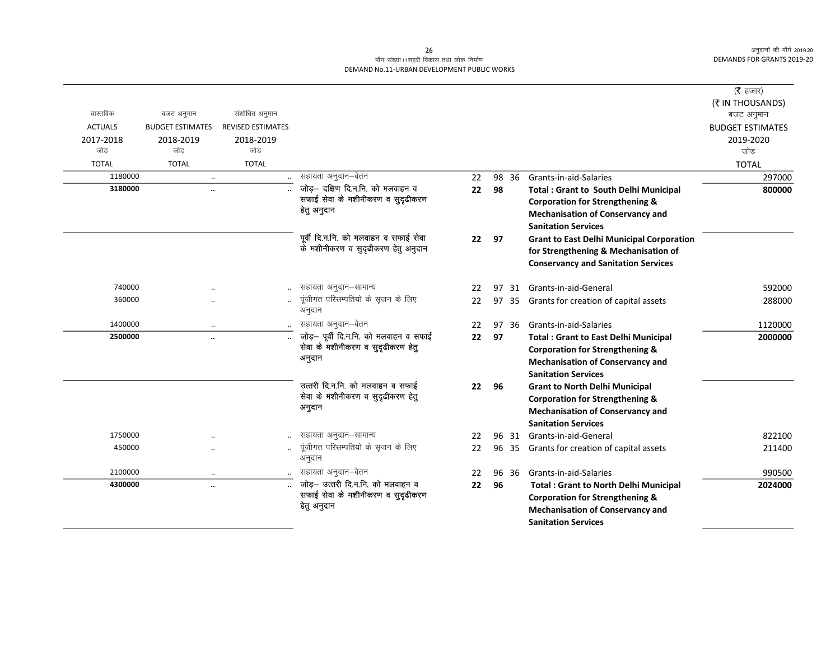## माँग संख्या.11शहरी विकास तथा लोक निर्माण DEMAND No.11-URBAN DEVELOPMENT PUBLIC WORKS

|                  |                         |                          |                                                                       |       |    |       |                                                  | ( $\bar{\tau}$ हजार)    |
|------------------|-------------------------|--------------------------|-----------------------------------------------------------------------|-------|----|-------|--------------------------------------------------|-------------------------|
|                  |                         |                          |                                                                       |       |    |       |                                                  | (そ IN THOUSANDS)        |
| वास्तविक         | बजट अनुमान              | संशोधित अनुमान           |                                                                       |       |    |       |                                                  | बजट अनुमान              |
| <b>ACTUALS</b>   | <b>BUDGET ESTIMATES</b> | <b>REVISED ESTIMATES</b> |                                                                       |       |    |       |                                                  | <b>BUDGET ESTIMATES</b> |
| 2017-2018<br>जोड | 2018-2019<br>जोड        | 2018-2019<br>जोड         |                                                                       |       |    |       |                                                  | 2019-2020<br>जोड        |
| <b>TOTAL</b>     | <b>TOTAL</b>            | <b>TOTAL</b>             |                                                                       |       |    |       |                                                  |                         |
| 1180000          | $\ddotsc$               |                          | सहायता अनुदान–वेतन                                                    | 22    |    | 98 36 | Grants-in-aid-Salaries                           | <b>TOTAL</b><br>297000  |
| 3180000          | $\ddot{\phantom{a}}$    |                          | जोड़- दक्षिण दि.न.नि. को मलवाहन व                                     | 22    | 98 |       | <b>Total: Grant to South Delhi Municipal</b>     | 800000                  |
|                  |                         |                          | सफाई सेवा के मशीनीकरण व सुदृढीकरण                                     |       |    |       | <b>Corporation for Strengthening &amp;</b>       |                         |
|                  |                         |                          | हेतु अनुदान                                                           |       |    |       | <b>Mechanisation of Conservancy and</b>          |                         |
|                  |                         |                          |                                                                       |       |    |       | <b>Sanitation Services</b>                       |                         |
|                  |                         |                          | पूर्वी दि.न.नि. को मलवाहन व सफाई सेवा                                 | 22 97 |    |       | <b>Grant to East Delhi Municipal Corporation</b> |                         |
|                  |                         |                          | के मशीनीकरण व सुदृढीकरण हेतु अनुदान                                   |       |    |       | for Strengthening & Mechanisation of             |                         |
|                  |                         |                          |                                                                       |       |    |       | <b>Conservancy and Sanitation Services</b>       |                         |
| 740000           |                         |                          | सहायता अनुदान–सामान्य                                                 | 22    |    | 97 31 | Grants-in-aid-General                            | 592000                  |
| 360000           |                         |                          | पूंजीगत परिसम्पतियो के सृजन के लिए                                    | 22    | 97 |       | 35 Grants for creation of capital assets         | 288000                  |
|                  |                         |                          | अनुदान                                                                |       |    |       |                                                  |                         |
| 1400000          | $\ddotsc$               |                          | सहायता अनुदान–वेतन                                                    | 22    | 97 | -36   | Grants-in-aid-Salaries                           | 1120000                 |
| 2500000          | $\ddotsc$               |                          | जोड़- पूर्वी दि.न.नि. को मलवाहन व सफाई                                | 22    | 97 |       | <b>Total: Grant to East Delhi Municipal</b>      | 2000000                 |
|                  |                         |                          | सेवा के मशीनीकरण व सुदृढीकरण हेतु                                     |       |    |       | <b>Corporation for Strengthening &amp;</b>       |                         |
|                  |                         |                          | अनुदान                                                                |       |    |       | <b>Mechanisation of Conservancy and</b>          |                         |
|                  |                         |                          |                                                                       |       |    |       | <b>Sanitation Services</b>                       |                         |
|                  |                         |                          | उत्तरी दि.न.नि. को मलवाहन व सफाई<br>सेवा के मशीनीकरण व सुदृढीकरण हेतु | 22    | 96 |       | <b>Grant to North Delhi Municipal</b>            |                         |
|                  |                         |                          | अनुदान                                                                |       |    |       | <b>Corporation for Strengthening &amp;</b>       |                         |
|                  |                         |                          |                                                                       |       |    |       | <b>Mechanisation of Conservancy and</b>          |                         |
|                  |                         |                          |                                                                       |       |    |       | <b>Sanitation Services</b>                       |                         |
| 1750000          |                         |                          | सहायता अनुदान–सामान्य                                                 | 22    |    | 96 31 | Grants-in-aid-General                            | 822100                  |
| 450000           |                         |                          | पूंजीगत परिसम्पतियो के सृजन के लिए<br>अनुदान                          | 22    | 96 | 35    | Grants for creation of capital assets            | 211400                  |
| 2100000          | $\cdot \cdot$           |                          | सहायता अनुदान–वेतन                                                    | 22    |    | 96 36 | Grants-in-aid-Salaries                           | 990500                  |
| 4300000          | $\ddot{\phantom{a}}$    |                          | जोड़- उत्तरी दि.न.नि. को मलवाहन व                                     | 22    | 96 |       | <b>Total: Grant to North Delhi Municipal</b>     | 2024000                 |
|                  |                         |                          | सफाई सेवा के मशीनीकरण व सुदृढीकरण                                     |       |    |       | <b>Corporation for Strengthening &amp;</b>       |                         |
|                  |                         |                          | हेतु अनुदान                                                           |       |    |       | <b>Mechanisation of Conservancy and</b>          |                         |
|                  |                         |                          |                                                                       |       |    |       | <b>Sanitation Services</b>                       |                         |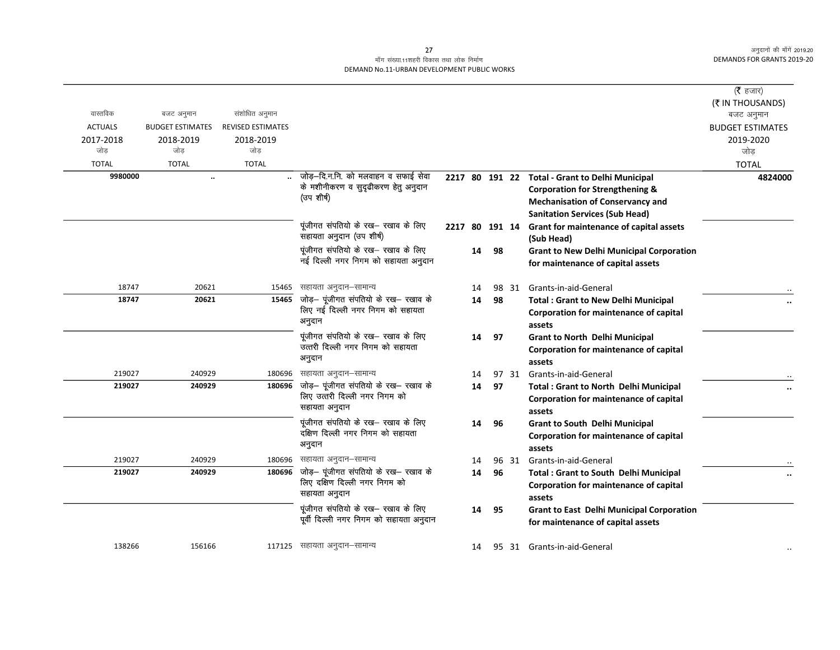## माँग संख्या.11शहरी विकास तथा लोक निर्माण DEMAND No.11-URBAN DEVELOPMENT PUBLIC WORKS

| वास्तविक       | बजट अनुमान              | संशोधित अनुमान           |                                                                        |                |    |    |       |                                                                                      | (रै हजार)<br>(₹ IN THOUSANDS)        |
|----------------|-------------------------|--------------------------|------------------------------------------------------------------------|----------------|----|----|-------|--------------------------------------------------------------------------------------|--------------------------------------|
| <b>ACTUALS</b> | <b>BUDGET ESTIMATES</b> | <b>REVISED ESTIMATES</b> |                                                                        |                |    |    |       |                                                                                      | बजट अनुमान                           |
| 2017-2018      | 2018-2019               | 2018-2019                |                                                                        |                |    |    |       |                                                                                      | <b>BUDGET ESTIMATES</b><br>2019-2020 |
| जोड            | जोड                     | जोड                      |                                                                        |                |    |    |       |                                                                                      | जोड                                  |
| <b>TOTAL</b>   | <b>TOTAL</b>            | <b>TOTAL</b>             |                                                                        |                |    |    |       |                                                                                      | <b>TOTAL</b>                         |
| 9980000        | $\ddot{\phantom{a}}$    |                          | जोड़-दि.न.नि. को मलवाहन व सफाई सेवा                                    |                |    |    |       | 2217 80 191 22 Total - Grant to Delhi Municipal                                      | 4824000                              |
|                |                         |                          | के मशीनीकरण व सुदृढीकरण हेतु अनुदान                                    |                |    |    |       | <b>Corporation for Strengthening &amp;</b>                                           |                                      |
|                |                         |                          | (उप शीर्ष)                                                             |                |    |    |       | <b>Mechanisation of Conservancy and</b>                                              |                                      |
|                |                         |                          |                                                                        |                |    |    |       | <b>Sanitation Services (Sub Head)</b>                                                |                                      |
|                |                         |                          | पूंजीगत संपतियो के रख— रखाव के लिए<br>सहायता अनुदान (उप शीर्ष)         | 2217 80 191 14 |    |    |       | Grant for maintenance of capital assets                                              |                                      |
|                |                         |                          | पूंजीगत संपतियो के रख- रखाव के लिए                                     |                |    |    |       | (Sub Head)                                                                           |                                      |
|                |                         |                          | नई दिल्ली नगर निगम को सहायता अनुदान                                    |                | 14 | 98 |       | <b>Grant to New Delhi Municipal Corporation</b><br>for maintenance of capital assets |                                      |
|                |                         |                          |                                                                        |                |    |    |       |                                                                                      |                                      |
| 18747          | 20621                   | 15465                    | सहायता अनुदान–सामान्य                                                  |                | 14 |    |       | 98 31 Grants-in-aid-General                                                          |                                      |
| 18747          | 20621                   |                          | $15465$ जोड़- पूंजीगत संपतियो के रख- रखाव के                           |                | 14 | 98 |       | <b>Total: Grant to New Delhi Municipal</b>                                           |                                      |
|                |                         |                          | लिए नई दिल्ली नगर निगम को सहायता                                       |                |    |    |       | Corporation for maintenance of capital                                               |                                      |
|                |                         |                          | अनुदान                                                                 |                |    |    |       | assets                                                                               |                                      |
|                |                         |                          | पूंजीगत संपतियो के रख- रखाव के लिए                                     |                | 14 | 97 |       | <b>Grant to North Delhi Municipal</b>                                                |                                      |
|                |                         |                          | उत्तरी दिल्ली नगर निगम को सहायता                                       |                |    |    |       | Corporation for maintenance of capital                                               |                                      |
|                |                         |                          | अनुदान                                                                 |                |    |    |       | assets                                                                               |                                      |
| 219027         | 240929                  | 180696                   | सहायता अनुदान–सामान्य                                                  |                | 14 |    |       | 97 31 Grants-in-aid-General                                                          |                                      |
| 219027         | 240929                  | 180696                   | जोड़- पूंजीगत संपतियो के रख- रखाव के<br>लिए उत्तरी दिल्ली नगर निगम को  |                | 14 | 97 |       | <b>Total: Grant to North Delhi Municipal</b>                                         |                                      |
|                |                         |                          | सहायता अनुदान                                                          |                |    |    |       | Corporation for maintenance of capital                                               |                                      |
|                |                         |                          |                                                                        |                |    |    |       | assets                                                                               |                                      |
|                |                         |                          | पूंजीगत संपतियो के रख- रखाव के लिए<br>दक्षिण दिल्ली नगर निगम को सहायता |                | 14 | 96 |       | <b>Grant to South Delhi Municipal</b>                                                |                                      |
|                |                         |                          | अनुदान                                                                 |                |    |    |       | Corporation for maintenance of capital                                               |                                      |
| 219027         | 240929                  | 180696                   | सहायता अनुदान–सामान्य                                                  |                | 14 |    | 96 31 | assets<br>Grants-in-aid-General                                                      |                                      |
| 219027         | 240929                  | 180696                   | जोड़- पूंजीगत संपतियो के रख- रखाव के                                   |                | 14 | 96 |       | <b>Total: Grant to South Delhi Municipal</b>                                         |                                      |
|                |                         |                          | लिए दक्षिण दिल्ली नगर निगम को                                          |                |    |    |       | Corporation for maintenance of capital                                               |                                      |
|                |                         |                          | सहायता अनुदान                                                          |                |    |    |       | assets                                                                               |                                      |
|                |                         |                          | पूंजीगत संपतियो के रख— रखाव के लिए                                     |                | 14 | 95 |       | <b>Grant to East Delhi Municipal Corporation</b>                                     |                                      |
|                |                         |                          | पूर्वी दिल्ली नगर निगम को सहायता अनुदान                                |                |    |    |       | for maintenance of capital assets                                                    |                                      |
|                |                         |                          |                                                                        |                |    |    |       |                                                                                      |                                      |
| 138266         | 156166                  |                          | 117125 सहायता अनुदान–सामान्य                                           |                | 14 |    |       | 95 31 Grants-in-aid-General                                                          |                                      |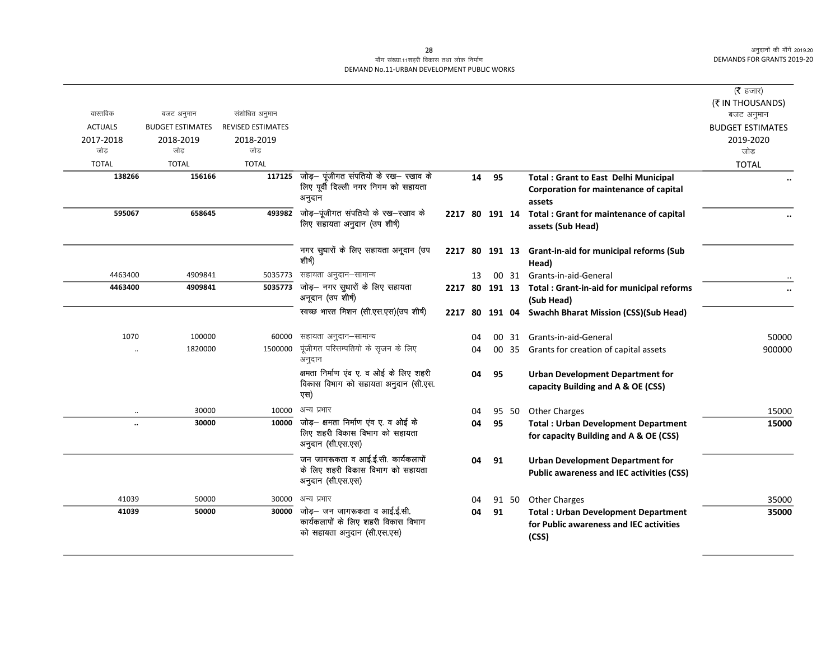### माँग संख्या.11शहरी विकास तथा लोक निर्माण DEMAND No.11-URBAN DEVELOPMENT PUBLIC WORKS

|                |                         |                          |                                                                                     |                |    |    |       |                                                  | (रै हजार)<br>(₹ IN THOUSANDS) |
|----------------|-------------------------|--------------------------|-------------------------------------------------------------------------------------|----------------|----|----|-------|--------------------------------------------------|-------------------------------|
| वास्तविक       | बजट अनुमान              | संशोधित अनुमान           |                                                                                     |                |    |    |       |                                                  | बजट अनुमान                    |
| <b>ACTUALS</b> | <b>BUDGET ESTIMATES</b> | <b>REVISED ESTIMATES</b> |                                                                                     |                |    |    |       |                                                  | <b>BUDGET ESTIMATES</b>       |
| 2017-2018      | 2018-2019               | 2018-2019                |                                                                                     |                |    |    |       |                                                  | 2019-2020                     |
| जोड            | जोड                     | जोड                      |                                                                                     |                |    |    |       |                                                  | जोड़                          |
| <b>TOTAL</b>   | <b>TOTAL</b>            | <b>TOTAL</b>             |                                                                                     |                |    |    |       |                                                  | <b>TOTAL</b>                  |
| 138266         | 156166                  |                          | 117125 जोड़- पूंजीगत संपतियो के रख- रखाव के<br>लिए पूर्वी दिल्ली नगर निगम को सहायता |                | 14 | 95 |       | <b>Total: Grant to East Delhi Municipal</b>      |                               |
|                |                         |                          | अनुदान                                                                              |                |    |    |       | Corporation for maintenance of capital           |                               |
|                |                         |                          | जोड़—पूंजीगत संपतियो के रख—रखाव के                                                  |                |    |    |       | assets                                           |                               |
| 595067         | 658645                  | 493982                   | लिए सहायता अनुदान (उप शीर्ष)                                                        | 2217 80 191 14 |    |    |       | <b>Total: Grant for maintenance of capital</b>   |                               |
|                |                         |                          |                                                                                     |                |    |    |       | assets (Sub Head)                                |                               |
|                |                         |                          | नगर सुधारों के लिए सहायता अनूदान (उप                                                | 2217 80 191 13 |    |    |       |                                                  |                               |
|                |                         |                          | शीर्ष)                                                                              |                |    |    |       | Grant-in-aid for municipal reforms (Sub<br>Head) |                               |
| 4463400        | 4909841                 | 5035773                  | सहायता अनुदान–सामान्य                                                               |                | 13 |    | 00 31 | Grants-in-aid-General                            |                               |
| 4463400        | 4909841                 | 5035773                  | जोड़— नगर सुधारों के लिए सहायता                                                     | 2217 80 191 13 |    |    |       | Total : Grant-in-aid for municipal reforms       |                               |
|                |                         |                          | अनूदान (उप शीर्ष)                                                                   |                |    |    |       | (Sub Head)                                       | $\ddot{\phantom{a}}$          |
|                |                         |                          | स्वच्छ भारत मिशन (सी.एस.एस) (उप शीर्ष)                                              | 2217 80 191 04 |    |    |       | <b>Swachh Bharat Mission (CSS)(Sub Head)</b>     |                               |
|                |                         |                          |                                                                                     |                |    |    |       |                                                  |                               |
| 1070           | 100000                  | 60000                    | सहायता अनुदान–सामान्य                                                               |                | 04 |    |       | 00 31 Grants-in-aid-General                      | 50000                         |
|                | 1820000                 | 1500000                  | पूंजीगत परिसम्पतियो के सृजन के लिए<br>अनुदान                                        |                | 04 |    |       | 00 35 Grants for creation of capital assets      | 900000                        |
|                |                         |                          | क्षमता निर्माण एंव ए. व ओई के लिए शहरी                                              |                | 04 | 95 |       | <b>Urban Development Department for</b>          |                               |
|                |                         |                          | विकास विभाग को सहायता अनुदान (सी.एस.                                                |                |    |    |       | capacity Building and A & OE (CSS)               |                               |
|                |                         |                          | एस)                                                                                 |                |    |    |       |                                                  |                               |
|                | 30000                   | 10000                    | अन्य प्रभार                                                                         |                | 04 |    | 95 50 | <b>Other Charges</b>                             | 15000                         |
|                | 30000                   | 10000                    | जोड़– क्षमता निर्माण एव ए. व ओई के<br>लिए शहरी विकास विभाग को सहायता                |                | 04 | 95 |       | <b>Total: Urban Development Department</b>       | 15000                         |
|                |                         |                          | अनुदान (सी.एस.एस)                                                                   |                |    |    |       | for capacity Building and A & OE (CSS)           |                               |
|                |                         |                          | जन जागरूकता व आई.ई.सी. कार्यकलापों                                                  |                | 04 | 91 |       | <b>Urban Development Department for</b>          |                               |
|                |                         |                          | के लिए शहरी विकास विभाग को सहायता                                                   |                |    |    |       | <b>Public awareness and IEC activities (CSS)</b> |                               |
|                |                         |                          | अनुदान (सी.एस.एस)                                                                   |                |    |    |       |                                                  |                               |
| 41039          | 50000                   | 30000                    | अन्य प्रभार                                                                         |                | 04 |    | 91 50 | <b>Other Charges</b>                             | 35000                         |
| 41039          | 50000                   |                          | 30000 जोड़- जन जागरूकता व आई.ई.सी.                                                  |                | 04 | 91 |       | <b>Total: Urban Development Department</b>       | 35000                         |
|                |                         |                          | कार्यकलापों के लिए शहरी विकास विभाग                                                 |                |    |    |       | for Public awareness and IEC activities          |                               |
|                |                         |                          | को सहायता अनुदान (सी.एस.एस)                                                         |                |    |    |       | (CSS)                                            |                               |
|                |                         |                          |                                                                                     |                |    |    |       |                                                  |                               |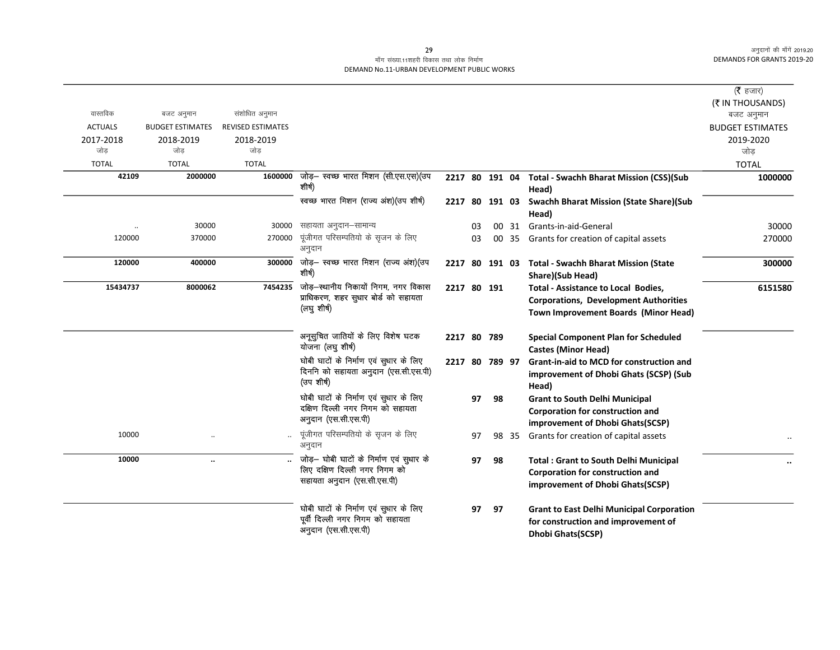## माँग संख्या.11शहरी विकास तथा लोक निर्माण DEMAND No.11-URBAN DEVELOPMENT PUBLIC WORKS

|                  |                         |                          |                                                                                                          |                |    |    |       |                                                                                                                                           | (रै हजार)               |
|------------------|-------------------------|--------------------------|----------------------------------------------------------------------------------------------------------|----------------|----|----|-------|-------------------------------------------------------------------------------------------------------------------------------------------|-------------------------|
| वास्तविक         |                         |                          |                                                                                                          |                |    |    |       |                                                                                                                                           | (₹ IN THOUSANDS)        |
|                  | बजट अनुमान              | संशोधित अनुमान           |                                                                                                          |                |    |    |       |                                                                                                                                           | बजट अनुमान              |
| <b>ACTUALS</b>   | <b>BUDGET ESTIMATES</b> | <b>REVISED ESTIMATES</b> |                                                                                                          |                |    |    |       |                                                                                                                                           | <b>BUDGET ESTIMATES</b> |
| 2017-2018<br>जोड | 2018-2019<br>जोड        | 2018-2019<br>जोड         |                                                                                                          |                |    |    |       |                                                                                                                                           | 2019-2020<br>जोड        |
| <b>TOTAL</b>     | <b>TOTAL</b>            | <b>TOTAL</b>             |                                                                                                          |                |    |    |       |                                                                                                                                           | <b>TOTAL</b>            |
| 42109            | 2000000                 | 1600000                  | जोड़- स्वच्छ भारत मिशन (सी.एस.एस)(उप                                                                     | 2217 80 191 04 |    |    |       | Total - Swachh Bharat Mission (CSS)(Sub                                                                                                   | 1000000                 |
|                  |                         |                          | शीर्ष)                                                                                                   |                |    |    |       | Head)                                                                                                                                     |                         |
|                  |                         |                          | स्वच्छ भारत मिशन (राज्य अंश)(उप शीर्ष)                                                                   | 2217 80 191 03 |    |    |       | <b>Swachh Bharat Mission (State Share)(Sub</b>                                                                                            |                         |
|                  |                         |                          |                                                                                                          |                |    |    |       | Head)                                                                                                                                     |                         |
|                  | 30000                   | 30000                    | सहायता अनुदान–सामान्य                                                                                    |                | 03 |    | 00 31 | Grants-in-aid-General                                                                                                                     | 30000                   |
| 120000           | 370000                  | 270000                   | पूंजीगत परिसम्पतियो के सृजन के लिए<br>अनुदान                                                             |                | 03 |    | 00 35 | Grants for creation of capital assets                                                                                                     | 270000                  |
| 120000           | 400000                  | 300000                   | जोड़- स्वच्छ भारत मिशन (राज्य अंश)(उप<br>शीर्ष)                                                          | 2217 80 191 03 |    |    |       | <b>Total - Swachh Bharat Mission (State</b><br>Share)(Sub Head)                                                                           | 300000                  |
| 15434737         | 8000062                 | 7454235                  | जोड़–स्थानीय निकायों निगम, नगर विकास<br>प्राधिकरण, शहर सुधार बोर्ड को सहायता<br>(लघु शीर्ष)              | 2217 80 191    |    |    |       | <b>Total - Assistance to Local Bodies,</b><br><b>Corporations, Development Authorities</b><br><b>Town Improvement Boards (Minor Head)</b> | 6151580                 |
|                  |                         |                          | अनूसुचित जातियों के लिए विशेष घटक<br>योजना (लघु शीर्ष)                                                   | 2217 80 789    |    |    |       | <b>Special Component Plan for Scheduled</b><br><b>Castes (Minor Head)</b>                                                                 |                         |
|                  |                         |                          | घोबी घाटों के निर्माण एवं सुधार के लिए<br>दिननि को सहायता अनुदान (एस.सी.एस.पी)<br>(उपशीर्ष)              | 2217 80 789 97 |    |    |       | Grant-in-aid to MCD for construction and<br>improvement of Dhobi Ghats (SCSP) (Sub<br>Head)                                               |                         |
|                  |                         |                          | घोबी घाटों के निर्माण एवं सुधार के लिए<br>दक्षिण दिल्ली नगर निगम को सहायता<br>अनुदान (एस.सी.एस.पी)       |                | 97 | 98 |       | <b>Grant to South Delhi Municipal</b><br><b>Corporation for construction and</b><br>improvement of Dhobi Ghats(SCSP)                      |                         |
| 10000            |                         |                          | पूंजीगत परिसम्पतियो के सृजन के लिए<br>अनुदान                                                             |                | 97 |    | 98 35 | Grants for creation of capital assets                                                                                                     | $\ddot{\phantom{0}}$    |
| 10000            | $\ddotsc$               |                          | जोड़— घोबी घाटों के निर्माण एवं सुधार के<br>लिए दक्षिण दिल्ली नगर निगम को<br>सहायता अनुदान (एस.सी.एस.पी) |                | 97 | 98 |       | <b>Total: Grant to South Delhi Municipal</b><br><b>Corporation for construction and</b><br>improvement of Dhobi Ghats(SCSP)               | $\ddotsc$               |
|                  |                         |                          | घोबी घाटों के निर्माण एवं सुधार के लिए<br>पूर्वी दिल्ली नगर निगम को सहायता<br>अनुदान (एस.सी.एस.पी)       |                | 97 | 97 |       | <b>Grant to East Delhi Municipal Corporation</b><br>for construction and improvement of<br><b>Dhobi Ghats(SCSP)</b>                       |                         |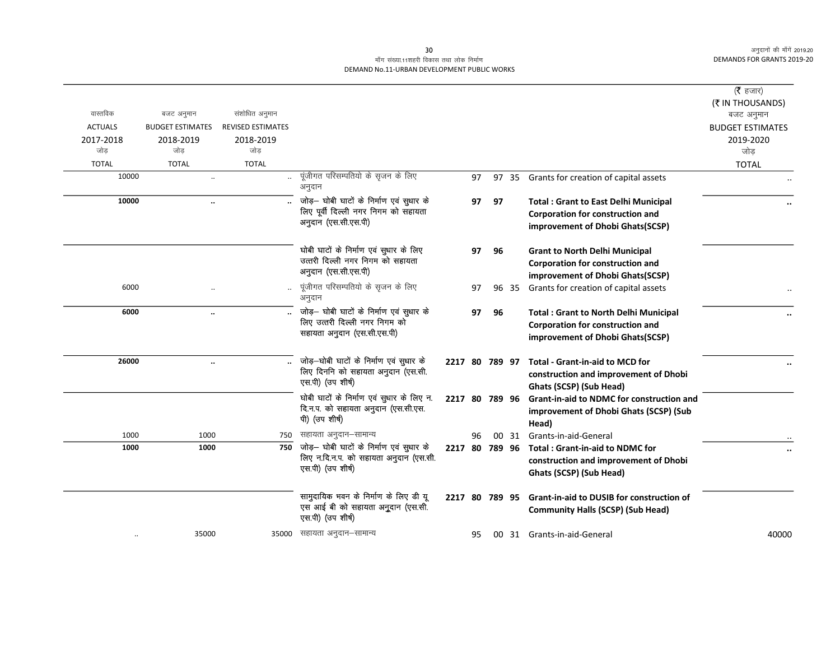## माँग संख्या.11शहरी विकास तथा लोक निर्माण DEMAND No.11-URBAN DEVELOPMENT PUBLIC WORKS

| वास्तविक<br><b>ACTUALS</b> | बजट अनुमान<br><b>BUDGET ESTIMATES</b> | संशोधित अनुमान<br><b>REVISED ESTIMATES</b> |                                                                                                          |                |    |    |       |                                                                                                                      | ( $\bar{\tau}$ हजार)<br>(₹ IN THOUSANDS)<br>बजट अनुमान<br><b>BUDGET ESTIMATES</b> |
|----------------------------|---------------------------------------|--------------------------------------------|----------------------------------------------------------------------------------------------------------|----------------|----|----|-------|----------------------------------------------------------------------------------------------------------------------|-----------------------------------------------------------------------------------|
| 2017-2018<br>जोड           | 2018-2019<br>जोड                      | 2018-2019<br>जोड                           |                                                                                                          |                |    |    |       |                                                                                                                      | 2019-2020<br>जोड़                                                                 |
| <b>TOTAL</b>               | <b>TOTAL</b>                          | <b>TOTAL</b>                               |                                                                                                          |                |    |    |       |                                                                                                                      | <b>TOTAL</b>                                                                      |
| 10000                      | $\ldots$                              |                                            | पूंजीगत परिसम्पतियो के सृजन के लिए<br>अनुदान                                                             |                | 97 |    |       | 97 35 Grants for creation of capital assets                                                                          |                                                                                   |
| 10000                      | $\ddotsc$                             |                                            | जोड़— घोबी घाटों के निर्माण एवं सुधार के<br>लिए पूर्वी दिल्ली नगर निगम को सहायता<br>अनुदान (एस.सी.एस.पी) |                | 97 | 97 |       | <b>Total: Grant to East Delhi Municipal</b><br>Corporation for construction and<br>improvement of Dhobi Ghats(SCSP)  |                                                                                   |
|                            |                                       |                                            | घोबी घाटों के निर्माण एवं सुधार के लिए<br>उत्तरी दिल्ली नगर निगम को सहायता<br>अनुदान (एस.सी.एस.पी)       |                | 97 | 96 |       | <b>Grant to North Delhi Municipal</b><br>Corporation for construction and<br>improvement of Dhobi Ghats(SCSP)        |                                                                                   |
| 6000                       |                                       |                                            | पूंजीगत परिसम्पतियो के सृजन के लिए<br>अनुदान                                                             |                | 97 |    | 96 35 | Grants for creation of capital assets                                                                                |                                                                                   |
| 6000                       | $\ddot{\phantom{a}}$                  |                                            | जोड़— घोबी घाटों के निर्माण एवं सुधार के<br>लिए उत्तरी दिल्ली नगर निगम को<br>सहायता अनुदान (एस.सी.एस.पी) |                | 97 | 96 |       | <b>Total: Grant to North Delhi Municipal</b><br>Corporation for construction and<br>improvement of Dhobi Ghats(SCSP) |                                                                                   |
| 26000                      | $\ddotsc$                             |                                            | जोड़—घोबी घाटों के निर्माण एवं सुधार के<br>लिए दिननि को सहायता अनुदान (एस.सी.<br>एस.पी) (उप शीर्ष)       |                |    |    |       | 2217 80 789 97 Total - Grant-in-aid to MCD for<br>construction and improvement of Dhobi<br>Ghats (SCSP) (Sub Head)   |                                                                                   |
|                            |                                       |                                            | घोबी घाटों के निर्माण एवं सुधार के लिए न.<br>दि.न.प. को सहायता अनुदान (एस.सी.एस.<br>पी) (उप शीर्ष)       |                |    |    |       | 2217 80 789 96 Grant-in-aid to NDMC for construction and<br>improvement of Dhobi Ghats (SCSP) (Sub<br>Head)          |                                                                                   |
| 1000                       | 1000                                  |                                            | 750 सहायता अनुदान–सामान्य                                                                                |                | 96 |    |       | 00 31 Grants-in-aid-General                                                                                          |                                                                                   |
| 1000                       | 1000                                  | 750                                        | जोड़— घोबी घाटों के निर्माण एवं सुधार के<br>लिए न.दि.न.प. को सहायता अनुदान (एस.सी.<br>एस.पी) (उप शीर्ष)  |                |    |    |       | 2217 80 789 96 Total: Grant-in-aid to NDMC for<br>construction and improvement of Dhobi<br>Ghats (SCSP) (Sub Head)   |                                                                                   |
|                            |                                       |                                            | सामुदायिक भवन के निर्माण के लिए डी यू<br>एस आई बी को सहायता अनुदान (एस.सी.<br>एस.पी) (उप शीर्ष)          | 2217 80 789 95 |    |    |       | <b>Grant-in-aid to DUSIB for construction of</b><br><b>Community Halls (SCSP) (Sub Head)</b>                         |                                                                                   |
|                            | 35000                                 |                                            | 35000 सहायता अनुदान–सामान्य                                                                              |                | 95 |    |       | 00 31 Grants-in-aid-General                                                                                          | 40000                                                                             |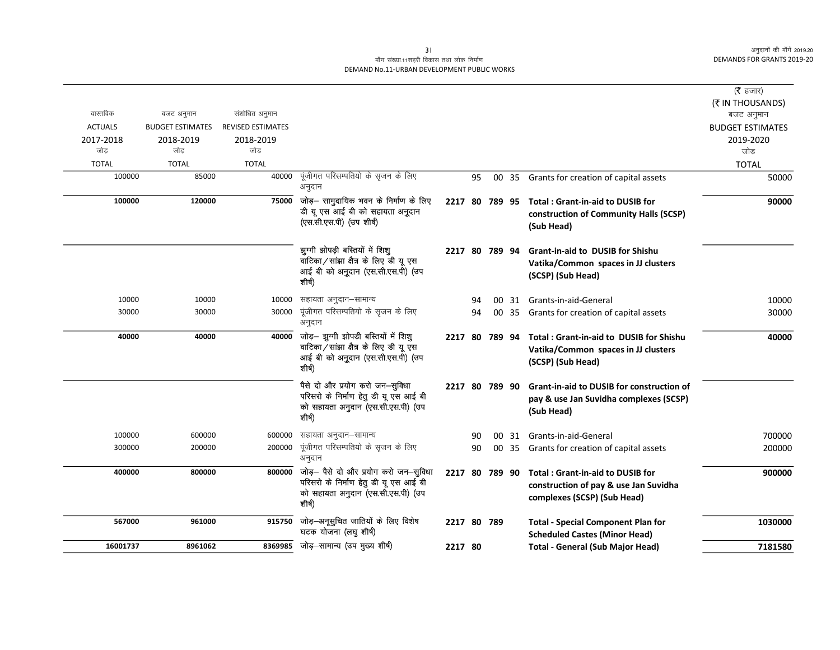## माँग संख्या.11शहरी विकास तथा लोक निर्माण DEMAND No.11-URBAN DEVELOPMENT PUBLIC WORKS

| (रै हजार)<br>(₹ IN THOUSANDS)<br>वास्तविक<br>संशोधित अनुमान<br>बजट अनुमान<br>बजट अनुमान<br><b>ACTUALS</b><br><b>BUDGET ESTIMATES</b><br><b>REVISED ESTIMATES</b><br><b>BUDGET ESTIMATES</b><br>2018-2019<br>2018-2019<br>2019-2020<br>2017-2018<br>जोड<br>जोड<br>जोड<br>जोड<br><b>TOTAL</b><br><b>TOTAL</b><br><b>TOTAL</b><br><b>TOTAL</b><br>पूंजीगत परिसम्पतियो के सृजन के लिए<br>100000<br>85000<br>40000<br>Grants for creation of capital assets<br>50000<br>95<br>00<br>35<br>अनुदान<br>जोड़- सामुदायिक भवन के निर्माण के लिए<br>75000<br>100000<br>120000<br>2217 80 789 95<br>Total: Grant-in-aid to DUSIB for<br>डी यू एस आई बी को सहायता अनुदान<br>construction of Community Halls (SCSP)<br>(एस.सी.एस.पी) (उप शीर्ष)<br>(Sub Head)<br>झुग्गी झोपड़ी बस्तियों में शिशू<br><b>Grant-in-aid to DUSIB for Shishu</b><br>2217 80 789 94<br>वाटिका/सांझा क्षैत्र के लिए डी यू एस<br>Vatika/Common spaces in JJ clusters<br>आई बी को अनुदान (एस.सी.एस.पी) (उप<br>(SCSP) (Sub Head)<br>शीर्ष)<br>सहायता अनुदान–सामान्य<br>10000<br>10000<br>10000<br>Grants-in-aid-General<br>94<br>00 31<br>पूंजीगत परिसम्पतियो के सृजन के लिए<br>30000<br>30000<br>30000<br>94<br>00 35 Grants for creation of capital assets<br>अनुदान<br>जोड़- झुग्गी झोपड़ी बस्तियों में शिशू<br>40000<br>40000<br>40000<br>Total: Grant-in-aid to DUSIB for Shishu<br>2217 80 789 94<br>वाटिका/सांझा क्षैत्र के लिए डी यू एस<br>Vatika/Common spaces in JJ clusters<br>आई बी को अनुदान (एस.सी.एस.पी) (उप<br>(SCSP) (Sub Head)<br>शीर्ष)<br>पैसे दो और प्रयोग करो जन-सुविधा<br>2217 80 789 90<br><b>Grant-in-aid to DUSIB for construction of</b><br>परिसरो के निर्माण हेतु डी यू एस आई बी<br>pay & use Jan Suvidha complexes (SCSP)<br>को सहायता अनुदान (एस.सी.एस.पी) (उप<br>(Sub Head)<br>शीर्ष)<br>100000<br>600000<br>सहायता अनुदान–सामान्य<br>600000<br>Grants-in-aid-General<br>90<br>00 31<br>पूंजीगत परिसम्पतियो के सृजन के लिए<br>200000<br>300000<br>200000<br>90<br>00 35 Grants for creation of capital assets<br>अनुदान<br>जोड़- पैसे दो और प्रयोग करो जन-सुविधा<br>800000<br>800000<br>400000<br>2217 80 789 90<br><b>Total: Grant-in-aid to DUSIB for</b><br>परिसरो के निर्माण हेतु डी यू एस आई बी<br>construction of pay & use Jan Suvidha<br>को सहायता अनुदान (एस.सी.एस.पी) (उप<br>complexes (SCSP) (Sub Head)<br>शीर्ष)<br>जोड़-अनूसुचित जातियों के लिए विशेष<br>567000<br>961000<br>915750<br>2217 80 789<br><b>Total - Special Component Plan for</b><br>घटक योजना (लघु शीर्ष)<br><b>Scheduled Castes (Minor Head)</b> |  |  |  |  |         |
|---------------------------------------------------------------------------------------------------------------------------------------------------------------------------------------------------------------------------------------------------------------------------------------------------------------------------------------------------------------------------------------------------------------------------------------------------------------------------------------------------------------------------------------------------------------------------------------------------------------------------------------------------------------------------------------------------------------------------------------------------------------------------------------------------------------------------------------------------------------------------------------------------------------------------------------------------------------------------------------------------------------------------------------------------------------------------------------------------------------------------------------------------------------------------------------------------------------------------------------------------------------------------------------------------------------------------------------------------------------------------------------------------------------------------------------------------------------------------------------------------------------------------------------------------------------------------------------------------------------------------------------------------------------------------------------------------------------------------------------------------------------------------------------------------------------------------------------------------------------------------------------------------------------------------------------------------------------------------------------------------------------------------------------------------------------------------------------------------------------------------------------------------------------------------------------------------------------------------------------------------------------------------------------------------------------------------------------------------------------------------------------------------------------------------------------------------------------------------------------------------------------------|--|--|--|--|---------|
|                                                                                                                                                                                                                                                                                                                                                                                                                                                                                                                                                                                                                                                                                                                                                                                                                                                                                                                                                                                                                                                                                                                                                                                                                                                                                                                                                                                                                                                                                                                                                                                                                                                                                                                                                                                                                                                                                                                                                                                                                                                                                                                                                                                                                                                                                                                                                                                                                                                                                                                     |  |  |  |  |         |
|                                                                                                                                                                                                                                                                                                                                                                                                                                                                                                                                                                                                                                                                                                                                                                                                                                                                                                                                                                                                                                                                                                                                                                                                                                                                                                                                                                                                                                                                                                                                                                                                                                                                                                                                                                                                                                                                                                                                                                                                                                                                                                                                                                                                                                                                                                                                                                                                                                                                                                                     |  |  |  |  |         |
|                                                                                                                                                                                                                                                                                                                                                                                                                                                                                                                                                                                                                                                                                                                                                                                                                                                                                                                                                                                                                                                                                                                                                                                                                                                                                                                                                                                                                                                                                                                                                                                                                                                                                                                                                                                                                                                                                                                                                                                                                                                                                                                                                                                                                                                                                                                                                                                                                                                                                                                     |  |  |  |  |         |
|                                                                                                                                                                                                                                                                                                                                                                                                                                                                                                                                                                                                                                                                                                                                                                                                                                                                                                                                                                                                                                                                                                                                                                                                                                                                                                                                                                                                                                                                                                                                                                                                                                                                                                                                                                                                                                                                                                                                                                                                                                                                                                                                                                                                                                                                                                                                                                                                                                                                                                                     |  |  |  |  |         |
|                                                                                                                                                                                                                                                                                                                                                                                                                                                                                                                                                                                                                                                                                                                                                                                                                                                                                                                                                                                                                                                                                                                                                                                                                                                                                                                                                                                                                                                                                                                                                                                                                                                                                                                                                                                                                                                                                                                                                                                                                                                                                                                                                                                                                                                                                                                                                                                                                                                                                                                     |  |  |  |  |         |
|                                                                                                                                                                                                                                                                                                                                                                                                                                                                                                                                                                                                                                                                                                                                                                                                                                                                                                                                                                                                                                                                                                                                                                                                                                                                                                                                                                                                                                                                                                                                                                                                                                                                                                                                                                                                                                                                                                                                                                                                                                                                                                                                                                                                                                                                                                                                                                                                                                                                                                                     |  |  |  |  |         |
|                                                                                                                                                                                                                                                                                                                                                                                                                                                                                                                                                                                                                                                                                                                                                                                                                                                                                                                                                                                                                                                                                                                                                                                                                                                                                                                                                                                                                                                                                                                                                                                                                                                                                                                                                                                                                                                                                                                                                                                                                                                                                                                                                                                                                                                                                                                                                                                                                                                                                                                     |  |  |  |  |         |
|                                                                                                                                                                                                                                                                                                                                                                                                                                                                                                                                                                                                                                                                                                                                                                                                                                                                                                                                                                                                                                                                                                                                                                                                                                                                                                                                                                                                                                                                                                                                                                                                                                                                                                                                                                                                                                                                                                                                                                                                                                                                                                                                                                                                                                                                                                                                                                                                                                                                                                                     |  |  |  |  | 90000   |
|                                                                                                                                                                                                                                                                                                                                                                                                                                                                                                                                                                                                                                                                                                                                                                                                                                                                                                                                                                                                                                                                                                                                                                                                                                                                                                                                                                                                                                                                                                                                                                                                                                                                                                                                                                                                                                                                                                                                                                                                                                                                                                                                                                                                                                                                                                                                                                                                                                                                                                                     |  |  |  |  |         |
|                                                                                                                                                                                                                                                                                                                                                                                                                                                                                                                                                                                                                                                                                                                                                                                                                                                                                                                                                                                                                                                                                                                                                                                                                                                                                                                                                                                                                                                                                                                                                                                                                                                                                                                                                                                                                                                                                                                                                                                                                                                                                                                                                                                                                                                                                                                                                                                                                                                                                                                     |  |  |  |  | 10000   |
|                                                                                                                                                                                                                                                                                                                                                                                                                                                                                                                                                                                                                                                                                                                                                                                                                                                                                                                                                                                                                                                                                                                                                                                                                                                                                                                                                                                                                                                                                                                                                                                                                                                                                                                                                                                                                                                                                                                                                                                                                                                                                                                                                                                                                                                                                                                                                                                                                                                                                                                     |  |  |  |  | 30000   |
|                                                                                                                                                                                                                                                                                                                                                                                                                                                                                                                                                                                                                                                                                                                                                                                                                                                                                                                                                                                                                                                                                                                                                                                                                                                                                                                                                                                                                                                                                                                                                                                                                                                                                                                                                                                                                                                                                                                                                                                                                                                                                                                                                                                                                                                                                                                                                                                                                                                                                                                     |  |  |  |  | 40000   |
|                                                                                                                                                                                                                                                                                                                                                                                                                                                                                                                                                                                                                                                                                                                                                                                                                                                                                                                                                                                                                                                                                                                                                                                                                                                                                                                                                                                                                                                                                                                                                                                                                                                                                                                                                                                                                                                                                                                                                                                                                                                                                                                                                                                                                                                                                                                                                                                                                                                                                                                     |  |  |  |  |         |
|                                                                                                                                                                                                                                                                                                                                                                                                                                                                                                                                                                                                                                                                                                                                                                                                                                                                                                                                                                                                                                                                                                                                                                                                                                                                                                                                                                                                                                                                                                                                                                                                                                                                                                                                                                                                                                                                                                                                                                                                                                                                                                                                                                                                                                                                                                                                                                                                                                                                                                                     |  |  |  |  | 700000  |
|                                                                                                                                                                                                                                                                                                                                                                                                                                                                                                                                                                                                                                                                                                                                                                                                                                                                                                                                                                                                                                                                                                                                                                                                                                                                                                                                                                                                                                                                                                                                                                                                                                                                                                                                                                                                                                                                                                                                                                                                                                                                                                                                                                                                                                                                                                                                                                                                                                                                                                                     |  |  |  |  | 200000  |
|                                                                                                                                                                                                                                                                                                                                                                                                                                                                                                                                                                                                                                                                                                                                                                                                                                                                                                                                                                                                                                                                                                                                                                                                                                                                                                                                                                                                                                                                                                                                                                                                                                                                                                                                                                                                                                                                                                                                                                                                                                                                                                                                                                                                                                                                                                                                                                                                                                                                                                                     |  |  |  |  | 900000  |
|                                                                                                                                                                                                                                                                                                                                                                                                                                                                                                                                                                                                                                                                                                                                                                                                                                                                                                                                                                                                                                                                                                                                                                                                                                                                                                                                                                                                                                                                                                                                                                                                                                                                                                                                                                                                                                                                                                                                                                                                                                                                                                                                                                                                                                                                                                                                                                                                                                                                                                                     |  |  |  |  | 1030000 |
| जोड़–सामान्य (उप मुख्य शीर्ष)<br>16001737<br>8961062<br>8369985<br>2217 80<br><b>Total - General (Sub Major Head)</b>                                                                                                                                                                                                                                                                                                                                                                                                                                                                                                                                                                                                                                                                                                                                                                                                                                                                                                                                                                                                                                                                                                                                                                                                                                                                                                                                                                                                                                                                                                                                                                                                                                                                                                                                                                                                                                                                                                                                                                                                                                                                                                                                                                                                                                                                                                                                                                                               |  |  |  |  | 7181580 |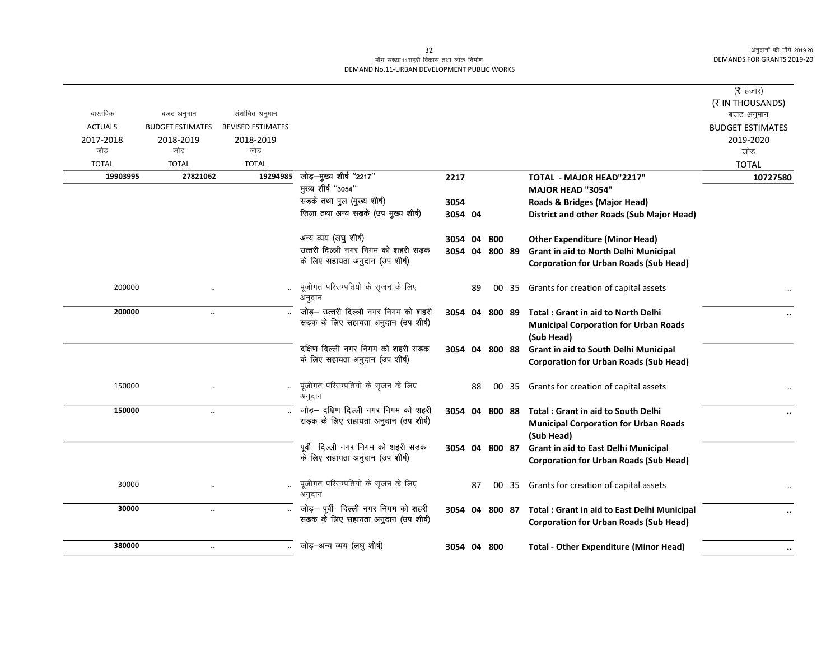## माँग संख्या.11शहरी विकास तथा लोक निर्माण DEMAND No.11-URBAN DEVELOPMENT PUBLIC WORKS

|                |                         |                          |                                                                        |                |    |     |                                                                                               | ( $\bar{\tau}$ हजार)<br>(₹ IN THOUSANDS) |
|----------------|-------------------------|--------------------------|------------------------------------------------------------------------|----------------|----|-----|-----------------------------------------------------------------------------------------------|------------------------------------------|
| वास्तविक       | बजट अनुमान              | संशोधित अनुमान           |                                                                        |                |    |     |                                                                                               | बजट अनुमान                               |
| <b>ACTUALS</b> | <b>BUDGET ESTIMATES</b> | <b>REVISED ESTIMATES</b> |                                                                        |                |    |     |                                                                                               | <b>BUDGET ESTIMATES</b>                  |
| 2017-2018      | 2018-2019               | 2018-2019                |                                                                        |                |    |     |                                                                                               | 2019-2020                                |
| जोड़           | जोड़                    | जोड़                     |                                                                        |                |    |     |                                                                                               | जोड                                      |
| <b>TOTAL</b>   | <b>TOTAL</b>            | <b>TOTAL</b>             |                                                                        |                |    |     |                                                                                               | <b>TOTAL</b>                             |
| 19903995       | 27821062                | 19294985                 | जोड़-मुख्य शीर्ष "2217"                                                | 2217           |    |     | <b>TOTAL - MAJOR HEAD"2217"</b>                                                               | 10727580                                 |
|                |                         |                          | मुख्य शीर्ष "3054"                                                     |                |    |     | <b>MAJOR HEAD "3054"</b>                                                                      |                                          |
|                |                         |                          | सड़के तथा पुल (मुख्य शीर्ष)                                            | 3054           |    |     | Roads & Bridges (Major Head)                                                                  |                                          |
|                |                         |                          | जिला तथा अन्य सड़के (उप मुख्य शीर्ष)                                   | 3054 04        |    |     | District and other Roads (Sub Major Head)                                                     |                                          |
|                |                         |                          | अन्य व्यय (लघु शीर्ष)                                                  | 3054           | 04 | 800 | <b>Other Expenditure (Minor Head)</b>                                                         |                                          |
|                |                         |                          | उत्तरी दिल्ली नगर निगम को शहरी सड़क                                    | 3054 04 800 89 |    |     | <b>Grant in aid to North Delhi Municipal</b>                                                  |                                          |
|                |                         |                          | के लिए सहायता अनुदान (उप शीर्ष)                                        |                |    |     | <b>Corporation for Urban Roads (Sub Head)</b>                                                 |                                          |
| 200000         |                         |                          | पूंजीगत परिसम्पतियो के सृजन के लिए<br>अनुदान                           |                | 89 |     | 00 35 Grants for creation of capital assets                                                   |                                          |
| 200000         | $\ddotsc$               |                          | जोड़- उत्तरी दिल्ली नगर निगम को शहरी                                   | 3054 04 800 89 |    |     | <b>Total: Grant in aid to North Delhi</b>                                                     |                                          |
|                |                         |                          | सड़क के लिए सहायता अनुदान (उप शीर्ष)                                   |                |    |     | <b>Municipal Corporation for Urban Roads</b><br>(Sub Head)                                    |                                          |
|                |                         |                          | दक्षिण दिल्ली नगर निगम को शहरी सड़क<br>के लिए सहायता अनुदान (उप शीर्ष) | 3054 04 800 88 |    |     | <b>Grant in aid to South Delhi Municipal</b><br><b>Corporation for Urban Roads (Sub Head)</b> |                                          |
| 150000         |                         |                          | पूंजीगत परिसम्पतियो के सृजन के लिए<br>अनुदान                           |                | 88 |     | 00 35 Grants for creation of capital assets                                                   |                                          |
| 150000         | $\ddot{\phantom{a}}$    |                          | जोड़- दक्षिण दिल्ली नगर निगम को शहरी                                   |                |    |     | 3054 04 800 88 Total: Grant in aid to South Delhi                                             |                                          |
|                |                         |                          | सड़क के लिए सहायता अनुदान (उप शीर्ष)                                   |                |    |     | <b>Municipal Corporation for Urban Roads</b>                                                  |                                          |
|                |                         |                          |                                                                        |                |    |     | (Sub Head)                                                                                    |                                          |
|                |                         |                          | पूर्वी दिल्ली नगर निगम को शहरी सड़क                                    | 3054 04 800 87 |    |     | Grant in aid to East Delhi Municipal                                                          |                                          |
|                |                         |                          | के लिए सहायता अनुदान (उप शीर्ष)                                        |                |    |     | <b>Corporation for Urban Roads (Sub Head)</b>                                                 |                                          |
| 30000          |                         |                          | पूंजीगत परिसम्पतियो के सृजन के लिए<br>अनुदान                           |                | 87 |     | 00 35 Grants for creation of capital assets                                                   | $\ddotsc$                                |
| 30000          | $\ddotsc$               |                          | जोड़- पूर्वी दिल्ली नगर निगम को शहरी                                   |                |    |     | 3054 04 800 87 Total : Grant in aid to East Delhi Municipal                                   | $\ddotsc$                                |
|                |                         |                          | सड़क के लिए सहायता अनुदान (उप शीर्ष)                                   |                |    |     | <b>Corporation for Urban Roads (Sub Head)</b>                                                 |                                          |
| 380000         | $\ddot{\phantom{a}}$    |                          | जोड़—अन्य व्यय (लघु शीर्ष)                                             | 3054 04 800    |    |     | <b>Total - Other Expenditure (Minor Head)</b>                                                 | $\cdots$                                 |
|                |                         |                          |                                                                        |                |    |     |                                                                                               |                                          |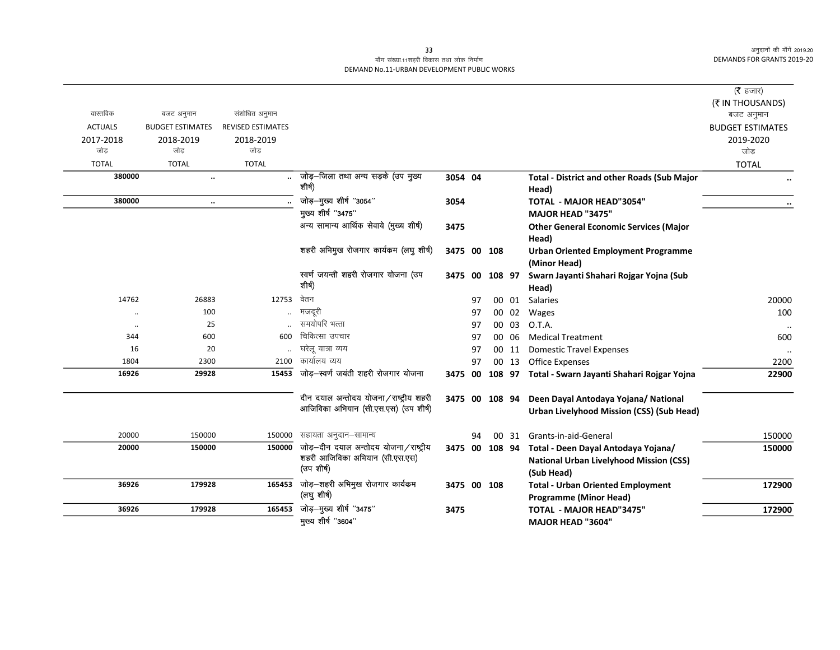## माँग संख्या.11शहरी विकास तथा लोक निर्माण DEMAND No.11-URBAN DEVELOPMENT PUBLIC WORKS

| वास्तविक<br>संशोधित अनुमान<br>बजट अनुमान<br><b>ACTUALS</b><br><b>REVISED ESTIMATES</b><br><b>BUDGET ESTIMATES</b><br>2017-2018<br>2018-2019<br>2018-2019<br>जोड<br>जोड<br>जोड | (₹ IN THOUSANDS)<br>बजट अनुमान<br><b>BUDGET ESTIMATES</b><br>2019-2020<br>जोड<br><b>TOTAL</b><br> |
|-------------------------------------------------------------------------------------------------------------------------------------------------------------------------------|---------------------------------------------------------------------------------------------------|
|                                                                                                                                                                               |                                                                                                   |
|                                                                                                                                                                               |                                                                                                   |
|                                                                                                                                                                               |                                                                                                   |
|                                                                                                                                                                               |                                                                                                   |
| <b>TOTAL</b><br><b>TOTAL</b><br><b>TOTAL</b>                                                                                                                                  |                                                                                                   |
| जोड़–जिला तथा अन्य सड़के (उप मुख्य<br>380000<br>3054 04<br><b>Total - District and other Roads (Sub Major</b><br>$\ldots$                                                     |                                                                                                   |
| शीर्ष)<br>Head)                                                                                                                                                               |                                                                                                   |
| जोड़-मुख्य शीर्ष "3054"<br>380000<br><b>TOTAL - MAJOR HEAD"3054"</b><br>3054<br>$\ddotsc$                                                                                     |                                                                                                   |
| मुख्य शीर्ष "3475"<br><b>MAJOR HEAD "3475"</b>                                                                                                                                |                                                                                                   |
| अन्य सामान्य आर्थिक सेवाये (मुख्य शीर्ष)<br>3475<br><b>Other General Economic Services (Major</b>                                                                             |                                                                                                   |
| Head)                                                                                                                                                                         |                                                                                                   |
| शहरी अभिमुख रोजगार कार्यकम (लघु शीर्ष)<br>3475 00 108<br><b>Urban Oriented Employment Programme</b>                                                                           |                                                                                                   |
| (Minor Head)                                                                                                                                                                  |                                                                                                   |
| स्वर्ण जयन्ती शहरी रोजगार योजना (उप<br>3475 00<br>108 97<br>Swarn Jayanti Shahari Rojgar Yojna (Sub                                                                           |                                                                                                   |
| शीर्ष)<br>Head)                                                                                                                                                               |                                                                                                   |
| वेतन<br>14762<br>26883<br>12753<br>00 01<br><b>Salaries</b><br>97                                                                                                             | 20000                                                                                             |
| 100<br>मजदूरी<br>00 02<br>97<br>Wages<br>$\ddot{\phantom{0}}$                                                                                                                 | 100                                                                                               |
| समयोपरि भत्ता<br>25<br>O.T.A.<br>00 03<br>97<br>$\ldots$                                                                                                                      |                                                                                                   |
| चिकित्सा उपचार<br>600<br>600<br>344<br>00 06<br><b>Medical Treatment</b><br>97                                                                                                | 600                                                                                               |
| घरेल यात्रा व्यय<br>16<br>20<br>97<br><b>Domestic Travel Expenses</b><br>00 11                                                                                                |                                                                                                   |
| कार्यालय व्यय<br>1804<br>2300<br>2100<br>Office Expenses<br>97<br>00 13                                                                                                       | 2200                                                                                              |
| जोड़—स्वर्ण जयंती शहरी रोजगार योजना<br>15453<br>16926<br>29928<br>108 97 Total - Swarn Jayanti Shahari Rojgar Yojna<br>3475 00                                                | 22900                                                                                             |
| दीन दयाल अन्तोदय योजना/राष्ट्रीय शहरी<br>Deen Dayal Antodaya Yojana/ National<br>3475 00 108 94                                                                               |                                                                                                   |
| आजिविका अभियान (सी.एस.एस) (उप शीर्ष)<br>Urban Livelyhood Mission (CSS) (Sub Head)                                                                                             |                                                                                                   |
| 20000<br>150000<br>सहायता अनुदान–सामान्य<br>150000<br>00 31 Grants-in-aid-General<br>94                                                                                       | 150000                                                                                            |
| जोड़-दीन दयाल अन्तोदय योजना/राष्ट्रीय<br>20000<br>150000<br>150000<br>3475 00 108 94 Total - Deen Dayal Antodaya Yojana/                                                      | 150000                                                                                            |
| शहरी आजिविका अभियान (सी.एस.एस)<br><b>National Urban Livelyhood Mission (CSS)</b>                                                                                              |                                                                                                   |
| (उप शीर्ष)<br>(Sub Head)                                                                                                                                                      |                                                                                                   |
| जोड़–शहरी अभिमुख रोजगार कार्यक्रम<br>36926<br>179928<br>165453<br>3475 00 108<br><b>Total - Urban Oriented Employment</b>                                                     | 172900                                                                                            |
| (लघु शीर्ष)<br><b>Programme (Minor Head)</b>                                                                                                                                  |                                                                                                   |
| जोड़—मुख्य शीर्ष "3475"<br>165453<br>36926<br>179928<br>TOTAL - MAJOR HEAD"3475"<br>3475                                                                                      | 172900                                                                                            |
| मुख्य शीर्ष "3604"<br><b>MAJOR HEAD "3604"</b>                                                                                                                                |                                                                                                   |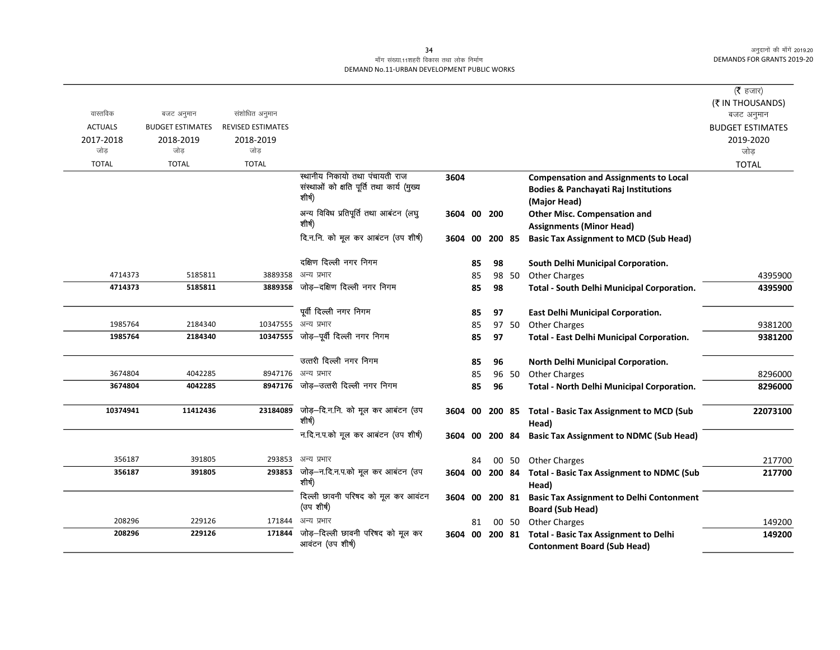### माँग संख्या.11शहरी विकास तथा लोक निर्माण DEMAND No.11-URBAN DEVELOPMENT PUBLIC WORKS

|                |                         |                          |                                                      |                |    |           |       |                                                      | ( $\bar{\tau}$ हजार)           |
|----------------|-------------------------|--------------------------|------------------------------------------------------|----------------|----|-----------|-------|------------------------------------------------------|--------------------------------|
| वास्तविक       | बजट अनुमान              | संशोधित अनुमान           |                                                      |                |    |           |       |                                                      | (₹ IN THOUSANDS)<br>बजट अनुमान |
| <b>ACTUALS</b> | <b>BUDGET ESTIMATES</b> | <b>REVISED ESTIMATES</b> |                                                      |                |    |           |       |                                                      | <b>BUDGET ESTIMATES</b>        |
| 2017-2018      | 2018-2019               | 2018-2019                |                                                      |                |    |           |       |                                                      | 2019-2020                      |
| जोड            | जोड                     | जोड़                     |                                                      |                |    |           |       |                                                      | जोड़                           |
| <b>TOTAL</b>   | <b>TOTAL</b>            | <b>TOTAL</b>             |                                                      |                |    |           |       |                                                      | <b>TOTAL</b>                   |
|                |                         |                          | स्थानीय निकायो तथा पंचायती राज                       | 3604           |    |           |       | <b>Compensation and Assignments to Local</b>         |                                |
|                |                         |                          | संस्थाओं को क्षति पूर्ति तथा कार्य (मुख्य            |                |    |           |       | <b>Bodies &amp; Panchayati Raj Institutions</b>      |                                |
|                |                         |                          | शीर्ष)                                               |                |    |           |       | (Major Head)                                         |                                |
|                |                         |                          | अन्य विविध प्रतिपूर्ति तथा आबंटन (लघु                | 3604 00 200    |    |           |       | <b>Other Misc. Compensation and</b>                  |                                |
|                |                         |                          | शीर्ष)                                               |                |    |           |       | <b>Assignments (Minor Head)</b>                      |                                |
|                |                         |                          | दि.न.नि. को मूल कर आबंटन (उप शीर्ष)                  | 3604           | 00 | 200 85    |       | <b>Basic Tax Assignment to MCD (Sub Head)</b>        |                                |
|                |                         |                          |                                                      |                |    |           |       |                                                      |                                |
|                |                         |                          | दक्षिण दिल्ली नगर निगम                               |                | 85 | 98        |       | South Delhi Municipal Corporation.                   |                                |
| 4714373        | 5185811                 | 3889358                  | अन्य प्रभार                                          |                | 85 |           | 98 50 | <b>Other Charges</b>                                 | 4395900                        |
| 4714373        | 5185811                 | 3889358                  | जोड़-दक्षिण दिल्ली नगर निगम                          |                | 85 | 98        |       | Total - South Delhi Municipal Corporation.           | 4395900                        |
|                |                         |                          |                                                      |                |    |           |       |                                                      |                                |
|                |                         |                          | पूर्वी दिल्ली नगर निगम                               |                | 85 | 97        |       | <b>East Delhi Municipal Corporation.</b>             |                                |
| 1985764        | 2184340                 | 10347555                 | अन्य प्रभार                                          |                | 85 |           | 97 50 | Other Charges                                        | 9381200                        |
| 1985764        | 2184340                 |                          | 10347555 जोड़-पूर्वी दिल्ली नगर निगम                 |                | 85 | 97        |       | <b>Total - East Delhi Municipal Corporation.</b>     | 9381200                        |
|                |                         |                          |                                                      |                |    |           |       |                                                      |                                |
|                |                         |                          | उत्तरी दिल्ली नगर निगम                               |                | 85 | 96        |       | North Delhi Municipal Corporation.                   |                                |
| 3674804        | 4042285                 | 8947176                  | अन्य प्रभार                                          |                | 85 |           | 96 50 | <b>Other Charges</b>                                 | 8296000                        |
| 3674804        | 4042285                 |                          | 8947176 जोड–उत्तरी दिल्ली नगर निगम                   |                | 85 | 96        |       | Total - North Delhi Municipal Corporation.           | 8296000                        |
|                |                         |                          |                                                      |                |    |           |       |                                                      |                                |
| 10374941       | 11412436                |                          | 23184089 जोड़-दि.न.नि. को मूल कर आबंटन (उप<br>शीर्ष) | 3604           |    | 00 200 85 |       | <b>Total - Basic Tax Assignment to MCD (Sub</b>      | 22073100                       |
|                |                         |                          | न.दि.न.प.को मूल कर आबंटन (उप शीर्ष)                  |                |    |           |       | Head)                                                |                                |
|                |                         |                          |                                                      | 3604 00 200 84 |    |           |       | <b>Basic Tax Assignment to NDMC (Sub Head)</b>       |                                |
| 356187         | 391805                  | 293853                   | अन्य प्रभार                                          |                | 84 |           | 00 50 | <b>Other Charges</b>                                 | 217700                         |
| 356187         | 391805                  | 293853                   | जोड़—न.दि.न.प.को मूल कर आबंटन (उप                    | 3604 00 200 84 |    |           |       | <b>Total - Basic Tax Assignment to NDMC (Sub</b>     | 217700                         |
|                |                         |                          | शीर्ष)                                               |                |    |           |       | Head)                                                |                                |
|                |                         |                          | दिल्ली छावनी परिषद को मूल कर आवंटन                   | 3604           | 00 | 200 81    |       | <b>Basic Tax Assignment to Delhi Contonment</b>      |                                |
|                |                         |                          | (उप शीर्ष)                                           |                |    |           |       | <b>Board (Sub Head)</b>                              |                                |
| 208296         | 229126                  | 171844                   | अन्य प्रभार                                          |                | 81 |           | 00 50 | <b>Other Charges</b>                                 | 149200                         |
| 208296         | 229126                  | 171844                   | जोड़-दिल्ली छावनी परिषद को मूल कर                    |                |    |           |       | 3604 00 200 81 Total - Basic Tax Assignment to Delhi | 149200                         |
|                |                         |                          | आवंटन (उप शीर्ष)                                     |                |    |           |       | <b>Contonment Board (Sub Head)</b>                   |                                |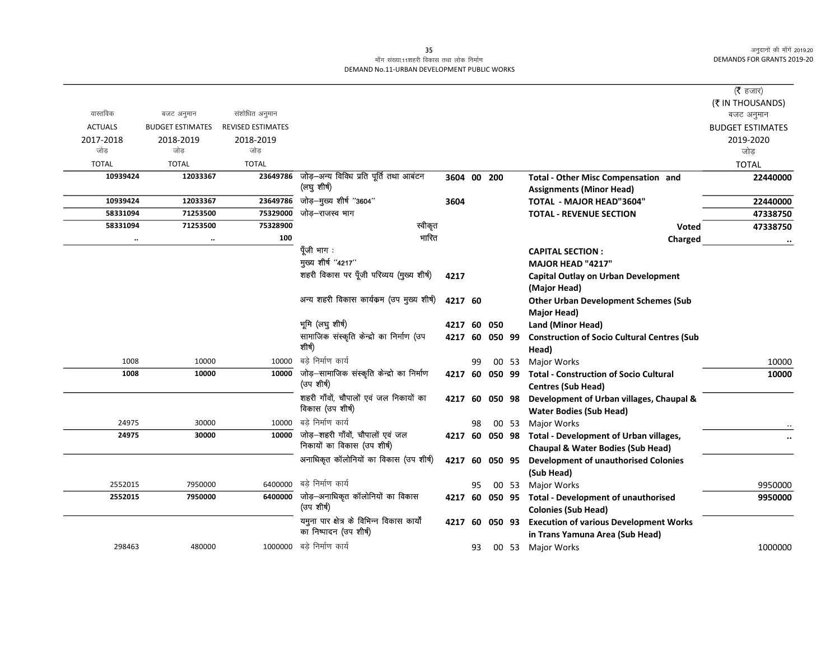## माँग संख्या.11शहरी विकास तथा लोक निर्माण DEMAND No.11-URBAN DEVELOPMENT PUBLIC WORKS

|                |                         |                          |                                            |                |    |           |       |                                                    | ( $\bar{\tau}$ हजार)<br>(₹ IN THOUSANDS) |
|----------------|-------------------------|--------------------------|--------------------------------------------|----------------|----|-----------|-------|----------------------------------------------------|------------------------------------------|
| वास्तविक       | बजट अनुमान              | संशोधित अनुमान           |                                            |                |    |           |       |                                                    | बजट अनुमान                               |
| <b>ACTUALS</b> | <b>BUDGET ESTIMATES</b> | <b>REVISED ESTIMATES</b> |                                            |                |    |           |       |                                                    | <b>BUDGET ESTIMATES</b>                  |
| 2017-2018      | 2018-2019               | 2018-2019                |                                            |                |    |           |       |                                                    | 2019-2020                                |
| जोड            | जोड                     | जोड                      |                                            |                |    |           |       |                                                    | जोड़                                     |
| <b>TOTAL</b>   | <b>TOTAL</b>            | <b>TOTAL</b>             |                                            |                |    |           |       |                                                    | <b>TOTAL</b>                             |
| 10939424       | 12033367                | 23649786                 | जोड़-अन्य विविध प्रति पूर्ति तथा आबंटन     | 3604 00 200    |    |           |       | Total - Other Misc Compensation and                | 22440000                                 |
|                |                         |                          | (लघु शीर्ष)                                |                |    |           |       | <b>Assignments (Minor Head)</b>                    |                                          |
| 10939424       | 12033367                | 23649786                 | जोड़-मुख्य शीर्ष "3604"                    | 3604           |    |           |       | <b>TOTAL - MAJOR HEAD"3604"</b>                    | 22440000                                 |
| 58331094       | 71253500                | 75329000                 | जोड–राजस्व भाग                             |                |    |           |       | <b>TOTAL - REVENUE SECTION</b>                     | 47338750                                 |
| 58331094       | 71253500                | 75328900                 | स्वीकृत                                    |                |    |           |       | <b>Voted</b>                                       | 47338750                                 |
|                | $\cdot \cdot$           | 100                      | भारित                                      |                |    |           |       | Charged                                            |                                          |
|                |                         |                          | पूँजी भाग :                                |                |    |           |       | <b>CAPITAL SECTION:</b>                            |                                          |
|                |                         |                          | मुख्य शीर्ष "4217"                         |                |    |           |       | <b>MAJOR HEAD "4217"</b>                           |                                          |
|                |                         |                          | शहरी विकास पर पूँजी परिव्यय (मुख्य शीर्ष)  | 4217           |    |           |       | <b>Capital Outlay on Urban Development</b>         |                                          |
|                |                         |                          |                                            |                |    |           |       | (Major Head)                                       |                                          |
|                |                         |                          | अन्य शहरी विकास कार्यक्रम (उप मुख्य शीर्ष) | 4217 60        |    |           |       | <b>Other Urban Development Schemes (Sub</b>        |                                          |
|                |                         |                          |                                            |                |    |           |       | <b>Major Head)</b>                                 |                                          |
|                |                         |                          | भूमि (लघु शीर्ष)                           | 4217           | 60 | 050       |       | Land (Minor Head)                                  |                                          |
|                |                         |                          | सामाजिक संस्कृति केन्द्रो का निर्माण (उप   | 4217 60        |    | 050 99    |       | <b>Construction of Socio Cultural Centres (Sub</b> |                                          |
|                |                         |                          | शीर्ष)                                     |                |    |           |       | Head)                                              |                                          |
| 1008           | 10000                   | 10000                    | बडे निर्माण कार्य                          |                | 99 |           | 00 53 | Major Works                                        | 10000                                    |
| 1008           | 10000                   | 10000                    | जोड़–सामाजिक संस्कृति केन्द्रो का निर्माण  | 4217 60 050 99 |    |           |       | <b>Total - Construction of Socio Cultural</b>      | 10000                                    |
|                |                         |                          | (उप शीर्ष)                                 |                |    |           |       | <b>Centres (Sub Head)</b>                          |                                          |
|                |                         |                          | शहरी गाँवों, चौपालों एवं जल निकायों का     | 4217           | 60 | 050 98    |       | Development of Urban villages, Chaupal &           |                                          |
|                |                         |                          | विकास (उप शीर्ष)                           |                |    |           |       | <b>Water Bodies (Sub Head)</b>                     |                                          |
| 24975          | 30000                   | 10000                    | बडे निर्माण कार्य                          |                | 98 |           | 00 53 | <b>Major Works</b>                                 |                                          |
| 24975          | 30000                   | 10000                    | जोड़—शहरी गाँवों, चौपालों एवं जल           | 4217 60        |    |           |       | 050 98 Total - Development of Urban villages,      |                                          |
|                |                         |                          | निकायों का विकास (उप शीर्ष)                |                |    |           |       | <b>Chaupal &amp; Water Bodies (Sub Head)</b>       |                                          |
|                |                         |                          | अनाधिकृत कॉलोनियों का विकास (उप शीर्ष)     | 4217           | 60 | 050 95    |       | <b>Development of unauthorised Colonies</b>        |                                          |
|                |                         |                          |                                            |                |    |           |       | (Sub Head)                                         |                                          |
| 2552015        | 7950000                 | 6400000                  | बडे निर्माण कार्य                          |                | 95 |           | 00 53 | <b>Major Works</b>                                 | 9950000                                  |
| 2552015        | 7950000                 | 6400000                  | जोड़—अनाधिकृत कॉलोनियों का विकास           | 4217           | 60 | 050 95    |       | <b>Total - Development of unauthorised</b>         | 9950000                                  |
|                |                         |                          | (उप शीर्ष)                                 |                |    |           |       | <b>Colonies (Sub Head)</b>                         |                                          |
|                |                         |                          | यमुना पार क्षेत्र के विभिन्न विकास कार्यों | 4217           |    | 60 050 93 |       | <b>Execution of various Development Works</b>      |                                          |
|                |                         |                          | का निष्पादन (उप शीर्ष)                     |                |    |           |       | in Trans Yamuna Area (Sub Head)                    |                                          |
| 298463         | 480000                  |                          | 1000000 बड़े निर्माण कार्य                 |                | 93 |           |       | 00 53 Major Works                                  | 1000000                                  |
|                |                         |                          |                                            |                |    |           |       |                                                    |                                          |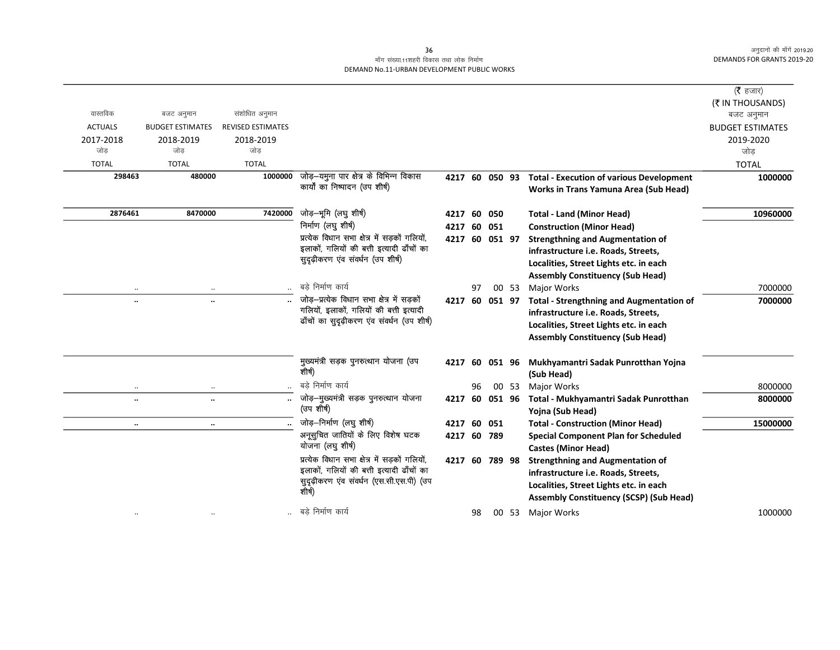#### 36 माँग संख्या.11शहरी विकास तथा लोक निर्माण DEMAND No.11-URBAN DEVELOPMENT PUBLIC WORKS

|                |                         |                          |                                                    |                |    |     |       |                                                 | ( $\bar{\tau}$ हजार)    |
|----------------|-------------------------|--------------------------|----------------------------------------------------|----------------|----|-----|-------|-------------------------------------------------|-------------------------|
|                |                         |                          |                                                    |                |    |     |       |                                                 | (₹ IN THOUSANDS)        |
| वास्तविक       | बजट अनुमान              | संशोधित अनुमान           |                                                    |                |    |     |       |                                                 | बजट अनुमान              |
| <b>ACTUALS</b> | <b>BUDGET ESTIMATES</b> | <b>REVISED ESTIMATES</b> |                                                    |                |    |     |       |                                                 | <b>BUDGET ESTIMATES</b> |
| 2017-2018      | 2018-2019               | 2018-2019                |                                                    |                |    |     |       |                                                 | 2019-2020               |
| जोड            | जोड                     | जोड                      |                                                    |                |    |     |       |                                                 | जोड                     |
| <b>TOTAL</b>   | <b>TOTAL</b>            | <b>TOTAL</b>             |                                                    |                |    |     |       |                                                 | <b>TOTAL</b>            |
| 298463         | 480000                  | 1000000                  | जोड़—यमुना पार क्षेत्र के विभिन्न विकास            | 4217 60 050 93 |    |     |       | <b>Total - Execution of various Development</b> | 1000000                 |
|                |                         |                          | कार्यों का निष्पादन (उप शीर्ष)                     |                |    |     |       | Works in Trans Yamuna Area (Sub Head)           |                         |
| 2876461        | 8470000                 | 7420000                  | जोड़-भूमि (लघु शीर्ष)                              | 4217 60        |    | 050 |       | <b>Total - Land (Minor Head)</b>                | 10960000                |
|                |                         |                          | निर्माण (लघु शीर्ष)                                | 4217           | 60 | 051 |       | <b>Construction (Minor Head)</b>                |                         |
|                |                         |                          | प्रत्येक विधान सभा क्षेत्र में सड़कों गलियों,      | 4217 60 051 97 |    |     |       | <b>Strengthning and Augmentation of</b>         |                         |
|                |                         |                          | इलाकों, गलियों की बत्ती इत्यादी ढाँचों का          |                |    |     |       | infrastructure i.e. Roads, Streets,             |                         |
|                |                         |                          | सुदृढ़ीकरण एव संवर्धन (उप शीर्ष)                   |                |    |     |       | Localities, Street Lights etc. in each          |                         |
|                |                         |                          |                                                    |                |    |     |       | <b>Assembly Constituency (Sub Head)</b>         |                         |
| $\cdot\cdot$   | $\cdot$ .               |                          | बडे निर्माण कार्य                                  |                | 97 |     | 00 53 | <b>Major Works</b>                              | 7000000                 |
| $\ldots$       | $\ddotsc$               |                          | जोड़-प्रत्येक विधान सभा क्षेत्र में सड़कों         | 4217 60 051 97 |    |     |       | <b>Total - Strengthning and Augmentation of</b> | 7000000                 |
|                |                         |                          | गलियों, इलाकों, गलियों की बत्ती इत्यादी            |                |    |     |       | infrastructure i.e. Roads, Streets,             |                         |
|                |                         |                          | ढाँचों का सुदृढ़ीकरण एंव संवर्धन (उप शीर्ष)        |                |    |     |       | Localities, Street Lights etc. in each          |                         |
|                |                         |                          |                                                    |                |    |     |       | <b>Assembly Constituency (Sub Head)</b>         |                         |
|                |                         |                          | मुख्यमंत्री सड़क पुनरुत्थान योजना (उप              | 4217 60 051 96 |    |     |       | Mukhyamantri Sadak Punrotthan Yojna             |                         |
|                |                         |                          | शीर्ष)                                             |                |    |     |       | (Sub Head)                                      |                         |
| $\cdot\cdot$   | $\cdot \cdot$           |                          | बड़े निर्माण कार्य                                 |                | 96 |     | 00 53 | <b>Major Works</b>                              | 8000000                 |
| $\ddotsc$      | $\ddot{\phantom{a}}$    |                          | जोड़-मुख्यमंत्री सड़क पुनरुत्थान योजना             | 4217 60 051 96 |    |     |       | Total - Mukhyamantri Sadak Punrotthan           | 8000000                 |
|                |                         |                          | (उप शीर्ष)                                         |                |    |     |       | Yojna (Sub Head)                                |                         |
| $\ddotsc$      | $\ddotsc$               |                          | जोड़-निर्माण (लघु शीर्ष)                           | 4217 60        |    | 051 |       | <b>Total - Construction (Minor Head)</b>        | 15000000                |
|                |                         |                          | अनूसुचित जातियों के लिए विशेष घटक                  | 4217 60 789    |    |     |       | <b>Special Component Plan for Scheduled</b>     |                         |
|                |                         |                          | योजना (लघु शीर्ष)                                  |                |    |     |       | <b>Castes (Minor Head)</b>                      |                         |
|                |                         |                          | प्रत्येक विधान सभा क्षेत्र में सड़कों गलियों,      | 4217 60 789 98 |    |     |       | <b>Strengthning and Augmentation of</b>         |                         |
|                |                         |                          | इलाकों, गलियों की बत्ती इत्यादी ढाँचों का          |                |    |     |       | infrastructure i.e. Roads, Streets,             |                         |
|                |                         |                          | सुदृढ़ीकरण एंव संवर्धन (एस.सी.एस.पी) (उप<br>शीर्ष) |                |    |     |       | Localities, Street Lights etc. in each          |                         |
|                |                         |                          |                                                    |                |    |     |       | <b>Assembly Constituency (SCSP) (Sub Head)</b>  |                         |
| $\ddotsc$      |                         |                          | बडे निर्माण कार्य                                  |                | 98 |     | 00 53 | <b>Major Works</b>                              | 1000000                 |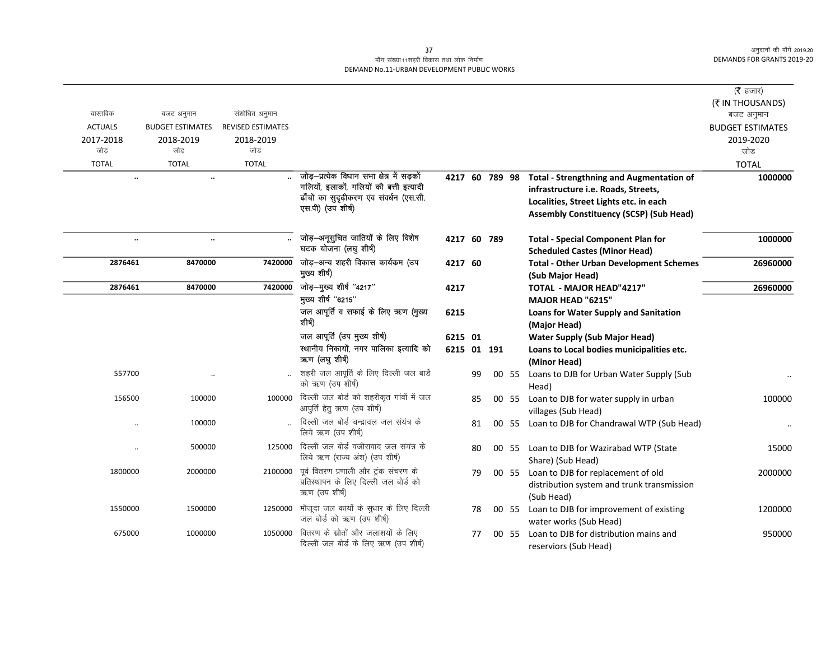## माँग संख्या.11शहरी विकास तथा लोक निर्माण DEMAND No.11-URBAN DEVELOPMENT PUBLIC WORKS

| वास्तविक       | बजट अनुमान              | संशोधित अनुमान           |                                                                                                                                                        |                |    |       |                                                                                                                                                                                    | (रै हजार)<br>(₹ IN THOUSANDS)         |
|----------------|-------------------------|--------------------------|--------------------------------------------------------------------------------------------------------------------------------------------------------|----------------|----|-------|------------------------------------------------------------------------------------------------------------------------------------------------------------------------------------|---------------------------------------|
| <b>ACTUALS</b> | <b>BUDGET ESTIMATES</b> | <b>REVISED ESTIMATES</b> |                                                                                                                                                        |                |    |       |                                                                                                                                                                                    | बजट अनुमान<br><b>BUDGET ESTIMATES</b> |
| 2017-2018      | 2018-2019               | 2018-2019                |                                                                                                                                                        |                |    |       |                                                                                                                                                                                    | 2019-2020                             |
| जोड़           | जोड                     | जोड                      |                                                                                                                                                        |                |    |       |                                                                                                                                                                                    | जोड                                   |
| <b>TOTAL</b>   | <b>TOTAL</b>            | <b>TOTAL</b>             |                                                                                                                                                        |                |    |       |                                                                                                                                                                                    | <b>TOTAL</b>                          |
| $\ldots$       | $\ddot{\phantom{a}}$    |                          | जोड़-प्रत्येक विधान सभा क्षेत्र में सड़कों<br>गलियों, इलाकों, गलियों की बत्ती इत्यादी<br>ढाँचों का सुदृढ़ीकरण एंव संवर्धन (एस.सी.<br>एस.पी) (उप शीर्ष) | 4217 60 789 98 |    |       | <b>Total - Strengthning and Augmentation of</b><br>infrastructure i.e. Roads, Streets,<br>Localities, Street Lights etc. in each<br><b>Assembly Constituency (SCSP) (Sub Head)</b> | 1000000                               |
| $\ldots$       | $\ddotsc$               |                          | जोड़—अनूसुचित जातियों के लिए विशेष<br>घटक योजना (लघु शीर्ष)                                                                                            | 4217 60 789    |    |       | <b>Total - Special Component Plan for</b><br><b>Scheduled Castes (Minor Head)</b>                                                                                                  | 1000000                               |
| 2876461        | 8470000                 | 7420000                  | जोड़-अन्य शहरी विकास कार्यक्रम (उप<br>मुख्य शीर्ष)                                                                                                     | 4217 60        |    |       | <b>Total - Other Urban Development Schemes</b><br>(Sub Major Head)                                                                                                                 | 26960000                              |
| 2876461        | 8470000                 | 7420000                  | जोड़-मुख्य शीर्ष "4217"                                                                                                                                | 4217           |    |       | TOTAL - MAJOR HEAD"4217"                                                                                                                                                           | 26960000                              |
|                |                         |                          | मुख्य शीर्ष "6215"                                                                                                                                     |                |    |       | <b>MAJOR HEAD "6215"</b>                                                                                                                                                           |                                       |
|                |                         |                          | जल आपूर्ति व सफाई के लिए ऋण (मुख्य<br>शीर्ष)                                                                                                           | 6215           |    |       | <b>Loans for Water Supply and Sanitation</b><br>(Major Head)                                                                                                                       |                                       |
|                |                         |                          | जल आपूर्ति (उप मुख्य शीर्ष)                                                                                                                            | 6215 01        |    |       | <b>Water Supply (Sub Major Head)</b>                                                                                                                                               |                                       |
|                |                         |                          | स्थानीय निकायों, नगर पालिका इत्यादि को<br>ऋण (लघुशीर्ष)                                                                                                | 6215 01 191    |    |       | Loans to Local bodies municipalities etc.<br>(Minor Head)                                                                                                                          |                                       |
| 557700         |                         |                          | शहरी जल आपूर्ति के लिए दिल्ली जल बार्डे<br>को ऋण (उप शीर्ष)                                                                                            |                | 99 | 00 55 | Loans to DJB for Urban Water Supply (Sub<br>Head)                                                                                                                                  |                                       |
| 156500         | 100000                  |                          | 100000 दिल्ली जल बोर्ड को शहरीकृत गांवों में जल<br>आपुर्ति हेतु ऋण (उप शीर्ष)                                                                          |                | 85 | 00 55 | Loan to DJB for water supply in urban<br>villages (Sub Head)                                                                                                                       | 100000                                |
|                | 100000                  |                          | दिल्ली जल बोर्ड चन्द्रावल जल संयंत्र के<br>लिये ऋण (उप शीर्ष)                                                                                          |                | 81 | 00 55 | Loan to DJB for Chandrawal WTP (Sub Head)                                                                                                                                          |                                       |
|                | 500000                  |                          | 125000 दिल्ली जल बोर्ड वजीरावाद जल संयंत्र के<br>लिये ऋण (राज्य अंश) (उप शीर्ष)                                                                        |                | 80 |       | 00 55 Loan to DJB for Wazirabad WTP (State<br>Share) (Sub Head)                                                                                                                    | 15000                                 |
| 1800000        | 2000000                 | 2100000                  | पूर्व वितरण प्रणाली और ट्रंक संचरण के<br>प्रतिस्थापन के लिए दिल्ली जल बोर्ड को<br>ऋण (उप शीर्ष)                                                        |                | 79 |       | 00 55 Loan to DJB for replacement of old<br>distribution system and trunk transmission<br>(Sub Head)                                                                               | 2000000                               |
| 1550000        | 1500000                 | 1250000                  | मौजूदा जल कार्यों के सुधार के लिए दिल्ली<br>जल बोर्ड को ऋण (उप शीर्ष)                                                                                  |                | 78 |       | 00 55 Loan to DJB for improvement of existing<br>water works (Sub Head)                                                                                                            | 1200000                               |
| 675000         | 1000000                 | 1050000                  | वितरण के स्रोतों और जलाशयों के लिए<br>दिल्ली जल बोर्ड के लिए ऋण (उप शीर्ष)                                                                             |                | 77 | 00 55 | Loan to DJB for distribution mains and<br>reserviors (Sub Head)                                                                                                                    | 950000                                |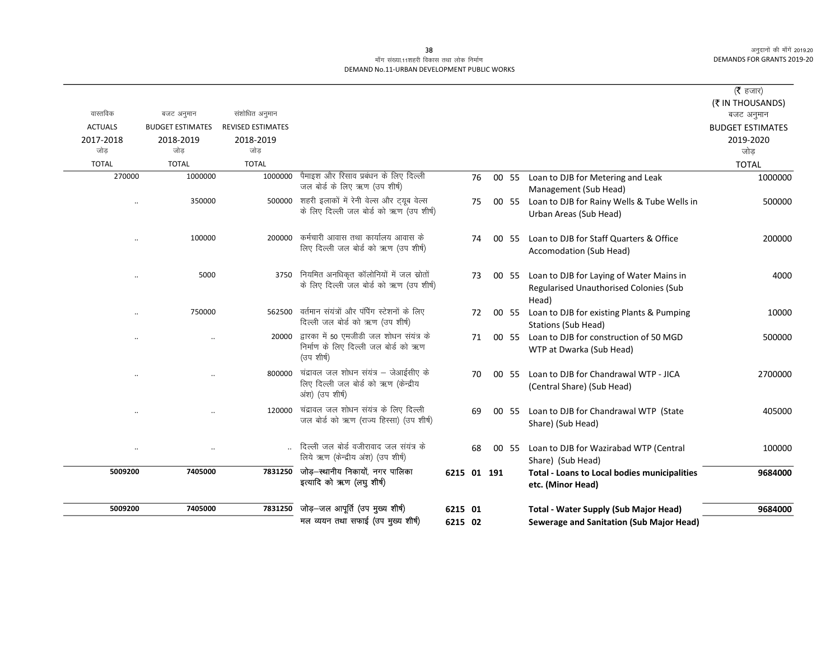### माँग संख्या.11शहरी विकास तथा लोक निर्माण DEMAND No.11-URBAN DEVELOPMENT PUBLIC WORKS

|                      |                                       |                                            |                                                                                                  |             |    |       |                                                                                             | ( $\bar{\tau}$ हजार)                 |
|----------------------|---------------------------------------|--------------------------------------------|--------------------------------------------------------------------------------------------------|-------------|----|-------|---------------------------------------------------------------------------------------------|--------------------------------------|
| वास्तविक             |                                       |                                            |                                                                                                  |             |    |       |                                                                                             | (₹ IN THOUSANDS)                     |
| <b>ACTUALS</b>       | बजट अनुमान<br><b>BUDGET ESTIMATES</b> | संशोधित अनुमान<br><b>REVISED ESTIMATES</b> |                                                                                                  |             |    |       |                                                                                             | बजट अनुमान                           |
| 2017-2018            | 2018-2019                             | 2018-2019                                  |                                                                                                  |             |    |       |                                                                                             | <b>BUDGET ESTIMATES</b><br>2019-2020 |
| जोड                  | जोड                                   | जोड                                        |                                                                                                  |             |    |       |                                                                                             | जोड                                  |
| <b>TOTAL</b>         | <b>TOTAL</b>                          | <b>TOTAL</b>                               |                                                                                                  |             |    |       |                                                                                             | <b>TOTAL</b>                         |
| 270000               | 1000000                               | 1000000                                    | पैमाइश और रिसाव प्रबंधन के लिए दिल्ली<br>जल बोर्ड के लिए ऋण (उप शीर्ष)                           |             | 76 | 00 55 | Loan to DJB for Metering and Leak<br>Management (Sub Head)                                  | 1000000                              |
|                      | 350000                                |                                            | 500000 शहरी इलाकों में रेनी वेल्स और ट्यूब वेल्स<br>के लिए दिल्ली जल बोर्ड को ऋण (उप शीर्ष)      |             | 75 | 00 55 | Loan to DJB for Rainy Wells & Tube Wells in<br>Urban Areas (Sub Head)                       | 500000                               |
|                      | 100000                                | 200000                                     | कर्मचारी आवास तथा कार्यालय आवास के<br>लिए दिल्ली जल बोर्ड को ऋण (उप शीर्ष)                       |             | 74 | 00 55 | Loan to DJB for Staff Quarters & Office<br>Accomodation (Sub Head)                          | 200000                               |
| $\ddotsc$            | 5000                                  | 3750                                       | नियमित अनधिकृत कॉलोनियों में जल स्रोतों<br>के लिए दिल्ली जल बोर्ड को ऋण (उप शीर्ष)               |             | 73 | 00 55 | Loan to DJB for Laying of Water Mains in<br>Regularised Unauthorised Colonies (Sub<br>Head) | 4000                                 |
| $\ddot{\phantom{a}}$ | 750000                                | 562500                                     | वर्तमान संयंत्रों और पंपिंग स्टेशनों के लिए<br>दिल्ली जल बोर्ड को ऋण (उप शीर्ष)                  |             | 72 | 00 55 | Loan to DJB for existing Plants & Pumping<br><b>Stations (Sub Head)</b>                     | 10000                                |
|                      |                                       | 20000                                      | द्वारका में 50 एमजीडी जल शोधन संयंत्र के<br>निर्माण के लिए दिल्ली जल बोर्ड को ऋण<br>(उप शीर्ष)   |             | 71 | 00 55 | Loan to DJB for construction of 50 MGD<br>WTP at Dwarka (Sub Head)                          | 500000                               |
|                      |                                       | 800000                                     | चंद्रावल जल शोधन संयंत्र – जेआईसीए के<br>लिए दिल्ली जल बोर्ड को ऋण (केन्द्रीय<br>अंश) (उप शीर्ष) |             | 70 | 00 55 | Loan to DJB for Chandrawal WTP - JICA<br>(Central Share) (Sub Head)                         | 2700000                              |
|                      |                                       | 120000                                     | चंद्रावल जल शोधन संयंत्र के लिए दिल्ली<br>जल बोर्ड को ऋण (राज्य हिस्सा) (उप शीर्ष)               |             | 69 | 00 55 | Loan to DJB for Chandrawal WTP (State<br>Share) (Sub Head)                                  | 405000                               |
| $\ldots$             |                                       |                                            | दिल्ली जल बोर्ड वजीरावाद जल संयंत्र के<br>लिये ऋण (केन्द्रीय अंश) (उप शीर्ष)                     |             | 68 | 00 55 | Loan to DJB for Wazirabad WTP (Central<br>Share) (Sub Head)                                 | 100000                               |
| 5009200              | 7405000                               | 7831250                                    | जोड़-स्थानीय निकायों, नगर पालिका<br>इत्यादि को ऋण (लघु शीर्ष)                                    | 6215 01 191 |    |       | <b>Total - Loans to Local bodies municipalities</b><br>etc. (Minor Head)                    | 9684000                              |
| 5009200              | 7405000                               | 7831250                                    | जोड़-जल आपूर्ति (उप मुख्य शीर्ष)                                                                 | 6215 01     |    |       | <b>Total - Water Supply (Sub Major Head)</b>                                                | 9684000                              |
|                      |                                       |                                            | मल व्ययन तथा सफाई (उप मुख्य शीर्ष)                                                               | 6215 02     |    |       | Sewerage and Sanitation (Sub Major Head)                                                    |                                      |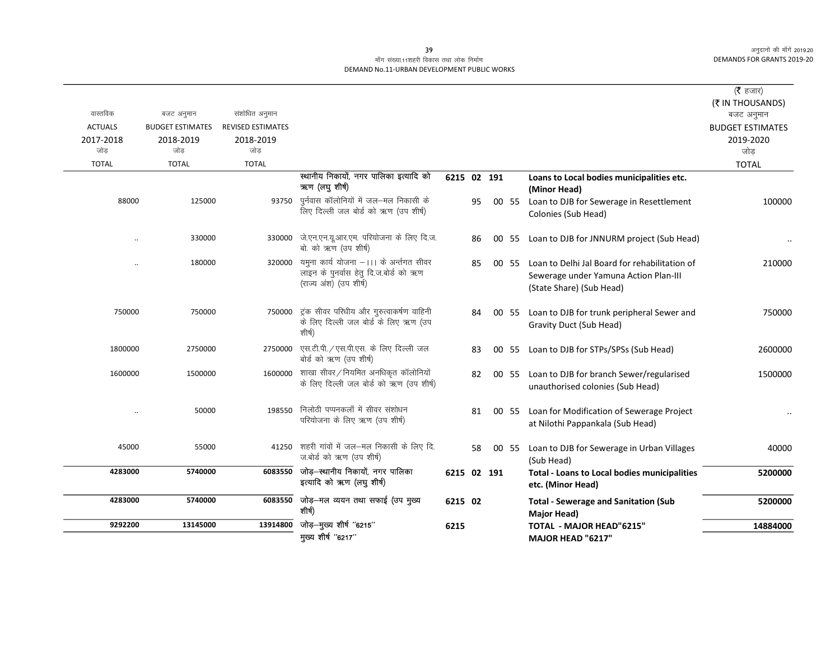## माँग संख्या.11शहरी विकास तथा लोक निर्माण DEMAND No.11-URBAN DEVELOPMENT PUBLIC WORKS

| वास्तविक                           | बजट अनुमान                                  | संशोधित अनुमान                               |                                                                                                             |             |    |       |                                                                                                                    | ( $\bar{\tau}$ हजार)<br>(₹ IN THOUSANDS)<br>बजट अनुमान |
|------------------------------------|---------------------------------------------|----------------------------------------------|-------------------------------------------------------------------------------------------------------------|-------------|----|-------|--------------------------------------------------------------------------------------------------------------------|--------------------------------------------------------|
| <b>ACTUALS</b><br>2017-2018<br>जोड | <b>BUDGET ESTIMATES</b><br>2018-2019<br>जोड | <b>REVISED ESTIMATES</b><br>2018-2019<br>जोड |                                                                                                             |             |    |       |                                                                                                                    | <b>BUDGET ESTIMATES</b><br>2019-2020<br>जोड            |
| <b>TOTAL</b>                       | <b>TOTAL</b>                                | <b>TOTAL</b>                                 |                                                                                                             |             |    |       |                                                                                                                    | <b>TOTAL</b>                                           |
|                                    |                                             |                                              | स्थानीय निकायों, नगर पालिका इत्यादि को<br>ऋण (लघुशीर्ष)                                                     | 6215 02 191 |    |       | Loans to Local bodies municipalities etc.<br>(Minor Head)                                                          |                                                        |
| 88000                              | 125000                                      | 93750                                        | पुर्नवास कॉलोनियों में जल—मल निकासी के<br>लिए दिल्ली जल बोर्ड को ऋण (उप शीर्ष)                              |             | 95 |       | 00 55 Loan to DJB for Sewerage in Resettlement<br>Colonies (Sub Head)                                              | 100000                                                 |
|                                    | 330000                                      | 330000                                       | जे.एन.एन.यू.आर.एम. परियोजना के लिए दि.ज.<br>बो. को ऋण (उप शीर्ष)                                            |             | 86 |       | 00 55 Loan to DJB for JNNURM project (Sub Head)                                                                    |                                                        |
|                                    | 180000                                      | 320000                                       | यमुना कार्य योजना –।।। के अर्न्तगत सीवर<br>लाइन के पुनर्वास हेतु दि.ज.बोर्ड को ऋण<br>(राज्य अंश) (उप शीर्ष) |             | 85 | 00 55 | Loan to Delhi Jal Board for rehabilitation of<br>Sewerage under Yamuna Action Plan-III<br>(State Share) (Sub Head) | 210000                                                 |
| 750000                             | 750000                                      | 750000                                       | ट्रंक सीवर परिधीय और गुरुत्वाकर्षण वाहिनी<br>के लिए दिल्ली जल बोर्ड के लिए ऋण (उप<br>शीर्ष)                 |             | 84 |       | 00 55 Loan to DJB for trunk peripheral Sewer and<br>Gravity Duct (Sub Head)                                        | 750000                                                 |
| 1800000                            | 2750000                                     | 2750000                                      | एस.टी.पी. / एस.पी.एस. के लिए दिल्ली जल<br>बोर्ड को ऋण (उप शीर्ष)                                            |             | 83 | 00 55 | Loan to DJB for STPs/SPSs (Sub Head)                                                                               | 2600000                                                |
| 1600000                            | 1500000                                     |                                              | $1600000$ शाखा सीवर / नियमित अनधिकृत कॉलोनियों<br>के लिए दिल्ली जल बोर्ड को ऋण (उप शीर्ष)                   |             | 82 |       | 00 55 Loan to DJB for branch Sewer/regularised<br>unauthorised colonies (Sub Head)                                 | 1500000                                                |
|                                    | 50000                                       | 198550                                       | निलोठी पप्पनकलाँ में सीवर संशोधन<br>परियोजना के लिए ऋण (उप शीर्ष)                                           |             | 81 |       | 00 55 Loan for Modification of Sewerage Project<br>at Nilothi Pappankala (Sub Head)                                |                                                        |
| 45000                              | 55000                                       | 41250                                        | शहरी गांवों में जल—मल निकासी के लिए दि.<br>ज.बोर्ड को ऋण (उप शीर्ष)                                         |             | 58 |       | 00 55 Loan to DJB for Sewerage in Urban Villages<br>(Sub Head)                                                     | 40000                                                  |
| 4283000                            | 5740000                                     | 6083550                                      | जोड़–स्थानीय निकायों, नगर पालिका<br>इत्यादि को ऋण (लघु शीर्ष)                                               | 6215 02 191 |    |       | <b>Total - Loans to Local bodies municipalities</b><br>etc. (Minor Head)                                           | 5200000                                                |
| 4283000                            | 5740000                                     | 6083550                                      | जोड़—मल व्ययन तथा सफाई (उप मुख्य<br>शीर्ष)                                                                  | 6215 02     |    |       | <b>Total - Sewerage and Sanitation (Sub</b><br>Major Head)                                                         | 5200000                                                |
| 9292200                            | 13145000                                    | 13914800                                     | जोड़-मुख्य शीर्ष "6215"<br>मुख्य शीर्ष "6217"                                                               | 6215        |    |       | <b>TOTAL - MAJOR HEAD"6215"</b><br>MAJOR HEAD "6217"                                                               | 14884000                                               |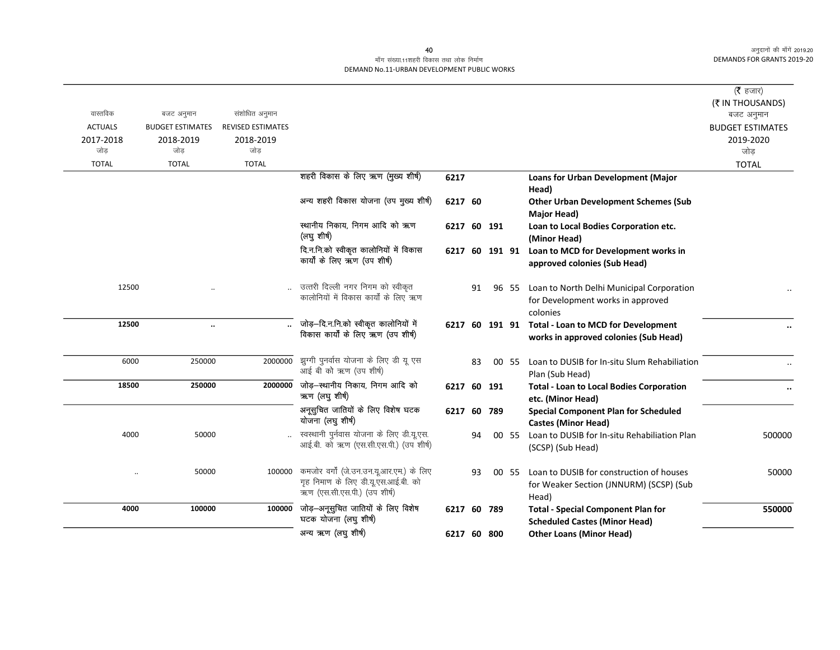### माँग संख्या.11शहरी विकास तथा लोक निर्माण DEMAND No.11-URBAN DEVELOPMENT PUBLIC WORKS

|                  |                         |                          |                                                                                                                 |                |    |       |                                                                                              | ( <b>रै</b> हजार)<br>(₹ IN THOUSANDS) |
|------------------|-------------------------|--------------------------|-----------------------------------------------------------------------------------------------------------------|----------------|----|-------|----------------------------------------------------------------------------------------------|---------------------------------------|
| वास्तविक         | बजट अनुमान              | संशोधित अनुमान           |                                                                                                                 |                |    |       |                                                                                              | बजट अनुमान                            |
| <b>ACTUALS</b>   | <b>BUDGET ESTIMATES</b> | <b>REVISED ESTIMATES</b> |                                                                                                                 |                |    |       |                                                                                              | <b>BUDGET ESTIMATES</b>               |
| 2017-2018<br>जोड | 2018-2019<br>जोड        | 2018-2019<br>जोड         |                                                                                                                 |                |    |       |                                                                                              | 2019-2020<br>जोड़                     |
| <b>TOTAL</b>     | <b>TOTAL</b>            | <b>TOTAL</b>             |                                                                                                                 |                |    |       |                                                                                              | <b>TOTAL</b>                          |
|                  |                         |                          | शहरी विकास के लिए ऋण (मुख्य शीर्ष)                                                                              | 6217           |    |       | Loans for Urban Development (Major<br>Head)                                                  |                                       |
|                  |                         |                          | अन्य शहरी विकास योजना (उप मुख्य शीर्ष)                                                                          | 6217 60        |    |       | <b>Other Urban Development Schemes (Sub</b><br>Major Head)                                   |                                       |
|                  |                         |                          | स्थानीय निकाय, निगम आदि को ऋण<br>(लघु शीर्ष)                                                                    | 6217 60 191    |    |       | Loan to Local Bodies Corporation etc.<br>(Minor Head)                                        |                                       |
|                  |                         |                          | दि.न.नि.को स्वीकृत कालोनियों में विकास<br>कार्यों के लिए ऋण (उप शीर्ष)                                          | 6217 60 191 91 |    |       | Loan to MCD for Development works in<br>approved colonies (Sub Head)                         |                                       |
| 12500            |                         |                          | उत्तरी दिल्ली नगर निगम को स्वीकृत<br>कालोनियों में विकास कार्यों के लिए ऋण                                      |                | 91 | 96 55 | Loan to North Delhi Municipal Corporation<br>for Development works in approved<br>colonies   |                                       |
| 12500            | $\ddotsc$               |                          | जोड़-दि.न.नि.को स्वीकृत कालोनियों में<br>विकास कार्यों के लिए ऋण (उप शीषे)                                      |                |    |       | 6217 60 191 91 Total - Loan to MCD for Development<br>works in approved colonies (Sub Head)  |                                       |
| 6000             | 250000                  | 2000000                  | झुग्गी पुनर्वास योजना के लिए डी यू एस<br>आई बी को ऋण (उप शीर्ष)                                                 |                | 83 | 00 55 | Loan to DUSIB for In-situ Slum Rehabiliation<br>Plan (Sub Head)                              |                                       |
| 18500            | 250000                  | 2000000                  | जोड़—स्थानीय निकाय, निगम आदि को<br>ऋण (लघुशीर्ष)                                                                | 6217 60 191    |    |       | <b>Total - Loan to Local Bodies Corporation</b><br>etc. (Minor Head)                         |                                       |
|                  |                         |                          | अनूसुचित जातियों के लिए विशेष घटक<br>योजना (लघु शीर्ष)                                                          | 6217 60 789    |    |       | <b>Special Component Plan for Scheduled</b><br><b>Castes (Minor Head)</b>                    |                                       |
| 4000             | 50000                   |                          | स्वस्थानी पुर्नवास योजना के लिए डी.यू.एस.<br>आई.बी. को ऋण (एस.सी.एस.पी.) (उप शीर्ष)                             |                | 94 | 00 55 | Loan to DUSIB for In-situ Rehabiliation Plan<br>(SCSP) (Sub Head)                            | 500000                                |
|                  | 50000                   | 100000                   | कमजोर वर्गों (जे.उन.उन.यू.आर.एम.) के लिए<br>गृह निमाण के लिए डी.यू.एस.आई.बी. को<br>ऋण (एस.सी.एस.पी.) (उप शीर्ष) |                | 93 | 00 55 | Loan to DUSIB for construction of houses<br>for Weaker Section (JNNURM) (SCSP) (Sub<br>Head) | 50000                                 |
| 4000             | 100000                  | 100000                   | जोड़-अनूसुचित जातियों के लिए विशेष<br>घटक योजना (लघु शीर्ष)                                                     | 6217 60 789    |    |       | <b>Total - Special Component Plan for</b><br><b>Scheduled Castes (Minor Head)</b>            | 550000                                |
|                  |                         |                          | अन्य ऋण (लघु शीर्ष)                                                                                             | 6217 60 800    |    |       | <b>Other Loans (Minor Head)</b>                                                              |                                       |